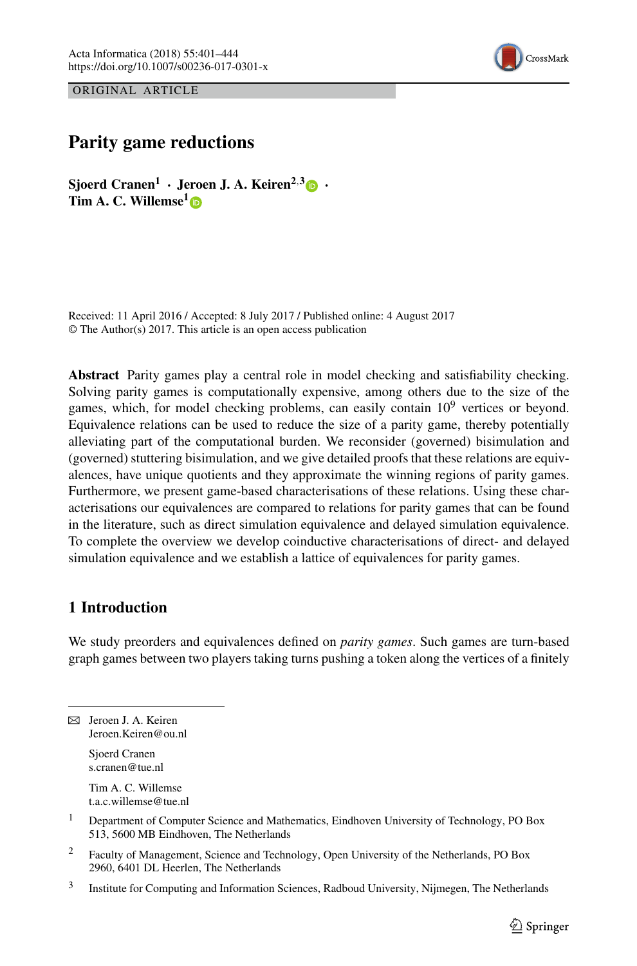

ORIGINAL ARTICLE

# **Parity game reductions**

 $S_j$ **oerd Cranen**<sup>1</sup> **· Jeroen J. A. Keiren**<sup>2,[3](http://orcid.org/0000-0002-5772-9527)</sup> **· Tim A. C. Willemse[1](http://orcid.org/0000-0003-3049-7962)**

Received: 11 April 2016 / Accepted: 8 July 2017 / Published online: 4 August 2017 © The Author(s) 2017. This article is an open access publication

**Abstract** Parity games play a central role in model checking and satisfiability checking. Solving parity games is computationally expensive, among others due to the size of the games, which, for model checking problems, can easily contain  $10<sup>9</sup>$  vertices or beyond. Equivalence relations can be used to reduce the size of a parity game, thereby potentially alleviating part of the computational burden. We reconsider (governed) bisimulation and (governed) stuttering bisimulation, and we give detailed proofs that these relations are equivalences, have unique quotients and they approximate the winning regions of parity games. Furthermore, we present game-based characterisations of these relations. Using these characterisations our equivalences are compared to relations for parity games that can be found in the literature, such as direct simulation equivalence and delayed simulation equivalence. To complete the overview we develop coinductive characterisations of direct- and delayed simulation equivalence and we establish a lattice of equivalences for parity games.

# **1 Introduction**

We study preorders and equivalences defined on *parity games*. Such games are turn-based graph games between two players taking turns pushing a token along the vertices of a finitely

B Jeroen J. A. Keiren Jeroen.Keiren@ou.nl

> Sjoerd Cranen s.cranen@tue.nl

Tim A. C. Willemse t.a.c.willemse@tue.nl

- <sup>1</sup> Department of Computer Science and Mathematics, Eindhoven University of Technology, PO Box 513, 5600 MB Eindhoven, The Netherlands
- <sup>2</sup> Faculty of Management, Science and Technology, Open University of the Netherlands, PO Box 2960, 6401 DL Heerlen, The Netherlands
- <sup>3</sup> Institute for Computing and Information Sciences, Radboud University, Nijmegen, The Netherlands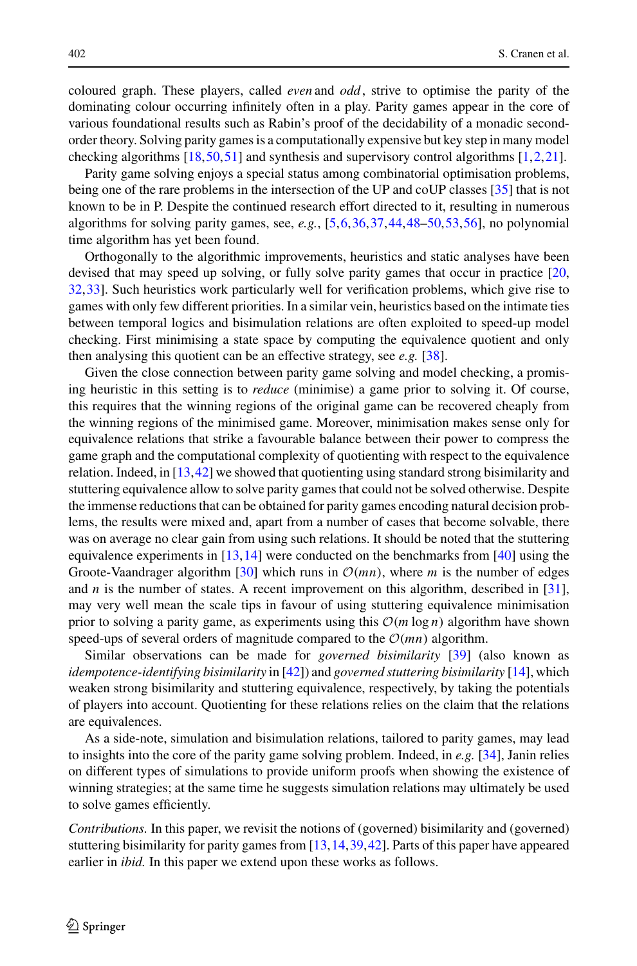coloured graph. These players, called *even* and *odd*, strive to optimise the parity of the dominating colour occurring infinitely often in a play. Parity games appear in the core of various foundational results such as Rabin's proof of the decidability of a monadic secondorder theory. Solving parity games is a computationally expensive but key step in many model checking algorithms [\[18](#page-41-0)[,50,](#page-43-0)[51](#page-43-1)] and synthesis and supervisory control algorithms [\[1](#page-41-1),[2](#page-41-2)[,21\]](#page-42-0).

Parity game solving enjoys a special status among combinatorial optimisation problems, being one of the rare problems in the intersection of the UP and coUP classes [\[35\]](#page-42-1) that is not known to be in P. Despite the continued research effort directed to it, resulting in numerous algorithms for solving parity games, see, *e.g.*, [\[5](#page-41-3)[,6](#page-41-4)[,36,](#page-42-2)[37](#page-42-3)[,44,](#page-42-4)[48](#page-42-5)[–50](#page-43-0),[53](#page-43-2)[,56\]](#page-43-3), no polynomial time algorithm has yet been found.

Orthogonally to the algorithmic improvements, heuristics and static analyses have been devised that may speed up solving, or fully solve parity games that occur in practice [\[20,](#page-42-6) [32,](#page-42-7)[33](#page-42-8)]. Such heuristics work particularly well for verification problems, which give rise to games with only few different priorities. In a similar vein, heuristics based on the intimate ties between temporal logics and bisimulation relations are often exploited to speed-up model checking. First minimising a state space by computing the equivalence quotient and only then analysing this quotient can be an effective strategy, see *e.g.* [\[38\]](#page-42-9).

Given the close connection between parity game solving and model checking, a promising heuristic in this setting is to *reduce* (minimise) a game prior to solving it. Of course, this requires that the winning regions of the original game can be recovered cheaply from the winning regions of the minimised game. Moreover, minimisation makes sense only for equivalence relations that strike a favourable balance between their power to compress the game graph and the computational complexity of quotienting with respect to the equivalence relation. Indeed, in [\[13,](#page-41-5)[42](#page-42-10)] we showed that quotienting using standard strong bisimilarity and stuttering equivalence allow to solve parity games that could not be solved otherwise. Despite the immense reductions that can be obtained for parity games encoding natural decision problems, the results were mixed and, apart from a number of cases that become solvable, there was on average no clear gain from using such relations. It should be noted that the stuttering equivalence experiments in  $[13,14]$  $[13,14]$  were conducted on the benchmarks from  $[40]$  using the Groote-Vaandrager algorithm [\[30\]](#page-42-12) which runs in  $\mathcal{O}(mn)$ , where *m* is the number of edges and *n* is the number of states. A recent improvement on this algorithm, described in [\[31\]](#page-42-13), may very well mean the scale tips in favour of using stuttering equivalence minimisation prior to solving a parity game, as experiments using this  $O(m \log n)$  algorithm have shown speed-ups of several orders of magnitude compared to the  $O(mn)$  algorithm.

Similar observations can be made for *governed bisimilarity* [\[39\]](#page-42-14) (also known as *idempotence-identifying bisimilarity* in [\[42](#page-42-10)]) and *governed stuttering bisimilarity* [\[14\]](#page-41-6), which weaken strong bisimilarity and stuttering equivalence, respectively, by taking the potentials of players into account. Quotienting for these relations relies on the claim that the relations are equivalences.

As a side-note, simulation and bisimulation relations, tailored to parity games, may lead to insights into the core of the parity game solving problem. Indeed, in *e.g.* [\[34\]](#page-42-15), Janin relies on different types of simulations to provide uniform proofs when showing the existence of winning strategies; at the same time he suggests simulation relations may ultimately be used to solve games efficiently.

*Contributions.* In this paper, we revisit the notions of (governed) bisimilarity and (governed) stuttering bisimilarity for parity games from [\[13,](#page-41-5)[14](#page-41-6)[,39](#page-42-14)[,42\]](#page-42-10). Parts of this paper have appeared earlier in *ibid.* In this paper we extend upon these works as follows.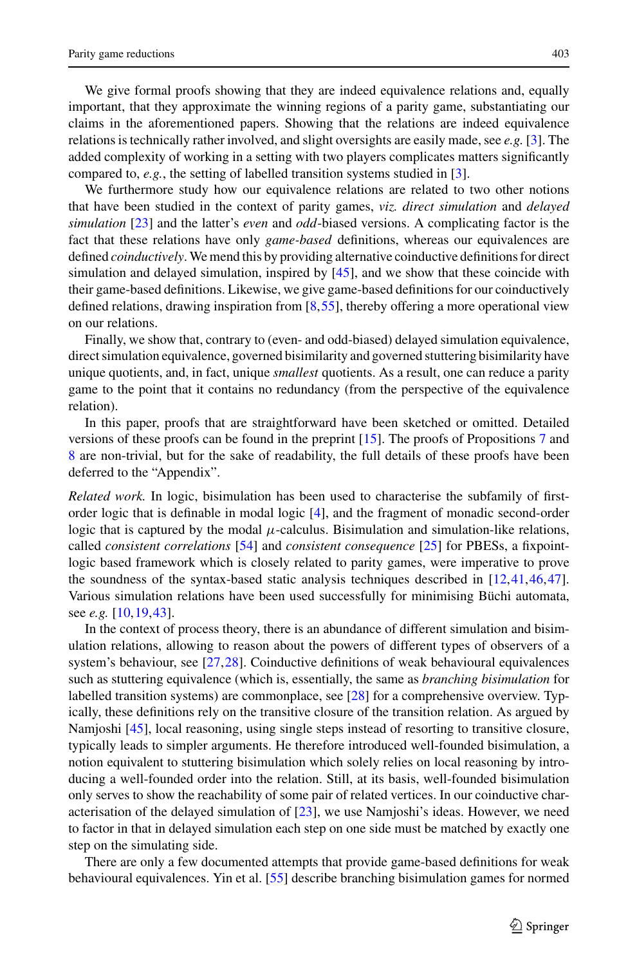We give formal proofs showing that they are indeed equivalence relations and, equally important, that they approximate the winning regions of a parity game, substantiating our claims in the aforementioned papers. Showing that the relations are indeed equivalence relations is technically rather involved, and slight oversights are easily made, see *e.g.* [\[3\]](#page-41-7). The added complexity of working in a setting with two players complicates matters significantly compared to, *e.g.*, the setting of labelled transition systems studied in [\[3\]](#page-41-7).

We furthermore study how our equivalence relations are related to two other notions that have been studied in the context of parity games, *viz. direct simulation* and *delayed simulation* [\[23\]](#page-42-16) and the latter's *even* and *odd*-biased versions. A complicating factor is the fact that these relations have only *game-based* definitions, whereas our equivalences are defined *coinductively*.We mend this by providing alternative coinductive definitions for direct simulation and delayed simulation, inspired by  $[45]$  $[45]$ , and we show that these coincide with their game-based definitions. Likewise, we give game-based definitions for our coinductively defined relations, drawing inspiration from [\[8,](#page-41-8)[55](#page-43-4)], thereby offering a more operational view on our relations.

Finally, we show that, contrary to (even- and odd-biased) delayed simulation equivalence, direct simulation equivalence, governed bisimilarity and governed stuttering bisimilarity have unique quotients, and, in fact, unique *smallest* quotients. As a result, one can reduce a parity game to the point that it contains no redundancy (from the perspective of the equivalence relation).

In this paper, proofs that are straightforward have been sketched or omitted. Detailed versions of these proofs can be found in the preprint [\[15](#page-41-9)]. The proofs of Propositions [7](#page-23-0) and [8](#page-24-0) are non-trivial, but for the sake of readability, the full details of these proofs have been deferred to the "Appendix".

*Related work.* In logic, bisimulation has been used to characterise the subfamily of firstorder logic that is definable in modal logic [\[4](#page-41-10)], and the fragment of monadic second-order logic that is captured by the modal  $\mu$ -calculus. Bisimulation and simulation-like relations, called *consistent correlations* [\[54\]](#page-43-5) and *consistent consequence* [\[25\]](#page-42-18) for PBESs, a fixpointlogic based framework which is closely related to parity games, were imperative to prove the soundness of the syntax-based static analysis techniques described in [\[12,](#page-41-11)[41](#page-42-19)[,46](#page-42-20)[,47\]](#page-42-21). Various simulation relations have been used successfully for minimising Büchi automata, see *e.g.* [\[10](#page-41-12)[,19,](#page-42-22)[43](#page-42-23)].

In the context of process theory, there is an abundance of different simulation and bisimulation relations, allowing to reason about the powers of different types of observers of a system's behaviour, see [\[27](#page-42-24)[,28\]](#page-42-25). Coinductive definitions of weak behavioural equivalences such as stuttering equivalence (which is, essentially, the same as *branching bisimulation* for labelled transition systems) are commonplace, see [\[28\]](#page-42-25) for a comprehensive overview. Typically, these definitions rely on the transitive closure of the transition relation. As argued by Namjoshi [\[45](#page-42-17)], local reasoning, using single steps instead of resorting to transitive closure, typically leads to simpler arguments. He therefore introduced well-founded bisimulation, a notion equivalent to stuttering bisimulation which solely relies on local reasoning by introducing a well-founded order into the relation. Still, at its basis, well-founded bisimulation only serves to show the reachability of some pair of related vertices. In our coinductive characterisation of the delayed simulation of  $[23]$ , we use Namjoshi's ideas. However, we need to factor in that in delayed simulation each step on one side must be matched by exactly one step on the simulating side.

There are only a few documented attempts that provide game-based definitions for weak behavioural equivalences. Yin et al. [\[55\]](#page-43-4) describe branching bisimulation games for normed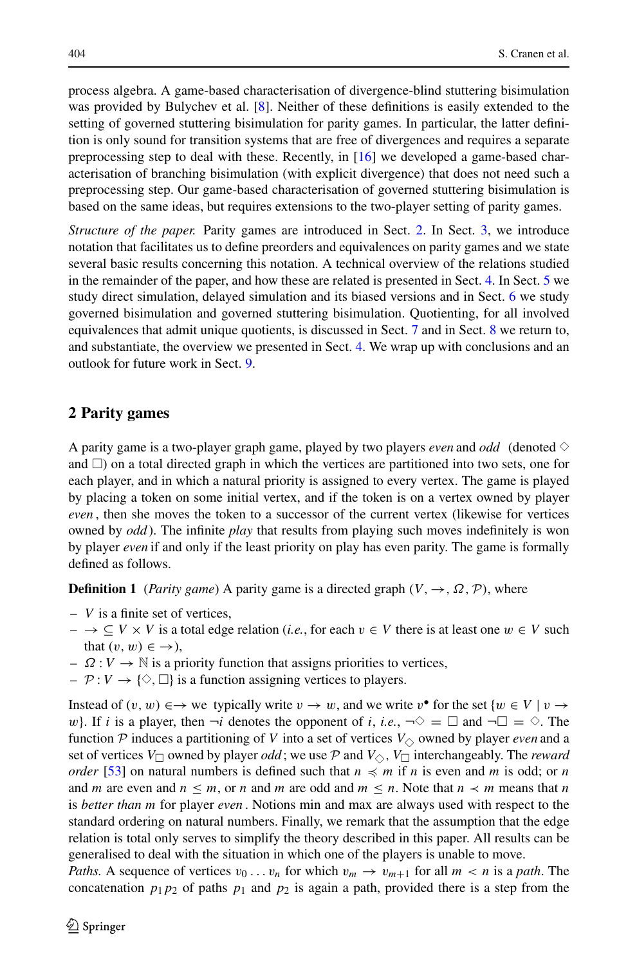process algebra. A game-based characterisation of divergence-blind stuttering bisimulation was provided by Bulychev et al. [\[8](#page-41-8)]. Neither of these definitions is easily extended to the setting of governed stuttering bisimulation for parity games. In particular, the latter definition is only sound for transition systems that are free of divergences and requires a separate preprocessing step to deal with these. Recently, in [\[16](#page-41-13)] we developed a game-based characterisation of branching bisimulation (with explicit divergence) that does not need such a preprocessing step. Our game-based characterisation of governed stuttering bisimulation is based on the same ideas, but requires extensions to the two-player setting of parity games.

*Structure of the paper.* Parity games are introduced in Sect. [2.](#page-3-0) In Sect. [3,](#page-5-0) we introduce notation that facilitates us to define preorders and equivalences on parity games and we state several basic results concerning this notation. A technical overview of the relations studied in the remainder of the paper, and how these are related is presented in Sect. [4.](#page-7-0) In Sect. [5](#page-9-0) we study direct simulation, delayed simulation and its biased versions and in Sect. [6](#page-16-0) we study governed bisimulation and governed stuttering bisimulation. Quotienting, for all involved equivalences that admit unique quotients, is discussed in Sect. [7](#page-25-0) and in Sect. [8](#page-29-0) we return to, and substantiate, the overview we presented in Sect. [4.](#page-7-0) We wrap up with conclusions and an outlook for future work in Sect. [9.](#page-33-0)

## <span id="page-3-0"></span>**2 Parity games**

A parity game is a two-player graph game, played by two players *even* and *odd* (denoted  $\Diamond$ and  $\Box$ ) on a total directed graph in which the vertices are partitioned into two sets, one for each player, and in which a natural priority is assigned to every vertex. The game is played by placing a token on some initial vertex, and if the token is on a vertex owned by player *even* , then she moves the token to a successor of the current vertex (likewise for vertices owned by *odd*). The infinite *play* that results from playing such moves indefinitely is won by player *even* if and only if the least priority on play has even parity. The game is formally defined as follows.

**Definition 1** (*Parity game*) A parity game is a directed graph ( $V, \rightarrow, \Omega, \mathcal{P}$ ), where

- *V* is a finite set of vertices,
- $-\rightarrow\subset V\times V$  is a total edge relation (*i.e.*, for each  $v\in V$  there is at least one  $w\in V$  such that  $(v, w) \in \rightarrow$ ),
- $\Omega: V \to \mathbb{N}$  is a priority function that assigns priorities to vertices,
- $\mathcal{P}: V \to \{ \Diamond, \Box \}$  is a function assigning vertices to players.

Instead of  $(v, w) \in \rightarrow$  we typically write  $v \rightarrow w$ , and we write  $v^{\bullet}$  for the set  $\{w \in V \mid v \rightarrow w\}$ w). If *i* is a player, then  $\neg i$  denotes the opponent of *i*, *i.e.*,  $\neg \Diamond = \Box$  and  $\neg \Box = \Diamond$ . The function  $P$  induces a partitioning of  $V$  into a set of vertices  $V_{\diamondsuit}$  owned by player *even* and a set of vertices  $V_{\Box}$  owned by player *odd*; we use  $P$  and  $V_{\Diamond}$ ,  $V_{\Box}$  interchangeably. The *reward order* [\[53\]](#page-43-2) on natural numbers is defined such that  $n \le m$  if *n* is even and *m* is odd; or *n* and *m* are even and  $n \leq m$ , or *n* and *m* are odd and  $m \leq n$ . Note that  $n \prec m$  means that *n* is *better than m* for player *even* . Notions min and max are always used with respect to the standard ordering on natural numbers. Finally, we remark that the assumption that the edge relation is total only serves to simplify the theory described in this paper. All results can be generalised to deal with the situation in which one of the players is unable to move.

*Paths.* A sequence of vertices  $v_0 \dots v_n$  for which  $v_m \to v_{m+1}$  for all  $m < n$  is a *path*. The concatenation  $p_1 p_2$  of paths  $p_1$  and  $p_2$  is again a path, provided there is a step from the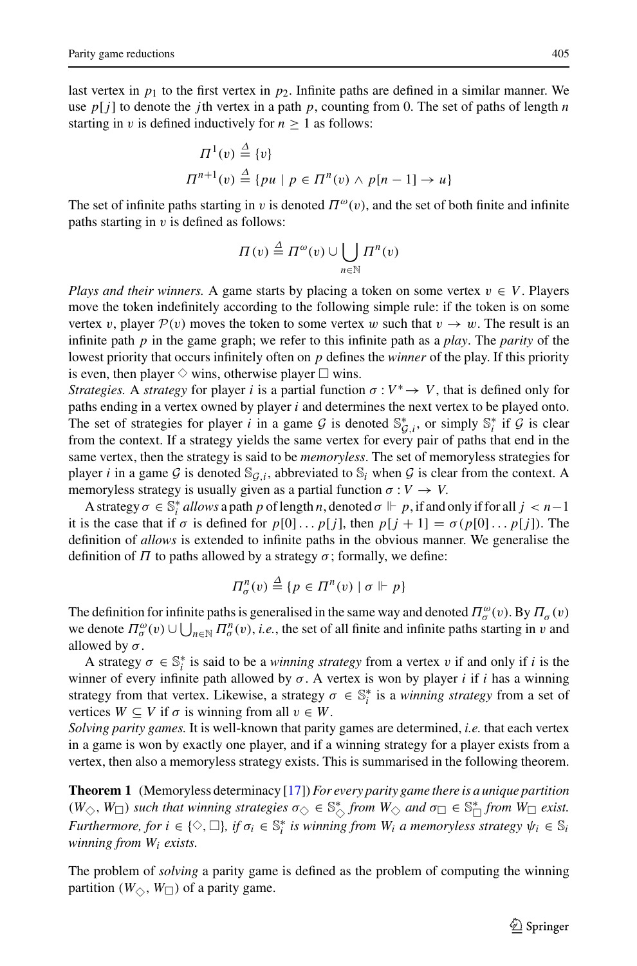last vertex in  $p_1$  to the first vertex in  $p_2$ . Infinite paths are defined in a similar manner. We use  $p[j]$  to denote the *j*th vertex in a path *p*, counting from 0. The set of paths of length *n* starting in v is defined inductively for  $n \geq 1$  as follows:

$$
\Pi^1(v) \stackrel{\Delta}{=} \{v\}
$$
  

$$
\Pi^{n+1}(v) \stackrel{\Delta}{=} \{pu \mid p \in \Pi^n(v) \land p[n-1] \to u\}
$$

The set of infinite paths starting in v is denoted  $\Pi^{\omega}(v)$ , and the set of both finite and infinite paths starting in  $v$  is defined as follows:

$$
\Pi(v) \stackrel{\Delta}{=} \Pi^{\omega}(v) \cup \bigcup_{n \in \mathbb{N}} \Pi^n(v)
$$

*Plays and their winners.* A game starts by placing a token on some vertex  $v \in V$ . Players move the token indefinitely according to the following simple rule: if the token is on some vertex v, player  $\mathcal{P}(v)$  moves the token to some vertex w such that  $v \to w$ . The result is an infinite path *p* in the game graph; we refer to this infinite path as a *play*. The *parity* of the lowest priority that occurs infinitely often on *p* defines the *winner* of the play. If this priority is even, then player  $\diamond$  wins, otherwise player  $\square$  wins.

*Strategies.* A *strategy* for player *i* is a partial function  $\sigma: V^* \to V$ , that is defined only for paths ending in a vertex owned by player *i* and determines the next vertex to be played onto. The set of strategies for player *i* in a game *G* is denoted  $\mathbb{S}_{\mathcal{G},i}^*$ , or simply  $\mathbb{S}_i^*$  if *G* is clear from the context. If a strategy yields the same vertex for every pair of paths that end in the same vertex, then the strategy is said to be *memoryless*. The set of memoryless strategies for player *i* in a game G is denoted  $\mathbb{S}_{\mathcal{G},i}$ , abbreviated to  $\mathbb{S}_i$  when G is clear from the context. A memoryless strategy is usually given as a partial function  $\sigma: V \to V$ .

A strategy  $\sigma \in \mathbb{S}^*_i$  *allows* a path *p* of length *n*, denoted  $\sigma \Vdash p$ , if and only if for all  $j < n-1$ it is the case that if  $\sigma$  is defined for  $p[0] \dots p[j]$ , then  $p[j + 1] = \sigma(p[0] \dots p[j])$ . The definition of *allows* is extended to infinite paths in the obvious manner. We generalise the definition of  $\Pi$  to paths allowed by a strategy  $\sigma$ ; formally, we define:

$$
\Pi_{\sigma}^{n}(v) \stackrel{\Delta}{=} \{p \in \Pi^{n}(v) \mid \sigma \Vdash p\}
$$

The definition for infinite paths is generalised in the same way and denoted  $\Pi^{\omega}_{\sigma}(v)$ . By  $\Pi_{\sigma}(v)$ we denote  $\Pi^{\omega}_{\sigma}(v) \cup \bigcup_{n \in \mathbb{N}} \Pi^{n}_{\sigma}(v)$ , *i.e.*, the set of all finite and infinite paths starting in v and allowed by  $\sigma$ .

A strategy  $\sigma \in \mathbb{S}_i^*$  is said to be a *winning strategy* from a vertex v if and only if *i* is the winner of every infinite path allowed by  $\sigma$ . A vertex is won by player *i* if *i* has a winning strategy from that vertex. Likewise, a strategy  $\sigma \in \mathbb{S}_i^*$  is a *winning strategy* from a set of vertices  $W \subseteq V$  if  $\sigma$  is winning from all  $v \in W$ .

*Solving parity games.* It is well-known that parity games are determined, *i.e.* that each vertex in a game is won by exactly one player, and if a winning strategy for a player exists from a vertex, then also a memoryless strategy exists. This is summarised in the following theorem.

<span id="page-4-0"></span>**Theorem 1** (Memoryless determinacy [\[17\]](#page-41-14)) *For every parity game there is a unique partition*  $(W_{\heartsuit}, W_{\Box})$  such that winning strategies  $\sigma_{\heartsuit} \in \mathbb{S}_{\heartsuit}^*$  from  $W_{\heartsuit}$  and  $\sigma_{\Box} \in \mathbb{S}_{\Box}^*$  from  $W_{\Box}$  exist. *Furthermore, for i*  $\in$  { $\Diamond$ ,  $\Box$ }*, if*  $\sigma_i$   $\in$   $\mathbb{S}_i^*$  *is winning from W<sub>i</sub> a memoryless strategy*  $\psi_i$   $\in$   $\mathbb{S}_i$ *winning from Wi exists.*

The problem of *solving* a parity game is defined as the problem of computing the winning partition  $(W_{\diamondsuit}, W_{\square})$  of a parity game.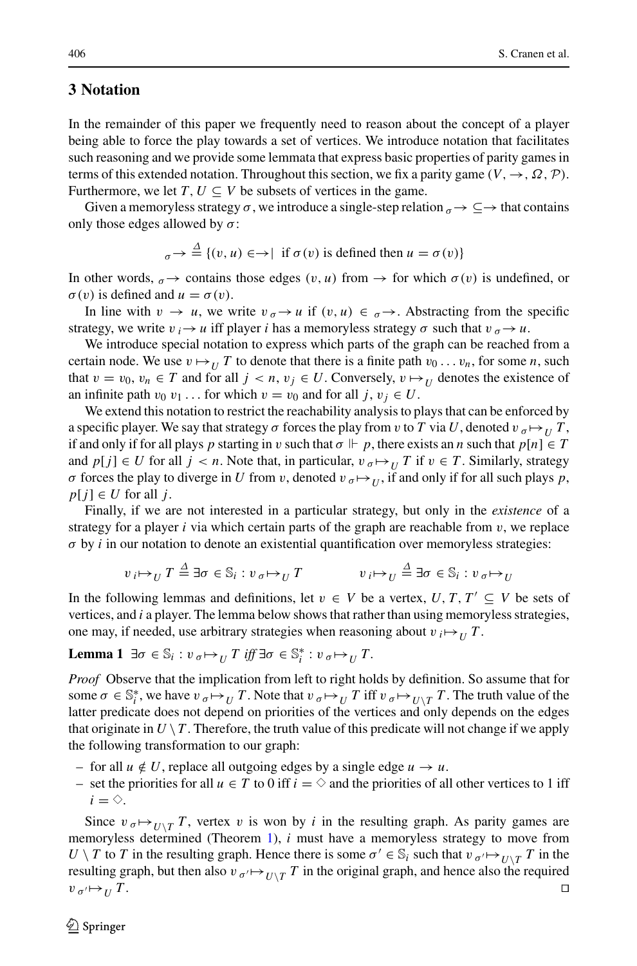## <span id="page-5-0"></span>**3 Notation**

In the remainder of this paper we frequently need to reason about the concept of a player being able to force the play towards a set of vertices. We introduce notation that facilitates such reasoning and we provide some lemmata that express basic properties of parity games in terms of this extended notation. Throughout this section, we fix a parity game  $(V, \rightarrow, \Omega, \mathcal{P})$ . Furthermore, we let *T*,  $U \subseteq V$  be subsets of vertices in the game.

Given a memoryless strategy  $\sigma$ , we introduce a single-step relation  $\sigma \to \subseteq \to$  that contains only those edges allowed by  $\sigma$ :

$$
\sigma \to \stackrel{\Delta}{=} \{(v, u) \in \to | \text{ if } \sigma(v) \text{ is defined then } u = \sigma(v)\}
$$

In other words,  $\sigma \rightarrow$  contains those edges  $(v, u)$  from  $\rightarrow$  for which  $\sigma(v)$  is undefined, or  $\sigma(v)$  is defined and  $u = \sigma(v)$ .

In line with  $v \to u$ , we write  $v_{\sigma} \to u$  if  $(v, u) \in \sigma$   $\to$ . Abstracting from the specific strategy, we write  $v_i \rightarrow u$  iff player *i* has a memoryless strategy  $\sigma$  such that  $v_{\sigma} \rightarrow u$ .

We introduce special notation to express which parts of the graph can be reached from a certain node. We use  $v \mapsto_H T$  to denote that there is a finite path  $v_0 \dots v_n$ , for some *n*, such that  $v = v_0$ ,  $v_n \in T$  and for all  $j < n$ ,  $v_j \in U$ . Conversely,  $v \mapsto U$  denotes the existence of an infinite path  $v_0$   $v_1$ ... for which  $v = v_0$  and for all *j*,  $v_i \in U$ .

We extend this notation to restrict the reachability analysis to plays that can be enforced by a specific player. We say that strategy  $\sigma$  forces the play from v to *T* via *U*, denoted  $v_{\sigma} \mapsto_{U} T$ , if and only if for all plays *p* starting in v such that  $\sigma \Vdash p$ , there exists an *n* such that  $p[n] \in T$ and  $p[j] \in U$  for all  $j \leq n$ . Note that, in particular,  $v_{\sigma} \mapsto_{U} T$  if  $v \in T$ . Similarly, strategy  $\sigma$  forces the play to diverge in *U* from *v*, denoted  $v_{\sigma} \mapsto_{U}$ , if and only if for all such plays *p*,  $p[i] \in U$  for all *j*.

Finally, if we are not interested in a particular strategy, but only in the *existence* of a strategy for a player  $i$  via which certain parts of the graph are reachable from  $v$ , we replace  $\sigma$  by *i* in our notation to denote an existential quantification over memoryless strategies:

<span id="page-5-1"></span>
$$
v_i \mapsto_U T \stackrel{\Delta}{=} \exists \sigma \in \mathbb{S}_i : v_{\sigma} \mapsto_U T \qquad \qquad v_i \mapsto_U \stackrel{\Delta}{=} \exists \sigma \in \mathbb{S}_i : v_{\sigma} \mapsto_U
$$

In the following lemmas and definitions, let  $v \in V$  be a vertex,  $U, T, T' \subseteq V$  be sets of vertices, and *i* a player. The lemma below shows that rather than using memoryless strategies, one may, if needed, use arbitrary strategies when reasoning about  $v_i \mapsto_H T$ .

# **Lemma 1**  $\exists \sigma \in \mathbb{S}_i : v_{\sigma} \mapsto_U T$  *iff*  $\exists \sigma \in \mathbb{S}_i^* : v_{\sigma} \mapsto_U T$ .

*Proof* Observe that the implication from left to right holds by definition. So assume that for some  $\sigma \in \mathbb{S}_i^*$ , we have  $v_{\sigma} \mapsto_U T$ . Note that  $v_{\sigma} \mapsto_U T$  iff  $v_{\sigma} \mapsto U \setminus T$ . The truth value of the latter predicate does not depend on priorities of the vertices and only depends on the edges that originate in  $U \setminus T$ . Therefore, the truth value of this predicate will not change if we apply the following transformation to our graph:

- for all *u* ∉ *U*, replace all outgoing edges by a single edge *u*  $\rightarrow$  *u*.
- $-$  set the priorities for all *u* ∈ *T* to 0 iff *i* =  $\Diamond$  and the priorities of all other vertices to 1 iff  $i = \diamondsuit$ .

Since  $v_{\sigma} \mapsto_{U\setminus T} T$ , vertex v is won by *i* in the resulting graph. As parity games are memoryless determined (Theorem [1\)](#page-4-0), *i* must have a memoryless strategy to move from *U* \ *T* to *T* in the resulting graph. Hence there is some  $\sigma' \in \mathbb{S}_i$  such that  $v_{\sigma'} \mapsto v_{\sigma'} T$  *T* in the resulting graph, but then also  $v_{\sigma'} \mapsto_{U \setminus T} T$  in the original graph, and hence also the required  $v_{\sigma'} \mapsto_{U \setminus T} T$ .  $v_{\sigma'} \mapsto U T$ .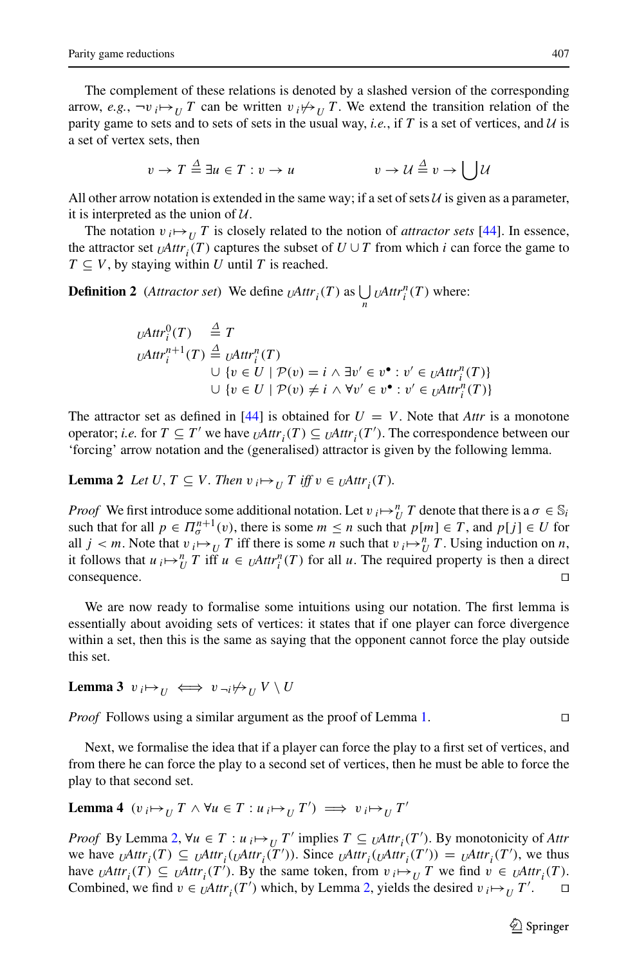The complement of these relations is denoted by a slashed version of the corresponding arrow, *e.g.*,  $\neg v_i \mapsto_H T$  can be written  $v_i \not\leftrightarrow_H T$ . We extend the transition relation of the parity game to sets and to sets of sets in the usual way, *i.e.*, if  $T$  is a set of vertices, and  $U$  is a set of vertex sets, then

$$
v \to T \stackrel{\Delta}{=} \exists u \in T : v \to u \qquad \qquad v \to \mathcal{U} \stackrel{\Delta}{=} v \to \bigcup \mathcal{U}
$$

All other arrow notation is extended in the same way; if a set of sets  $U$  is given as a parameter, it is interpreted as the union of *U*.

The notation  $v_i \mapsto_H T$  is closely related to the notion of *attractor sets* [\[44\]](#page-42-4). In essence, the attractor set  $U^{A}$ ttr<sub>i</sub>(*T*) captures the subset of  $U \cup T$  from which *i* can force the game to  $T \subset V$ , by staying within *U* until *T* is reached.

**Definition 2** (*Attractor set*) We define  $U^{\text{A}} t t r_i(T)$  as  $\bigcup_n U^{\text{A}} t t r_i^n(T)$  where:

$$
vAttr_i^0(T) \stackrel{\Delta}{=} T
$$
  
\n
$$
vAttr_i^{n+1}(T) \stackrel{\Delta}{=} vAttr_i^n(T)
$$
  
\n
$$
\cup \{v \in U \mid \mathcal{P}(v) = i \land \exists v' \in v^{\bullet} : v' \in vAttr_i^n(T)\}
$$
  
\n
$$
\cup \{v \in U \mid \mathcal{P}(v) \neq i \land \forall v' \in v^{\bullet} : v' \in vAttr_i^n(T)\}
$$

The attractor set as defined in [\[44\]](#page-42-4) is obtained for  $U = V$ . Note that *Attr* is a monotone operator; *i.e.* for  $T \subseteq T'$  we have  $\mathcal{U}$ Attr<sub>i</sub>(*T*)  $\subseteq \mathcal{U}$ Attr<sub>i</sub>(*T*'). The correspondence between our 'forcing' arrow notation and the (generalised) attractor is given by the following lemma.

<span id="page-6-0"></span>**Lemma 2** *Let U*,  $T \subseteq V$ *. Then*  $v_i \mapsto H T$  *iff*  $v \in H^1$ *(T)*.

*Proof* We first introduce some additional notation. Let  $v_i \mapsto_U^n T$  denote that there is a  $\sigma \in \mathbb{S}_i$ such that for all  $p \in \prod_{\alpha}^{n+1}(v)$ , there is some  $m \leq n$  such that  $p[m] \in T$ , and  $p[j] \in U$  for all  $j < m$ . Note that  $v_j \mapsto_U T$  iff there is some *n* such that  $v_j \mapsto_U^n T$ . Using induction on *n*, it follows that  $u_i \mapsto_{U}^n T$  iff  $u \in \mathcal{U}$ *Attr*<sup>n</sup> $(T)$  for all *u*. The required property is then a direct consequence.

We are now ready to formalise some intuitions using our notation. The first lemma is essentially about avoiding sets of vertices: it states that if one player can force divergence within a set, then this is the same as saying that the opponent cannot force the play outside this set.

<span id="page-6-1"></span>**Lemma 3**  $v_i \mapsto H_i \iff v_{\neg i} \nleftrightarrow H_i$ 

*Proof* Follows using a similar argument as the proof of Lemma [1.](#page-5-1)

Next, we formalise the idea that if a player can force the play to a first set of vertices, and from there he can force the play to a second set of vertices, then he must be able to force the play to that second set.

<span id="page-6-2"></span>**Lemma 4**  $(v_i \mapsto_U T \land \forall u \in T : u_i \mapsto_U T') \implies v_i \mapsto_U T'$ 

*Proof* By Lemma [2,](#page-6-0)  $\forall u \in T : u_i \mapsto_U T'$  implies  $T \subseteq UAttr_i(T')$ . By monotonicity of Attr we have  $\iota_{U}$ Attr<sub>i</sub>(*T*)  $\subseteq$   $\iota_{U}$ Attr<sub>i</sub>( $U$ Attr<sub>i</sub>(*T*')). Since  $\iota_{U}$ Attr<sub>i</sub>( $T'$ ) =  $\iota_{U}$ Attr<sub>i</sub>( $T'$ ), we thus have  $\iota_{\mathcal{U}}\text{Attr}_i(T) \subseteq \iota_{\mathcal{U}}\text{Attr}_i(T')$ . By the same token, from  $v_i \mapsto_U T$  we find  $v \in \iota_{\mathcal{U}}\text{Attr}_i(T)$ . Combined, we find  $v \in \mathcal{U}$ Attr<sub>i</sub>(T') which, by Lemma [2,](#page-6-0) yields the desired  $v_i \mapsto \mathcal{U}$  T'.  $\Box$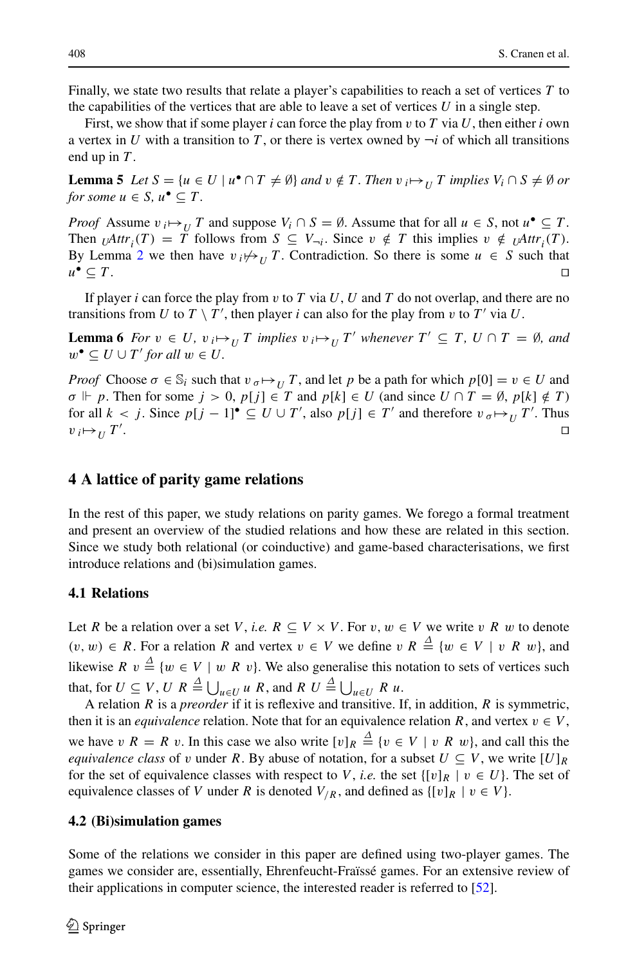Finally, we state two results that relate a player's capabilities to reach a set of vertices *T* to the capabilities of the vertices that are able to leave a set of vertices  $U$  in a single step.

First, we show that if some player *i* can force the play from  $v$  to  $T$  via  $U$ , then either  $i$  own a vertex in *U* with a transition to *T*, or there is vertex owned by  $\neg i$  of which all transitions end up in *T* .

<span id="page-7-1"></span>**Lemma 5** *Let*  $S = \{u \in U \mid u^{\bullet} \cap T \neq \emptyset\}$  *and*  $v \notin T$ . Then  $v_i \mapsto U_i$  *T implies*  $V_i \cap S \neq \emptyset$  *or for some*  $u \in S$ ,  $u^{\bullet} \subseteq T$ .

*Proof* Assume  $v_i \mapsto U_i$  *T* and suppose  $V_i \cap S = \emptyset$ . Assume that for all  $u \in S$ , not  $u^{\bullet} \subseteq T$ . Then  $U\text{Attr}_i(T) = T$  follows from  $S \subseteq V_{\neg i}$ . Since  $v \notin T$  this implies  $v \notin U\text{Attr}_i(T)$ . By Lemma [2](#page-6-0) we then have  $v_i \nleftrightarrow_U T$ . Contradiction. So there is some  $u \in S$  such that  $u^{\bullet} \subset T$ .  $u^{\bullet} \subseteq T$ .

<span id="page-7-2"></span>If player *i* can force the play from  $v$  to  $T$  via  $U$ ,  $U$  and  $T$  do not overlap, and there are no transitions from *U* to  $T \setminus T'$ , then player *i* can also for the play from *v* to  $T'$  via *U*.

**Lemma 6** *For*  $v \in U$ *,*  $v_i \mapsto_H T$  implies  $v_i \mapsto_H T'$  whenever  $T' \subseteq T$ ,  $U \cap T = \emptyset$ *, and*  $w^{\bullet} \subset U \cup T'$  for all  $w \in U$ .

*Proof* Choose  $\sigma \in \mathbb{S}_i$  such that  $v_{\sigma} \mapsto_U T$ , and let p be a path for which  $p[0] = v \in U$  and  $\sigma \Vdash p$ . Then for some  $j > 0$ ,  $p[j] \in T$  and  $p[k] \in U$  (and since  $U \cap T = \emptyset$ ,  $p[k] \notin T$ ) for all  $k < j$ . Since  $p[j-1]$ <sup>o</sup>  $\subseteq U \cup T'$ , also  $p[j] \in T'$  and therefore  $v_{\sigma} \mapsto U T'$ . Thus  $v_i \mapsto U T'.$ . In the contract of the contract of the contract of the contract of the contract of the contract of the contra<br>In the contract of the contract of the contract of the contract of the contract of the contract of the contrac

#### <span id="page-7-0"></span>**4 A lattice of parity game relations**

In the rest of this paper, we study relations on parity games. We forego a formal treatment and present an overview of the studied relations and how these are related in this section. Since we study both relational (or coinductive) and game-based characterisations, we first introduce relations and (bi)simulation games.

### **4.1 Relations**

Let *R* be a relation over a set *V*, *i.e.*  $R \subseteq V \times V$ . For  $v, w \in V$  we write v R w to denote  $(v, w)$  ∈ *R*. For a relation *R* and vertex  $v$  ∈ *V* we define  $v$  *R*  $\stackrel{\Delta}{=}$  { $w$  ∈ *V* |  $v$  *R*  $w$ }, and likewise  $R v \stackrel{\Delta}{=} \{w \in V \mid w \in R v\}$ . We also generalise this notation to sets of vertices such that, for  $U \subseteq V$ ,  $U \cap R \stackrel{\Delta}{=} \bigcup_{u \in U} u \cap R$ , and  $R \cup \stackrel{\Delta}{=} \bigcup_{u \in U} R \cup R$ .

A relation *R* is a *preorder* if it is reflexive and transitive. If, in addition, *R* is symmetric, then it is an *equivalence* relation. Note that for an equivalence relation  $R$ , and vertex  $v \in V$ , we have  $v R = R v$ . In this case we also write  $[v]_R \stackrel{\Delta}{=} \{v \in V \mid v R w\}$ , and call this the *equivalence class* of v under *R*. By abuse of notation, for a subset  $U \subseteq V$ , we write  $[U]_R$ for the set of equivalence classes with respect to *V*, *i.e.* the set  $\{[v]_R \mid v \in U\}$ . The set of equivalence classes of *V* under *R* is denoted  $V_{/R}$ , and defined as  $\{ [v]_R \mid v \in V \}$ .

#### **4.2 (Bi)simulation games**

Some of the relations we consider in this paper are defined using two-player games. The games we consider are, essentially, Ehrenfeucht-Fraïssé games. For an extensive review of their applications in computer science, the interested reader is referred to [\[52\]](#page-43-6).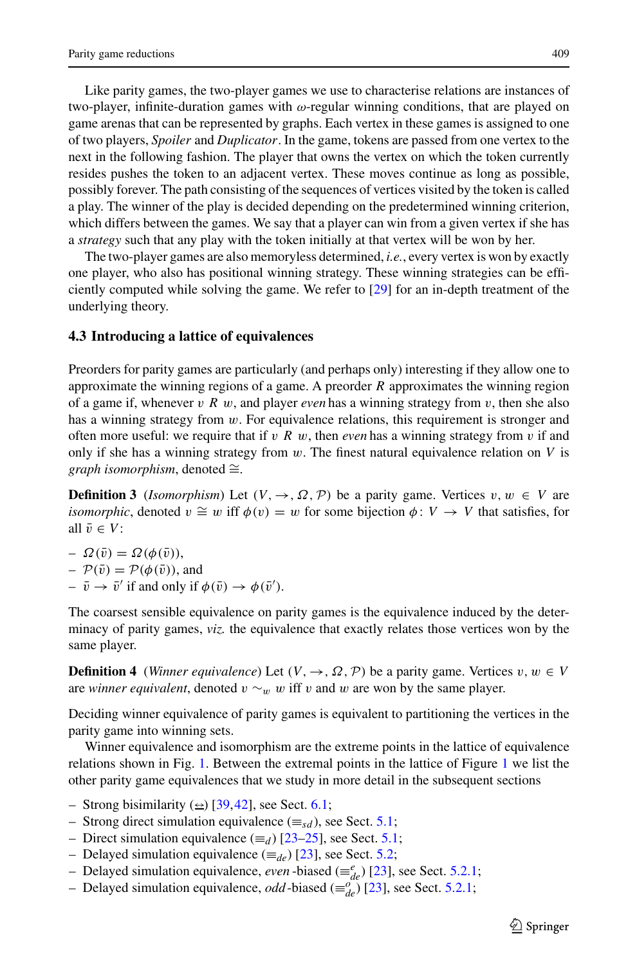Like parity games, the two-player games we use to characterise relations are instances of two-player, infinite-duration games with  $\omega$ -regular winning conditions, that are played on game arenas that can be represented by graphs. Each vertex in these games is assigned to one of two players, *Spoiler* and *Duplicator*. In the game, tokens are passed from one vertex to the next in the following fashion. The player that owns the vertex on which the token currently resides pushes the token to an adjacent vertex. These moves continue as long as possible, possibly forever. The path consisting of the sequences of vertices visited by the token is called a play. The winner of the play is decided depending on the predetermined winning criterion, which differs between the games. We say that a player can win from a given vertex if she has a *strategy* such that any play with the token initially at that vertex will be won by her.

The two-player games are also memoryless determined, *i.e.*, every vertex is won by exactly one player, who also has positional winning strategy. These winning strategies can be efficiently computed while solving the game. We refer to [\[29](#page-42-26)] for an in-depth treatment of the underlying theory.

#### **4.3 Introducing a lattice of equivalences**

Preorders for parity games are particularly (and perhaps only) interesting if they allow one to approximate the winning regions of a game. A preorder *R* approximates the winning region of a game if, whenever v *R* w, and player *even* has a winning strategy from v, then she also has a winning strategy from w. For equivalence relations, this requirement is stronger and often more useful: we require that if  $v R w$ , then *even* has a winning strategy from  $v$  if and only if she has a winning strategy from  $w$ . The finest natural equivalence relation on  $V$  is *graph isomorphism*, denoted ≅.

**Definition 3** (*Isomorphism*) Let  $(V, \rightarrow, \Omega, \mathcal{P})$  be a parity game. Vertices  $v, w \in V$  are *isomorphic*, denoted  $v \cong w$  iff  $\phi(v) = w$  for some bijection  $\phi: V \to V$  that satisfies, for all  $\bar{v} \in V$ :

- $\Omega(\bar{v}) = \Omega(\phi(\bar{v})),$
- $\mathcal{P}(\bar{v}) = \mathcal{P}(\phi(\bar{v}))$ , and
- $\bar{v} \rightarrow \bar{v}'$  if and only if  $\phi(\bar{v}) \rightarrow \phi(\bar{v}')$ .

The coarsest sensible equivalence on parity games is the equivalence induced by the determinacy of parity games, *viz.* the equivalence that exactly relates those vertices won by the same player.

**Definition 4** (*Winner equivalence*) Let  $(V, \rightarrow, \Omega, \mathcal{P})$  be a parity game. Vertices  $v, w \in V$ are *winner equivalent*, denoted  $v \sim_w w$  iff v and w are won by the same player.

Deciding winner equivalence of parity games is equivalent to partitioning the vertices in the parity game into winning sets.

Winner equivalence and isomorphism are the extreme points in the lattice of equivalence relations shown in Fig. [1.](#page-9-1) Between the extremal points in the lattice of Figure [1](#page-9-1) we list the other parity game equivalences that we study in more detail in the subsequent sections

- Strong bisimilarity  $(\triangle)$  [\[39,](#page-42-14)[42](#page-42-10)], see Sect. [6.1;](#page-16-1)
- Strong direct simulation equivalence (≡*sd* ), see Sect. [5.1;](#page-9-2)
- Direct simulation equivalence (≡*<sup>d</sup>* ) [\[23](#page-42-16)[–25\]](#page-42-18), see Sect. [5.1;](#page-9-2)
- Delayed simulation equivalence (≡*de*) [\[23](#page-42-16)], see Sect. [5.2;](#page-12-0)
- Delayed simulation equivalence, *even* -biased (≡*<sup>e</sup> de*) [\[23](#page-42-16)], see Sect. [5.2.1;](#page-15-0)
- Delayed simulation equivalence, *odd*-biased (≡*<sup>o</sup> de*) [\[23\]](#page-42-16), see Sect. [5.2.1;](#page-15-0)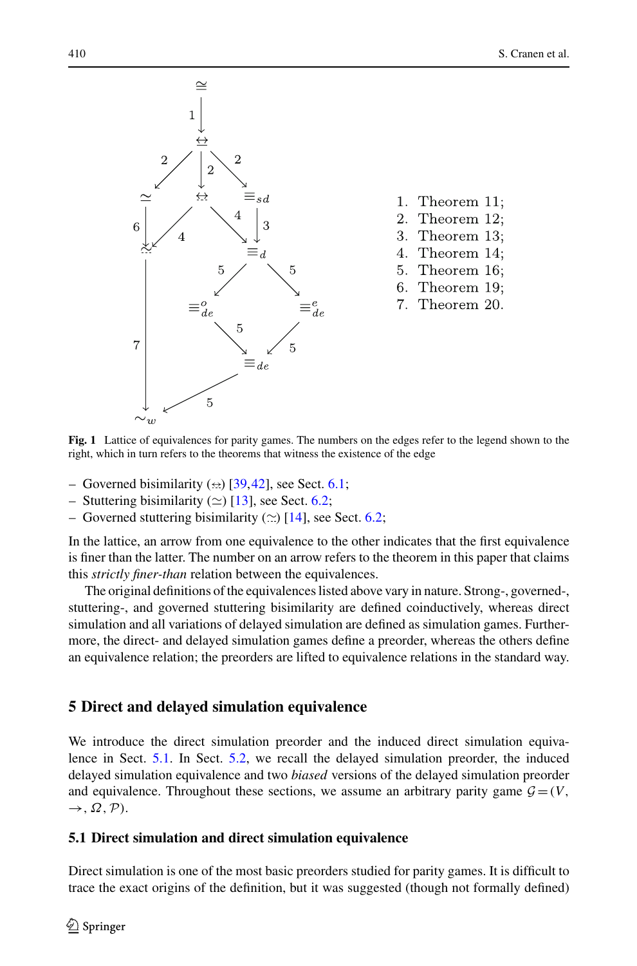

<span id="page-9-1"></span>**Fig. 1** Lattice of equivalences for parity games. The numbers on the edges refer to the legend shown to the right, which in turn refers to the theorems that witness the existence of the edge

- Governed bisimilarity  $(\leftrightarrow)$  [\[39,](#page-42-14)[42](#page-42-10)], see Sect. [6.1;](#page-16-1)
- Stuttering bisimilarity ( $\simeq$ ) [\[13\]](#page-41-5), see Sect. [6.2;](#page-18-0)
- Governed stuttering bisimilarity (∼) [\[14\]](#page-41-6), see Sect. [6.2;](#page-18-0)

In the lattice, an arrow from one equivalence to the other indicates that the first equivalence is finer than the latter. The number on an arrow refers to the theorem in this paper that claims this *strictly finer-than* relation between the equivalences.

The original definitions of the equivalences listed above vary in nature. Strong-, governed-, stuttering-, and governed stuttering bisimilarity are defined coinductively, whereas direct simulation and all variations of delayed simulation are defined as simulation games. Furthermore, the direct- and delayed simulation games define a preorder, whereas the others define an equivalence relation; the preorders are lifted to equivalence relations in the standard way.

# <span id="page-9-0"></span>**5 Direct and delayed simulation equivalence**

We introduce the direct simulation preorder and the induced direct simulation equivalence in Sect. [5.1.](#page-9-2) In Sect. [5.2,](#page-12-0) we recall the delayed simulation preorder, the induced delayed simulation equivalence and two *biased* versions of the delayed simulation preorder and equivalence. Throughout these sections, we assume an arbitrary parity game  $G = (V, \mathcal{C})$  $\rightarrow$ ,  $\Omega$ ,  $\mathcal{P}$ ).

#### <span id="page-9-2"></span>**5.1 Direct simulation and direct simulation equivalence**

Direct simulation is one of the most basic preorders studied for parity games. It is difficult to trace the exact origins of the definition, but it was suggested (though not formally defined)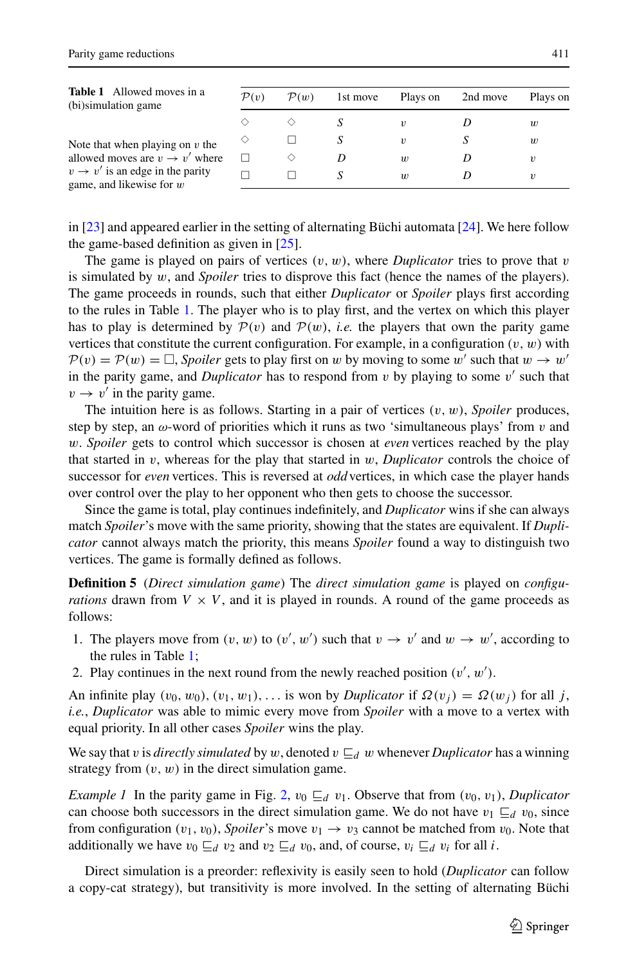<span id="page-10-0"></span>

| <b>Table 1</b> Allowed moves in a<br>(bi)simulation game                  | $\mathcal{P}(v)$ | $\mathcal{P}(w)$ | 1st move | Plays on            | 2nd move | Plays on            |
|---------------------------------------------------------------------------|------------------|------------------|----------|---------------------|----------|---------------------|
|                                                                           |                  |                  |          | $\boldsymbol{\eta}$ |          | w                   |
| Note that when playing on $\nu$ the                                       |                  |                  |          | $\boldsymbol{v}$    |          | $\boldsymbol{w}$    |
| allowed moves are $v \rightarrow v'$ where                                |                  |                  |          | w                   |          | $\boldsymbol{\eta}$ |
| $v \rightarrow v'$ is an edge in the parity<br>game, and likewise for $w$ |                  |                  |          | $\boldsymbol{w}$    |          | $\boldsymbol{\eta}$ |

in [\[23](#page-42-16)] and appeared earlier in the setting of alternating Büchi automata [\[24](#page-42-27)]. We here follow the game-based definition as given in [\[25\]](#page-42-18).

The game is played on pairs of vertices  $(v, w)$ , where *Duplicator* tries to prove that v is simulated by w, and *Spoiler* tries to disprove this fact (hence the names of the players). The game proceeds in rounds, such that either *Duplicator* or *Spoiler* plays first according to the rules in Table [1.](#page-10-0) The player who is to play first, and the vertex on which this player has to play is determined by  $\mathcal{P}(v)$  and  $\mathcal{P}(w)$ , *i.e.* the players that own the parity game vertices that constitute the current configuration. For example, in a configuration  $(v, w)$  with  $P(v) = P(w) = \Box$ , *Spoiler* gets to play first on w by moving to some w' such that  $w \to w'$ in the parity game, and *Duplicator* has to respond from  $v$  by playing to some  $v'$  such that  $v \rightarrow v'$  in the parity game.

The intuition here is as follows. Starting in a pair of vertices  $(v, w)$ , *Spoiler* produces, step by step, an  $\omega$ -word of priorities which it runs as two 'simultaneous plays' from v and w. *Spoiler* gets to control which successor is chosen at *even* vertices reached by the play that started in v, whereas for the play that started in w, *Duplicator* controls the choice of successor for *even* vertices. This is reversed at *odd*vertices, in which case the player hands over control over the play to her opponent who then gets to choose the successor.

Since the game is total, play continues indefinitely, and *Duplicator* wins if she can always match *Spoiler*'s move with the same priority, showing that the states are equivalent. If *Duplicator* cannot always match the priority, this means *Spoiler* found a way to distinguish two vertices. The game is formally defined as follows.

**Definition 5** (*Direct simulation game*) The *direct simulation game* is played on *configurations* drawn from  $V \times V$ , and it is played in rounds. A round of the game proceeds as follows:

- 1. The players move from  $(v, w)$  to  $(v', w')$  such that  $v \to v'$  and  $w \to w'$ , according to the rules in Table [1;](#page-10-0)
- 2. Play continues in the next round from the newly reached position  $(v', w')$ .

An infinite play  $(v_0, w_0), (v_1, w_1), \ldots$  is won by *Duplicator* if  $\Omega(v_i) = \Omega(w_i)$  for all *j*, *i.e.*, *Duplicator* was able to mimic every move from *Spoiler* with a move to a vertex with equal priority. In all other cases *Spoiler* wins the play.

We say that v is *directly simulated* by w, denoted  $v \sqsubseteq_d w$  whenever *Duplicator* has a winning strategy from  $(v, w)$  in the direct simulation game.

*Example 1* In the parity game in Fig. [2,](#page-11-0)  $v_0 \sqsubseteq_d v_1$ . Observe that from  $(v_0, v_1)$ , *Duplicator* can choose both successors in the direct simulation game. We do not have  $v_1 \sqsubseteq_d v_0$ , since from configuration  $(v_1, v_0)$ , *Spoiler*'s move  $v_1 \rightarrow v_3$  cannot be matched from  $v_0$ . Note that additionally we have  $v_0 \sqsubseteq_d v_2$  and  $v_2 \sqsubseteq_d v_0$ , and, of course,  $v_i \sqsubseteq_d v_i$  for all *i*.

Direct simulation is a preorder: reflexivity is easily seen to hold (*Duplicator* can follow a copy-cat strategy), but transitivity is more involved. In the setting of alternating Büchi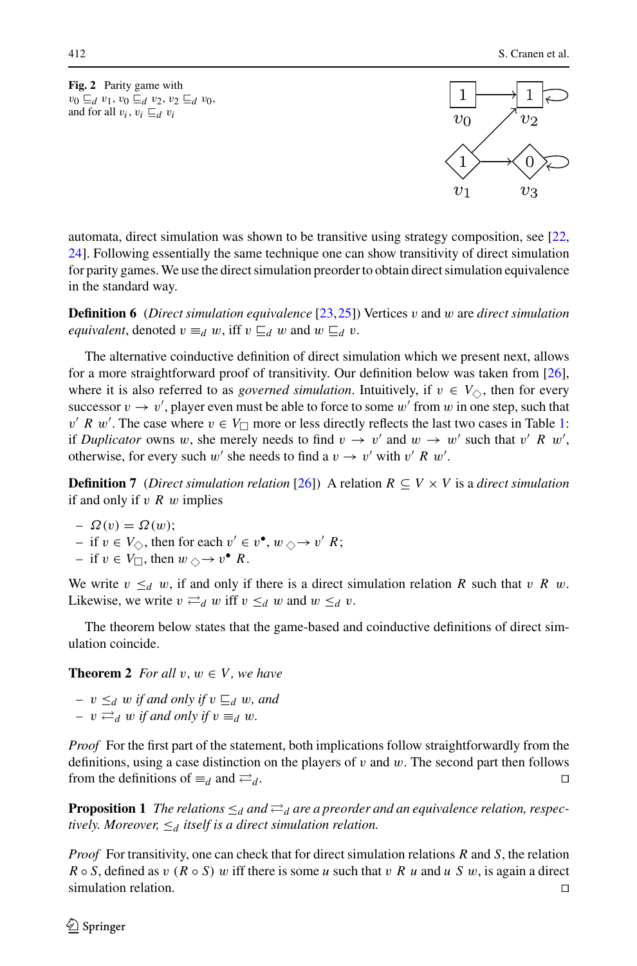<span id="page-11-0"></span>**Fig. 2** Parity game with  $v_0 \sqsubseteq_d v_1, v_0 \sqsubseteq_d v_2, v_2 \sqsubseteq_d v_0$ and for all  $v_i$ ,  $v_i \sqsubseteq_d v_i$ 

automata, direct simulation was shown to be transitive using strategy composition, see [\[22,](#page-42-28) [24\]](#page-42-27). Following essentially the same technique one can show transitivity of direct simulation for parity games.We use the direct simulation preorder to obtain direct simulation equivalence in the standard way.

**Definition 6** (*Direct simulation equivalence* [\[23](#page-42-16)[,25\]](#page-42-18)) Vertices v and w are *direct simulation equivalent*, denoted  $v \equiv_d w$ , iff  $v \sqsubseteq_d w$  and  $w \sqsubseteq_d v$ .

The alternative coinductive definition of direct simulation which we present next, allows for a more straightforward proof of transitivity. Our definition below was taken from [\[26\]](#page-42-29), where it is also referred to as *governed simulation*. Intuitively, if  $v \in V_{\diamondsuit}$ , then for every successor  $v \to v'$ , player even must be able to force to some w' from w in one step, such that  $v'$  *R* w'. The case where  $v \in V_{\square}$  more or less directly reflects the last two cases in Table [1:](#page-10-0) if *Duplicator* owns w, she merely needs to find  $v \to v'$  and  $w \to w'$  such that v' R w', otherwise, for every such w' she needs to find a  $v \to v'$  with  $v' R w'$ .

**Definition 7** (*Direct simulation relation* [\[26](#page-42-29)]) A relation  $R \subseteq V \times V$  is a *direct simulation* if and only if  $v \, R \, w$  implies

- $\Omega(v) = \Omega(w);$
- $-$  if *v* ∈ *V*<sub>◇</sub>, then for each *v'* ∈ *v*<sup>•</sup>, *w* <sub>◇</sub> → *v' R*;
- $-$  if  $v \in V_{\square}$ , then  $w \diamondsuit \rightarrow v^{\bullet} R$ .

We write  $v \leq_d w$ , if and only if there is a direct simulation relation *R* such that v *R* w. Likewise, we write  $v \rightleftarrows_d w$  iff  $v \leq_d w$  and  $w \leq_d v$ .

The theorem below states that the game-based and coinductive definitions of direct simulation coincide.

**Theorem 2** *For all*  $v, w \in V$ *, we have* 

*–*  $v \leq_d w$  *if and only if*  $v \subseteq_d w$ *, and − v*  $\rightleftharpoons_d$  *w if and only if v*  $\equiv_d$  *w.* 

*Proof* For the first part of the statement, both implications follow straightforwardly from the definitions, using a case distinction on the players of  $v$  and  $w$ . The second part then follows from the definitions of  $\equiv_d$  and  $\rightleftarrows_d$ .

<span id="page-11-1"></span>**Proposition 1** *The relations*  $\leq_d$  *and*  $\rightleftarrows_d$  *are a preorder and an equivalence relation, respectively. Moreover,*  $\leq_d$  *itself is a direct simulation relation.* 

*Proof* For transitivity, one can check that for direct simulation relations *R* and *S*, the relation *R* ◦ *S*, defined as *v* (*R* ◦ *S*) *w* iff there is some *u* such that *v R u* and *u S w*, is again a direct simulation relation. simulation relation.

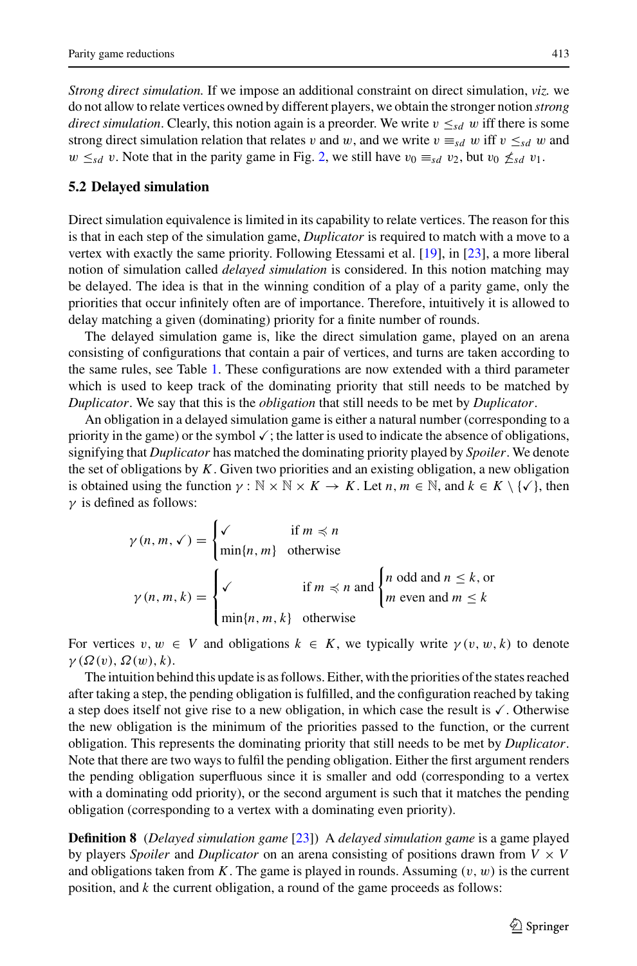*Strong direct simulation.* If we impose an additional constraint on direct simulation, *viz.* we do not allow to relate vertices owned by different players, we obtain the stronger notion *strong direct simulation*. Clearly, this notion again is a preorder. We write  $v \leq_{sd} w$  iff there is some strong direct simulation relation that relates v and w, and we write  $v \equiv_{sd} w$  iff  $v \leq_{sd} w$  and  $w \leq_{sd} v$ . Note that in the parity game in Fig. [2,](#page-11-0) we still have  $v_0 \equiv_{sd} v_2$ , but  $v_0 \not\leq_{sd} v_1$ .

#### <span id="page-12-0"></span>**5.2 Delayed simulation**

Direct simulation equivalence is limited in its capability to relate vertices. The reason for this is that in each step of the simulation game, *Duplicator* is required to match with a move to a vertex with exactly the same priority. Following Etessami et al. [\[19\]](#page-42-22), in [\[23](#page-42-16)], a more liberal notion of simulation called *delayed simulation* is considered. In this notion matching may be delayed. The idea is that in the winning condition of a play of a parity game, only the priorities that occur infinitely often are of importance. Therefore, intuitively it is allowed to delay matching a given (dominating) priority for a finite number of rounds.

The delayed simulation game is, like the direct simulation game, played on an arena consisting of configurations that contain a pair of vertices, and turns are taken according to the same rules, see Table [1.](#page-10-0) These configurations are now extended with a third parameter which is used to keep track of the dominating priority that still needs to be matched by *Duplicator*. We say that this is the *obligation* that still needs to be met by *Duplicator*.

An obligation in a delayed simulation game is either a natural number (corresponding to a priority in the game) or the symbol  $\checkmark$ ; the latter is used to indicate the absence of obligations, signifying that *Duplicator* has matched the dominating priority played by *Spoiler*. We denote the set of obligations by  $K$ . Given two priorities and an existing obligation, a new obligation is obtained using the function  $\gamma : \mathbb{N} \times \mathbb{N} \times K \to K$ . Let  $n, m \in \mathbb{N}$ , and  $k \in K \setminus \{\checkmark\}$ , then  $\gamma$  is defined as follows:

$$
\gamma(n, m, \sqrt{}) = \begin{cases} \sqrt{} & \text{if } m \leq n \\ \min\{n, m\} & \text{otherwise} \end{cases}
$$
\n
$$
\gamma(n, m, k) = \begin{cases} \sqrt{} & \text{if } m \leq n \text{ and } n \leq k, \text{ or} \\ \min\{n, m, k\} & \text{otherwise} \end{cases}
$$

For vertices  $v, w \in V$  and obligations  $k \in K$ , we typically write  $\gamma(v, w, k)$  to denote  $\gamma(\Omega(v), \Omega(w), k)$ .

The intuition behind this update is as follows. Either, with the priorities of the states reached after taking a step, the pending obligation is fulfilled, and the configuration reached by taking a step does itself not give rise to a new obligation, in which case the result is  $\checkmark$ . Otherwise the new obligation is the minimum of the priorities passed to the function, or the current obligation. This represents the dominating priority that still needs to be met by *Duplicator*. Note that there are two ways to fulfil the pending obligation. Either the first argument renders the pending obligation superfluous since it is smaller and odd (corresponding to a vertex with a dominating odd priority), or the second argument is such that it matches the pending obligation (corresponding to a vertex with a dominating even priority).

**Definition 8** (*Delayed simulation game* [\[23\]](#page-42-16)) A *delayed simulation game* is a game played by players *Spoiler* and *Duplicator* on an arena consisting of positions drawn from  $V \times V$ and obligations taken from  $K$ . The game is played in rounds. Assuming  $(v, w)$  is the current position, and *k* the current obligation, a round of the game proceeds as follows: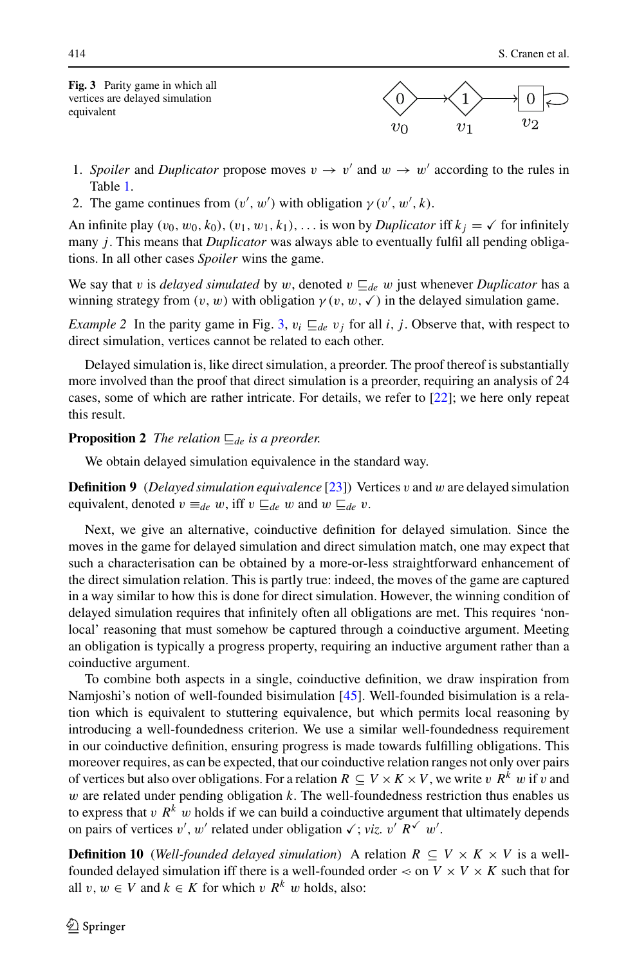<span id="page-13-0"></span>**Fig. 3** Parity game in which all vertices are delayed simulation equivalent



- 1. *Spoiler* and *Duplicator* propose moves  $v \to v'$  and  $w \to w'$  according to the rules in Table [1.](#page-10-0)
- 2. The game continues from  $(v', w')$  with obligation  $\gamma(v', w', k)$ .

An infinite play  $(v_0, w_0, k_0)$ ,  $(v_1, w_1, k_1)$ , ... is won by *Duplicator* iff  $k_i = \checkmark$  for infinitely many *j*. This means that *Duplicator* was always able to eventually fulfil all pending obligations. In all other cases *Spoiler* wins the game.

We say that v is *delayed simulated* by w, denoted  $v \sqsubseteq_{de} w$  just whenever *Duplicator* has a winning strategy from  $(v, w)$  with obligation  $\gamma(v, w, \checkmark)$  in the delayed simulation game.

*Example 2* In the parity game in Fig. [3,](#page-13-0)  $v_i \sqsubseteq_{de} v_j$  for all *i*, *j*. Observe that, with respect to direct simulation, vertices cannot be related to each other.

Delayed simulation is, like direct simulation, a preorder. The proof thereof is substantially more involved than the proof that direct simulation is a preorder, requiring an analysis of 24 cases, some of which are rather intricate. For details, we refer to [\[22](#page-42-28)]; we here only repeat this result.

#### **Proposition 2** *The relation*  $\mathcal{L}_{de}$  *is a preorder.*

We obtain delayed simulation equivalence in the standard way.

**Definition 9** (*Delayed simulation equivalence* [\[23\]](#page-42-16)) Vertices v and w are delayed simulation equivalent, denoted  $v \equiv_{de} w$ , iff  $v \sqsubseteq_{de} w$  and  $w \sqsubseteq_{de} v$ .

Next, we give an alternative, coinductive definition for delayed simulation. Since the moves in the game for delayed simulation and direct simulation match, one may expect that such a characterisation can be obtained by a more-or-less straightforward enhancement of the direct simulation relation. This is partly true: indeed, the moves of the game are captured in a way similar to how this is done for direct simulation. However, the winning condition of delayed simulation requires that infinitely often all obligations are met. This requires 'nonlocal' reasoning that must somehow be captured through a coinductive argument. Meeting an obligation is typically a progress property, requiring an inductive argument rather than a coinductive argument.

To combine both aspects in a single, coinductive definition, we draw inspiration from Namjoshi's notion of well-founded bisimulation [\[45\]](#page-42-17). Well-founded bisimulation is a relation which is equivalent to stuttering equivalence, but which permits local reasoning by introducing a well-foundedness criterion. We use a similar well-foundedness requirement in our coinductive definition, ensuring progress is made towards fulfilling obligations. This moreover requires, as can be expected, that our coinductive relation ranges not only over pairs of vertices but also over obligations. For a relation  $R \subseteq V \times K \times V$ , we write v  $R^k w$  if v and w are related under pending obligation *k*. The well-foundedness restriction thus enables us to express that  $v \, R^k w$  holds if we can build a coinductive argument that ultimately depends on pairs of vertices  $v'$ , w' related under obligation  $\sqrt{\sqrt{x}}$ ,  $v' \cdot R \sqrt{\sqrt{x}}$ 

<span id="page-13-1"></span>**Definition 10** (*Well-founded delayed simulation*) A relation  $R \subseteq V \times K \times V$  is a wellfounded delayed simulation iff there is a well-founded order  $\lt$  on  $V \times V \times K$  such that for all  $v, w \in V$  and  $k \in K$  for which v  $R^k$  w holds, also: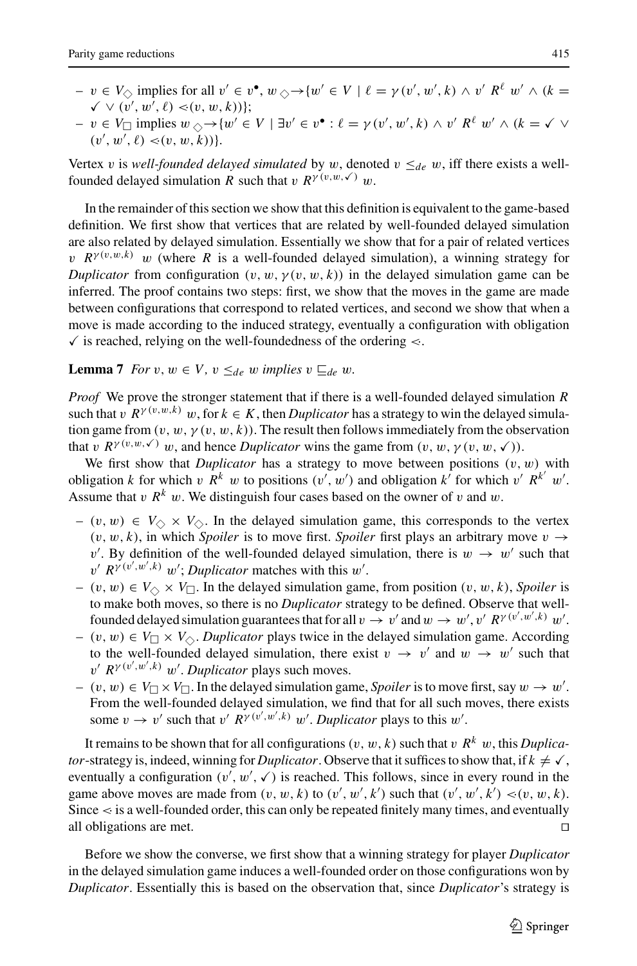- $v \in V$  implies for all  $v' \in v^{\bullet}$ ,  $w \sim v \to \{w' \in V \mid \ell = \gamma(v', w', k) \land v' \mathbb{R}^{\ell} w' \land (k = 0) \}$ ∨ (v , w , ) <·(v, w, *k*))};
- $v \in V$  implies  $w$  <sub>◇</sub> →{ $w' \in V$  | ∃ $v' \in v$ <sup>•</sup> :  $\ell = \gamma(v', w', k) \wedge v'$  *R*<sup>ℓ</sup>  $w' \wedge (k = \checkmark \vee \checkmark)$  $(v', w', \ell) \lessdot (v, w, k))$ .

Vertex v is *well-founded delayed simulated* by w, denoted  $v \leq_{de} w$ , iff there exists a wellfounded delayed simulation *R* such that v  $R^{\gamma(v,w,\mathcal{N})}$  w.

In the remainder of this section we show that this definition is equivalent to the game-based definition. We first show that vertices that are related by well-founded delayed simulation are also related by delayed simulation. Essentially we show that for a pair of related vertices v  $R^{\gamma(v,w,k)}$  w (where R is a well-founded delayed simulation), a winning strategy for *Duplicator* from configuration  $(v, w, \gamma(v, w, k))$  in the delayed simulation game can be inferred. The proof contains two steps: first, we show that the moves in the game are made between configurations that correspond to related vertices, and second we show that when a move is made according to the induced strategy, eventually a configuration with obligation  $\checkmark$  is reached, relying on the well-foundedness of the ordering  $\checkmark$ .

#### <span id="page-14-0"></span>**Lemma 7** *For*  $v, w \in V$ ,  $v \leq_{de} w$  *implies*  $v \sqsubseteq_{de} w$ *.*

*Proof* We prove the stronger statement that if there is a well-founded delayed simulation *R* such that v  $R^{\gamma(v,w,k)}$  w, for  $k \in K$ , then *Duplicator* has a strategy to win the delayed simulation game from  $(v, w, v(v, w, k))$ . The result then follows immediately from the observation that v  $R^{\gamma(v,w,\mathcal{N})}$  w, and hence *Duplicator* wins the game from  $(v, w, \gamma(v, w, \mathcal{N}))$ .

We first show that *Duplicator* has a strategy to move between positions  $(v, w)$  with obligation *k* for which v  $R^k$  w to positions  $(v', w')$  and obligation *k'* for which v'  $R^{k'}$  w'. Assume that v  $R^k$  w. We distinguish four cases based on the owner of v and w.

- $-$  (*v*, *w*) ∈  $V$   $\Diamond$  ×  $V$   $\Diamond$ . In the delayed simulation game, this corresponds to the vertex  $(v, w, k)$ , in which *Spoiler* is to move first. *Spoiler* first plays an arbitrary move  $v \rightarrow$ v'. By definition of the well-founded delayed simulation, there is  $w \to w'$  such that  $v' R^{\gamma(v',w',k)}$  w'; *Duplicator* matches with this w'.
- $-$  (*v*, *w*) ∈ *V*<sub>◇</sub> × *V*<sub>□</sub>. In the delayed simulation game, from position (*v*, *w*, *k*), *Spoiler* is to make both moves, so there is no *Duplicator* strategy to be defined. Observe that wellfounded delayed simulation guarantees that for all  $v \to v'$  and  $w \to w'$ ,  $v' R^{\gamma(v',w',k)} w'$ .
- $-$  (*v*, *w*) ∈ *V* $\cap$  × *V* $\Diamond$ . *Duplicator* plays twice in the delayed simulation game. According to the well-founded delayed simulation, there exist  $v \rightarrow v'$  and  $w \rightarrow w'$  such that  $v'$   $R^{\gamma(v',w',k)}$  *w'*. *Duplicator* plays such moves.
- $-$  (*v*, *w*) ∈ *V* $\Box$  × *V* $\Box$ . In the delayed simulation game, *Spoiler* is to move first, say *w*  $\rightarrow$  *w'*. From the well-founded delayed simulation, we find that for all such moves, there exists some  $v \to v'$  such that  $v' R^{\gamma(v',w',k)}$  w'. *Duplicator* plays to this w'.

It remains to be shown that for all configurations  $(v, w, k)$  such that v  $R^k$  w, this *Duplicator*-strategy is, indeed, winning for *Duplicator*. Observe that it suffices to show that, if  $k \neq \checkmark$ , eventually a configuration  $(v', w', \checkmark)$  is reached. This follows, since in every round in the game above moves are made from  $(v, w, k)$  to  $(v', w', k')$  such that  $(v', w', k') \prec (v, w, k)$ . Since  $\leq$  is a well-founded order, this can only be repeated finitely many times, and eventually all obligations are met. all obligations are met.

Before we show the converse, we first show that a winning strategy for player *Duplicator* in the delayed simulation game induces a well-founded order on those configurations won by *Duplicator*. Essentially this is based on the observation that, since *Duplicator*'s strategy is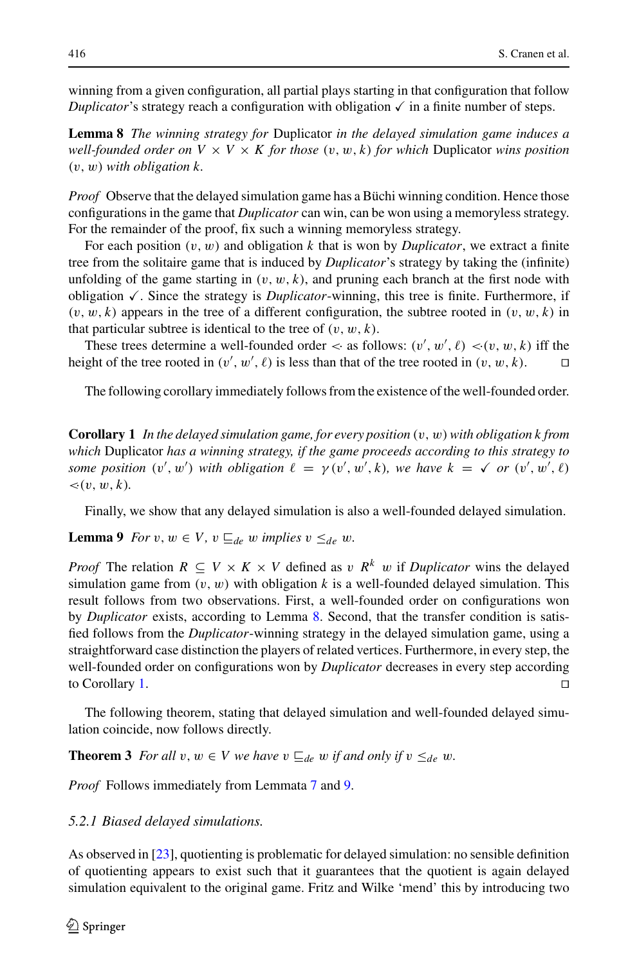<span id="page-15-1"></span>winning from a given configuration, all partial plays starting in that configuration that follow *Duplicator*'s strategy reach a configuration with obligation  $\checkmark$  in a finite number of steps.

**Lemma 8** *The winning strategy for* Duplicator *in the delayed simulation game induces a well-founded order on*  $V \times V \times K$  *for those*  $(v, w, k)$  *for which* Duplicator *wins position* (v, w) *with obligation k.*

*Proof* Observe that the delayed simulation game has a Büchi winning condition. Hence those configurations in the game that *Duplicator* can win, can be won using a memoryless strategy. For the remainder of the proof, fix such a winning memoryless strategy.

For each position  $(v, w)$  and obligation k that is won by *Duplicator*, we extract a finite tree from the solitaire game that is induced by *Duplicator*'s strategy by taking the (infinite) unfolding of the game starting in  $(v, w, k)$ , and pruning each branch at the first node with obligation  $\checkmark$ . Since the strategy is *Duplicator*-winning, this tree is finite. Furthermore, if  $(v, w, k)$  appears in the tree of a different configuration, the subtree rooted in  $(v, w, k)$  in that particular subtree is identical to the tree of  $(v, w, k)$ .

These trees determine a well-founded order  $\langle$  as follows:  $(v', w', \ell) \langle v, w, k \rangle$  iff the height of the tree rooted in  $(v', w', \ell)$  is less than that of the tree rooted in  $(v, w, k)$ .

<span id="page-15-2"></span>The following corollary immediately follows from the existence of the well-founded order.

**Corollary 1** *In the delayed simulation game, for every position* (v, w) *with obligation k from which* Duplicator *has a winning strategy, if the game proceeds according to this strategy to some position*  $(v', w')$  *with obligation*  $\ell = \gamma(v', w', k)$ *, we have*  $k = \ell$  *or*  $(v', w', \ell)$  $\prec$  $(v, w, k)$ .

<span id="page-15-3"></span>Finally, we show that any delayed simulation is also a well-founded delayed simulation.

**Lemma 9** *For*  $v, w \in V$ ,  $v \sqsubseteq_{de} w$  *implies*  $v \leq_{de} w$ *.* 

*Proof* The relation  $R \subseteq V \times K \times V$  defined as v  $R^k$  w if *Duplicator* wins the delayed simulation game from  $(v, w)$  with obligation  $k$  is a well-founded delayed simulation. This result follows from two observations. First, a well-founded order on configurations won by *Duplicator* exists, according to Lemma [8.](#page-15-1) Second, that the transfer condition is satisfied follows from the *Duplicator*-winning strategy in the delayed simulation game, using a straightforward case distinction the players of related vertices. Furthermore, in every step, the well-founded order on configurations won by *Duplicator* decreases in every step according to Corollary [1.](#page-15-2)  $\Box$ 

The following theorem, stating that delayed simulation and well-founded delayed simulation coincide, now follows directly.

**Theorem 3** *For all*  $v, w \in V$  *we have*  $v \sqsubseteq_{de} w$  *if and only if*  $v \leq_{de} w$ *.* 

*Proof* Follows immediately from Lemmata [7](#page-14-0) and [9.](#page-15-3)

#### <span id="page-15-0"></span>*5.2.1 Biased delayed simulations.*

As observed in [\[23](#page-42-16)], quotienting is problematic for delayed simulation: no sensible definition of quotienting appears to exist such that it guarantees that the quotient is again delayed simulation equivalent to the original game. Fritz and Wilke 'mend' this by introducing two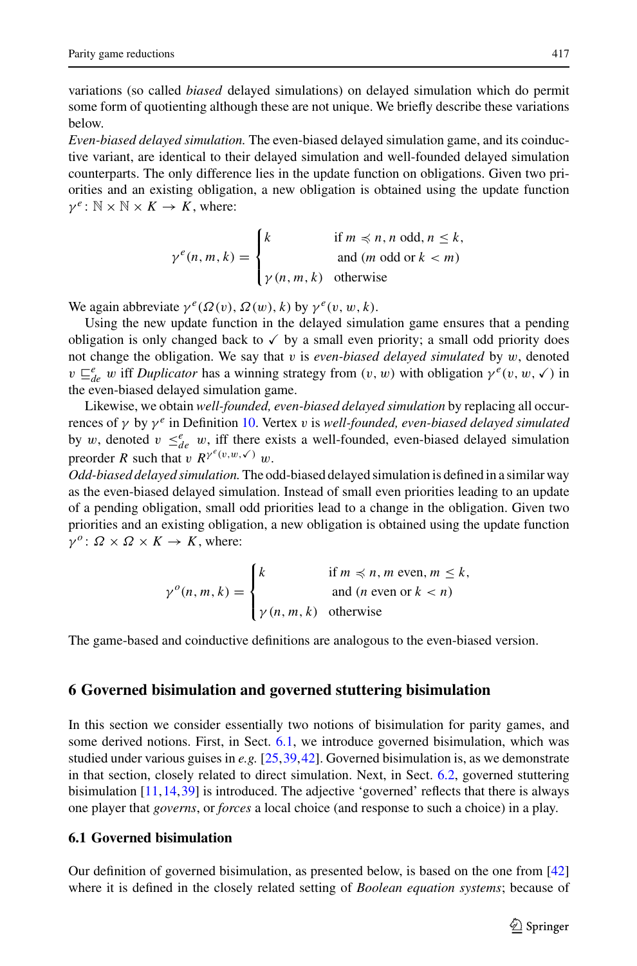variations (so called *biased* delayed simulations) on delayed simulation which do permit some form of quotienting although these are not unique. We briefly describe these variations below.

*Even-biased delayed simulation.* The even-biased delayed simulation game, and its coinductive variant, are identical to their delayed simulation and well-founded delayed simulation counterparts. The only difference lies in the update function on obligations. Given two priorities and an existing obligation, a new obligation is obtained using the update function  $\gamma^e : \mathbb{N} \times \mathbb{N} \times K \to K$ , where:

$$
\gamma^{e}(n, m, k) = \begin{cases} k & \text{if } m \leq n, n \text{ odd}, n \leq k, \\ n & \text{and } (m \text{ odd or } k < m) \end{cases}
$$
\n
$$
\gamma^{e}(n, m, k) \text{ otherwise}
$$

We again abbreviate  $\gamma^{e}(\Omega(v), \Omega(w), k)$  by  $\gamma^{e}(v, w, k)$ .

Using the new update function in the delayed simulation game ensures that a pending obligation is only changed back to  $\checkmark$  by a small even priority; a small odd priority does not change the obligation. We say that v is *even-biased delayed simulated* by w, denoted  $v \sqsubseteq_{de}^e w$  iff *Duplicator* has a winning strategy from  $(v, w)$  with obligation  $\gamma^e(v, w, \checkmark)$  in the even-biased delayed simulation game.

Likewise, we obtain *well-founded, even-biased delayed simulation* by replacing all occurrences of γ by  $γ<sup>e</sup>$  in Definition [10.](#page-13-1) Vertex v is *well-founded, even-biased delayed simulated* by w, denoted  $v \leq_{de}^{e} w$ , iff there exists a well-founded, even-biased delayed simulation preorder *R* such that v  $R^{\gamma^{e}(v,w,\checkmark)}$  w.

*Odd-biased delayed simulation.*The odd-biased delayed simulation is defined in a similar way as the even-biased delayed simulation. Instead of small even priorities leading to an update of a pending obligation, small odd priorities lead to a change in the obligation. Given two priorities and an existing obligation, a new obligation is obtained using the update function  $\gamma^o$ :  $\Omega \times \Omega \times K \to K$ , where:

$$
\gamma^{o}(n, m, k) = \begin{cases} k & \text{if } m \leq n, m \text{ even, } m \leq k, \\ n & \text{and } (n \text{ even or } k < n) \end{cases}
$$
\n
$$
\gamma^{o}(n, m, k) = \begin{cases} k & \text{if } m \leq n, m \text{ even, } m \leq k, \\ \gamma(n, m, k) & \text{otherwise} \end{cases}
$$

The game-based and coinductive definitions are analogous to the even-biased version.

# <span id="page-16-0"></span>**6 Governed bisimulation and governed stuttering bisimulation**

In this section we consider essentially two notions of bisimulation for parity games, and some derived notions. First, in Sect. [6.1,](#page-16-1) we introduce governed bisimulation, which was studied under various guises in *e.g.* [\[25](#page-42-18),[39](#page-42-14)[,42\]](#page-42-10). Governed bisimulation is, as we demonstrate in that section, closely related to direct simulation. Next, in Sect. [6.2,](#page-18-0) governed stuttering bisimulation [\[11](#page-41-15),[14](#page-41-6)[,39\]](#page-42-14) is introduced. The adjective 'governed' reflects that there is always one player that *governs*, or *forces* a local choice (and response to such a choice) in a play.

#### <span id="page-16-1"></span>**6.1 Governed bisimulation**

Our definition of governed bisimulation, as presented below, is based on the one from [\[42\]](#page-42-10) where it is defined in the closely related setting of *Boolean equation systems*; because of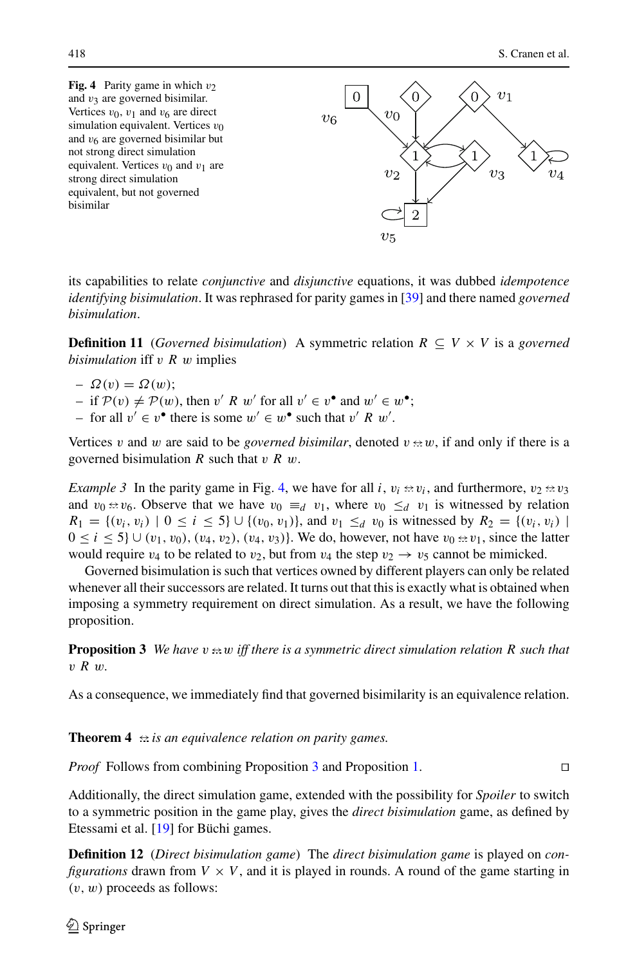<span id="page-17-0"></span>

its capabilities to relate *conjunctive* and *disjunctive* equations, it was dubbed *idempotence identifying bisimulation*. It was rephrased for parity games in [\[39](#page-42-14)] and there named *governed bisimulation*.

**Definition 11** (*Governed bisimulation*) A symmetric relation  $R \subseteq V \times V$  is a *governed bisimulation* iff v *R* w implies

- $\Omega(v) = \Omega(w);$
- $-$  if  $\mathcal{P}(v) \neq \mathcal{P}(w)$ , then v' R w' for all  $v' \in v^{\bullet}$  and  $w' \in w^{\bullet}$ ;
- − for all  $v' \in v^{\bullet}$  there is some  $w' \in w^{\bullet}$  such that  $v' R w'$ .

Vertices v and w are said to be *governed bisimilar*, denoted  $v \approx w$ , if and only if there is a governed bisimulation *R* such that v *R* w.

*Example 3* In the parity game in Fig. [4,](#page-17-0) we have for all *i*,  $v_i \leftrightarrow v_i$ , and furthermore,  $v_2 \leftrightarrow v_3$ and  $v_0 \leftrightarrow v_6$ . Observe that we have  $v_0 \equiv_d v_1$ , where  $v_0 \le_d v_1$  is witnessed by relation  $R_1 = \{(v_i, v_i) \mid 0 \le i \le 5\} \cup \{(v_0, v_1)\}\$ , and  $v_1 \le_d v_0$  is witnessed by  $R_2 = \{(v_i, v_i) \mid$  $0 \le i \le 5$   $\cup$  ( $v_1, v_0$ ), ( $v_4, v_2$ ), ( $v_4, v_3$ ). We do, however, not have  $v_0 \Leftrightarrow v_1$ , since the latter would require  $v_4$  to be related to  $v_2$ , but from  $v_4$  the step  $v_2 \rightarrow v_5$  cannot be mimicked.

Governed bisimulation is such that vertices owned by different players can only be related whenever all their successors are related. It turns out that this is exactly what is obtained when imposing a symmetry requirement on direct simulation. As a result, we have the following proposition.

<span id="page-17-1"></span>**Proposition 3** *We have*  $v \leftrightarrow w$  *iff there is a symmetric direct simulation relation R such that* v *R* w*.*

As a consequence, we immediately find that governed bisimilarity is an equivalence relation.

**Theorem 4**  $\leftrightarrow$  *is an equivalence relation on parity games.* 

*Proof* Follows from combining Proposition [3](#page-17-1) and Proposition [1.](#page-11-1)

Additionally, the direct simulation game, extended with the possibility for *Spoiler* to switch to a symmetric position in the game play, gives the *direct bisimulation* game, as defined by Etessami et al. [\[19](#page-42-22)] for Büchi games.

**Definition 12** (*Direct bisimulation game*) The *direct bisimulation game* is played on *configurations* drawn from  $V \times V$ , and it is played in rounds. A round of the game starting in  $(v, w)$  proceeds as follows: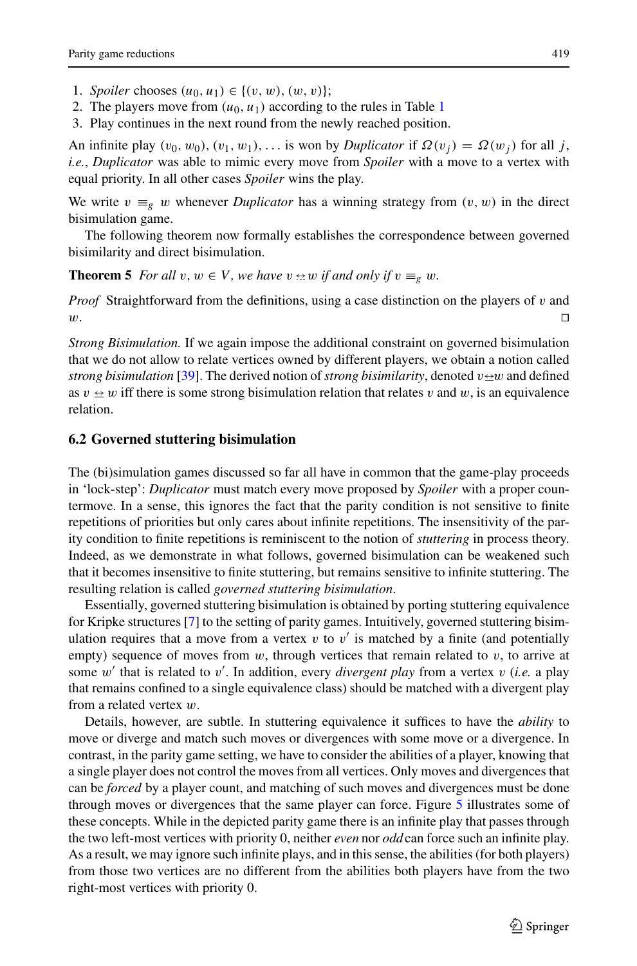- 1. *Spoiler* chooses  $(u_0, u_1) \in \{(v, w), (w, v)\};$
- 2. The players move from  $(u_0, u_1)$  $(u_0, u_1)$  $(u_0, u_1)$  according to the rules in Table 1
- 3. Play continues in the next round from the newly reached position.

An infinite play  $(v_0, w_0), (v_1, w_1), \ldots$  is won by *Duplicator* if  $\Omega(v_i) = \Omega(w_i)$  for all *i*, *i.e.*, *Duplicator* was able to mimic every move from *Spoiler* with a move to a vertex with equal priority. In all other cases *Spoiler* wins the play.

We write  $v \equiv_{g} w$  whenever *Duplicator* has a winning strategy from  $(v, w)$  in the direct bisimulation game.

The following theorem now formally establishes the correspondence between governed bisimilarity and direct bisimulation.

**Theorem 5** *For all*  $v, w \in V$ *, we have*  $v \triangleleft w$  *if and only if*  $v \equiv_{g} w$ *.* 

*Proof* Straightforward from the definitions, using a case distinction on the players of v and  $w.$ 

*Strong Bisimulation.* If we again impose the additional constraint on governed bisimulation that we do not allow to relate vertices owned by different players, we obtain a notion called *strong bisimulation* [\[39\]](#page-42-14). The derived notion of *strong bisimilarity*, denoted  $v \leq w$  and defined as  $v \leftrightarrow w$  iff there is some strong bisimulation relation that relates v and w, is an equivalence relation.

# <span id="page-18-0"></span>**6.2 Governed stuttering bisimulation**

The (bi)simulation games discussed so far all have in common that the game-play proceeds in 'lock-step': *Duplicator* must match every move proposed by *Spoiler* with a proper countermove. In a sense, this ignores the fact that the parity condition is not sensitive to finite repetitions of priorities but only cares about infinite repetitions. The insensitivity of the parity condition to finite repetitions is reminiscent to the notion of *stuttering* in process theory. Indeed, as we demonstrate in what follows, governed bisimulation can be weakened such that it becomes insensitive to finite stuttering, but remains sensitive to infinite stuttering. The resulting relation is called *governed stuttering bisimulation*.

Essentially, governed stuttering bisimulation is obtained by porting stuttering equivalence for Kripke structures [\[7\]](#page-41-16) to the setting of parity games. Intuitively, governed stuttering bisimulation requires that a move from a vertex  $v$  to  $v'$  is matched by a finite (and potentially empty) sequence of moves from w, through vertices that remain related to v, to arrive at some w' that is related to v'. In addition, every *divergent play* from a vertex v (*i.e.* a play that remains confined to a single equivalence class) should be matched with a divergent play from a related vertex w.

Details, however, are subtle. In stuttering equivalence it suffices to have the *ability* to move or diverge and match such moves or divergences with some move or a divergence. In contrast, in the parity game setting, we have to consider the abilities of a player, knowing that a single player does not control the moves from all vertices. Only moves and divergences that can be *forced* by a player count, and matching of such moves and divergences must be done through moves or divergences that the same player can force. Figure [5](#page-19-0) illustrates some of these concepts. While in the depicted parity game there is an infinite play that passes through the two left-most vertices with priority 0, neither *even* nor *odd*can force such an infinite play. As a result, we may ignore such infinite plays, and in this sense, the abilities (for both players) from those two vertices are no different from the abilities both players have from the two right-most vertices with priority 0.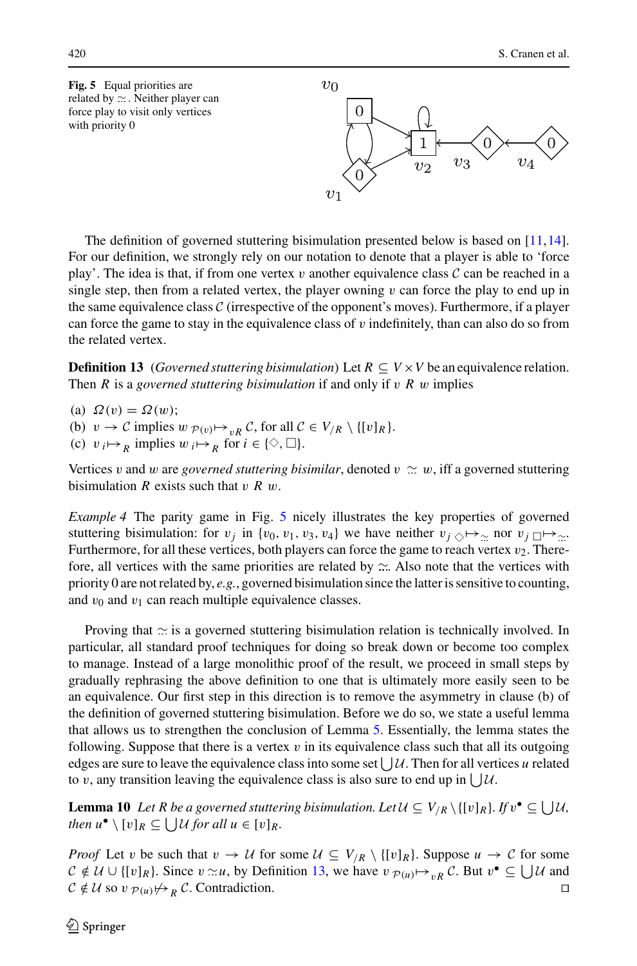<span id="page-19-0"></span>



The definition of governed stuttering bisimulation presented below is based on  $[11,14]$  $[11,14]$ . For our definition, we strongly rely on our notation to denote that a player is able to 'force play'. The idea is that, if from one vertex  $v$  another equivalence class  $\mathcal C$  can be reached in a single step, then from a related vertex, the player owning  $v$  can force the play to end up in the same equivalence class  $C$  (irrespective of the opponent's moves). Furthermore, if a player can force the game to stay in the equivalence class of  $\nu$  indefinitely, than can also do so from the related vertex.

<span id="page-19-1"></span>**Definition 13** (*Governed stuttering bisimulation*) Let  $R \subseteq V \times V$  be an equivalence relation. Then *R* is a *governed stuttering bisimulation* if and only if v *R* w implies

(a)  $\Omega(v) = \Omega(w)$ ;

- (b)  $v \to \mathcal{C}$  implies  $w \mathcal{P}(v) \mapsto v \mathcal{R} \mathcal{C}$ , for all  $\mathcal{C} \in V_{/R} \setminus \{[v]_R\}.$
- (c)  $v_i \mapsto_R \text{ implies } w_i \mapsto_R \text{ for } i \in \{\Diamond, \Box\}.$

Vertices v and w are *governed stuttering bisimilar*, denoted v ∼ w, iff a governed stuttering bisimulation *R* exists such that  $v R w$ .

*Example 4* The parity game in Fig. [5](#page-19-0) nicely illustrates the key properties of governed stuttering bisimulation: for  $v_j$  in  $\{v_0, v_1, v_3, v_4\}$  we have neither  $v_j \diamond \rightarrow \sim$  nor  $v_j \square \rightarrow \sim$ Furthermore, for all these vertices, both players can force the game to reach vertex  $v_2$ . Therefore, all vertices with the same priorities are related by ∼. Also note that the vertices with priority 0 are not related by, *e.g.*, governed bisimulation since the latter is sensitive to counting, and  $v_0$  and  $v_1$  can reach multiple equivalence classes.

Proving that ∼ is a governed stuttering bisimulation relation is technically involved. In particular, all standard proof techniques for doing so break down or become too complex to manage. Instead of a large monolithic proof of the result, we proceed in small steps by gradually rephrasing the above definition to one that is ultimately more easily seen to be an equivalence. Our first step in this direction is to remove the asymmetry in clause (b) of the definition of governed stuttering bisimulation. Before we do so, we state a useful lemma that allows us to strengthen the conclusion of Lemma [5.](#page-7-1) Essentially, the lemma states the following. Suppose that there is a vertex  $v$  in its equivalence class such that all its outgoing edges are sure to leave the equivalence class into some set  $\vert \mathcal{U}$ . Then for all vertices *u* related to v, any transition leaving the equivalence class is also sure to end up in  $| \mathcal{U} |$ .

<span id="page-19-2"></span>**Lemma 10** Let R be a governed stuttering bisimulation. Let  $U \subseteq V_{/R} \setminus \{[v]_R\}$ . If  $v^{\bullet} \subseteq \bigcup U$ , *then*  $u^{\bullet} \setminus [v]_R \subseteq \bigcup U$  *for all*  $u \in [v]_R$ .

*Proof* Let v be such that  $v \to U$  for some  $U \subseteq V_{/R} \setminus \{[v]_R\}$ . Suppose  $u \to C$  for some *C* ∉ *U* ∪ {[v]<sub>*R*</sub>}. Since v ∼*u*, by Definition [13,](#page-19-1) we have  $v \nvert_{\mathcal{P}(u)} \mapsto v_R C$ . But  $v^{\bullet} \subseteq \bigcup \mathcal{U}$  and  $C \notin \mathcal{U}$  so  $v \nvert_{\mathcal{P}(u)} \mapsto v_R C$ . Contradiction.  $C \notin U$  so  $v_{\mathcal{P}(u)} \nleftrightarrow_{R} C$ . Contradiction.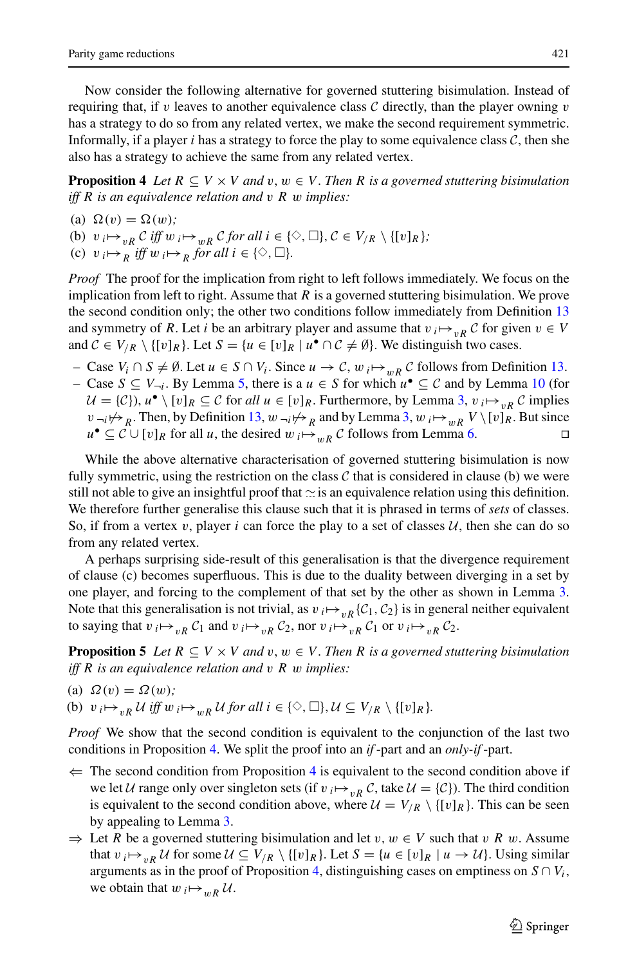Now consider the following alternative for governed stuttering bisimulation. Instead of requiring that, if v leaves to another equivalence class  $C$  directly, than the player owning  $v$ has a strategy to do so from any related vertex, we make the second requirement symmetric. Informally, if a player *i* has a strategy to force the play to some equivalence class  $\mathcal{C}$ , then she also has a strategy to achieve the same from any related vertex.

<span id="page-20-0"></span>**Proposition 4** *Let*  $R \subseteq V \times V$  *and*  $v, w \in V$ *. Then*  $R$  *is a governed stuttering bisimulation iff R is an equivalence relation and* v *R* w *implies:*

- (a)  $\Omega(v) = \Omega(w)$ ;
- (b)  $v_i \mapsto v_R C$  *iff*  $w_i \mapsto w_R C$  *for all*  $i \in \{ \diamond, \Box \}, C \in V_{/R} \setminus \{ [v]_R \};$
- (c)  $v_i \mapsto_R \text{ iff } w_i \mapsto_R \text{ for all } i \in \{\diamondsuit, \square\}.$

*Proof* The proof for the implication from right to left follows immediately. We focus on the implication from left to right. Assume that *R* is a governed stuttering bisimulation. We prove the second condition only; the other two conditions follow immediately from Definition [13](#page-19-1) and symmetry of *R*. Let *i* be an arbitrary player and assume that  $v_i \mapsto_{nR} C$  for given  $v \in V$ and  $C \in V/R \setminus \{[v]R\}$ . Let  $S = \{u \in [v]R \mid u^{\bullet} \cap C \neq \emptyset\}$ . We distinguish two cases.

- $-$  Case *V<sub>i</sub>* ∩ *S*  $\neq$  Ø. Let  $u \in S \cap V_i$ . Since  $u \to C$ ,  $w_i \mapsto w_R C$  follows from Definition [13.](#page-19-1)
- Case *S* ⊆ *V*¬*i*. By Lemma [5,](#page-7-1) there is a *u* ∈ *S* for which *u* ⊆ *C* and by Lemma [10](#page-19-2) (for *U* = {C}),  $u^{\bullet} \setminus [v]_R ⊆ C$  for *all*  $u ∈ [v]_R$ . Furthermore, by Lemma [3,](#page-6-1)  $v_i \mapsto_{vR} C$  implies *v*<sub>→*i*</sub>→ $_R$ . Then, by Definition [13,](#page-19-1)  $w_{-i}$  →  $_R$  and by Lemma [3,](#page-6-1)  $w_i$  →  $w_R$  *V*  $\setminus$  [*v*] $_R$ . But since  $u^{\bullet} \subset C \cup \{v\}_R$  for all  $u$ , the desired  $w_i \mapsto$   $R$   $\subset$  6 follows from Lemma 6.  $u^{\bullet} \subseteq C \cup [v]_R$  for all *u*, the desired  $w_i \mapsto w_R C$  follows from Lemma [6.](#page-7-2)

While the above alternative characterisation of governed stuttering bisimulation is now fully symmetric, using the restriction on the class  $C$  that is considered in clause (b) we were still not able to give an insightful proof that ∼is an equivalence relation using this definition. We therefore further generalise this clause such that it is phrased in terms of *sets* of classes. So, if from a vertex  $v$ , player  $i$  can force the play to a set of classes  $U$ , then she can do so from any related vertex.

A perhaps surprising side-result of this generalisation is that the divergence requirement of clause (c) becomes superfluous. This is due to the duality between diverging in a set by one player, and forcing to the complement of that set by the other as shown in Lemma [3.](#page-6-1) Note that this generalisation is not trivial, as  $v_i \mapsto_{vR}$  { $C_1$ ,  $C_2$ } is in general neither equivalent to saying that  $v_i \mapsto_{vR} C_1$  and  $v_i \mapsto_{vR} C_2$ , nor  $v_i \mapsto_{vR} C_1$  or  $v_i \mapsto_{vR} C_2$ .

<span id="page-20-1"></span>**Proposition 5** *Let*  $R \subseteq V \times V$  *and*  $v, w \in V$ *. Then*  $R$  *is a governed stuttering bisimulation iff R is an equivalence relation and* v *R* w *implies:*

(a) 
$$
\Omega(v) = \Omega(w)
$$
;

(b)  $v_i \mapsto_{vR} U$  *iff*  $w_i \mapsto_{wR} U$  for all  $i \in \{\Diamond, \Box\}, U \subseteq V_{/R} \setminus \{[v]_R\}.$ 

*Proof* We show that the second condition is equivalent to the conjunction of the last two conditions in Proposition [4.](#page-20-0) We split the proof into an *if* -part and an *only-if* -part.

- $\Leftarrow$  The second condition from Proposition [4](#page-20-0) is equivalent to the second condition above if we let *U* range only over singleton sets (if  $v_i \mapsto_{vR} C$ , take  $\mathcal{U} = \{C\}$ ). The third condition is equivalent to the second condition above, where  $U = V_{/R} \setminus \{ [v]_R \}$ . This can be seen by appealing to Lemma [3.](#page-6-1)
- $\Rightarrow$  Let *R* be a governed stuttering bisimulation and let v,  $w \in V$  such that v *R* w. Assume that  $v_i \mapsto_{vR} U$  for some  $U \subseteq V_{/R} \setminus \{ [v]_R \}$ . Let  $S = \{ u \in [v]_R \mid u \to U \}$ . Using similar arguments as in the proof of Proposition [4,](#page-20-0) distinguishing cases on emptiness on  $S \cap V_i$ , we obtain that  $w_i \mapsto W_{wR} \mathcal{U}$ .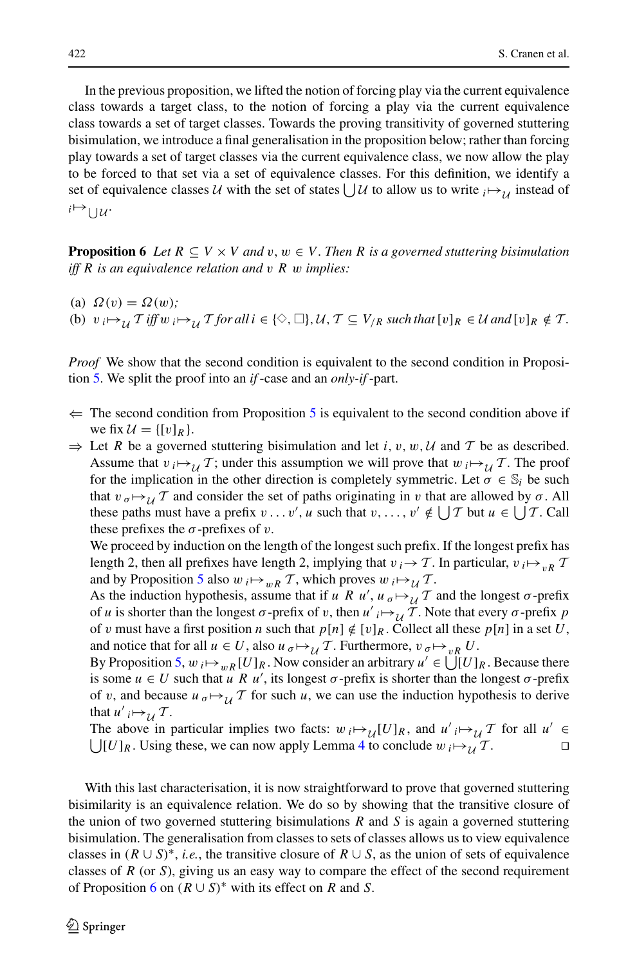In the previous proposition, we lifted the notion of forcing play via the current equivalence class towards a target class, to the notion of forcing a play via the current equivalence class towards a set of target classes. Towards the proving transitivity of governed stuttering bisimulation, we introduce a final generalisation in the proposition below; rather than forcing play towards a set of target classes via the current equivalence class, we now allow the play to be forced to that set via a set of equivalence classes. For this definition, we identify a set of equivalence classes *U* with the set of states  $\bigcup U$  to allow us to write  $\overline{I} \mapsto \overline{I}$  instead of  $i \mapsto |U$ 

<span id="page-21-0"></span>**Proposition 6** *Let*  $R \subseteq V \times V$  *and*  $v, w \in V$ *. Then*  $R$  *is a governed stuttering bisimulation iff R is an equivalence relation and* v *R* w *implies:*

(a)  $\Omega(v) = \Omega(w)$ ; (b)  $v_i \mapsto \mathcal{U}$  *T* iff  $w_i \mapsto \mathcal{U}$  *T* for all  $i \in \{\Diamond, \Box\}, \mathcal{U}, \mathcal{T} \subseteq V_{/R}$  such that  $[v]_R \in \mathcal{U}$  and  $[v]_R \notin \mathcal{T}$ .

*Proof* We show that the second condition is equivalent to the second condition in Proposition [5.](#page-20-1) We split the proof into an *if* -case and an *only-if* -part.

- $\Leftarrow$  The second condition from Proposition [5](#page-20-1) is equivalent to the second condition above if we fix  $\mathcal{U} = \{ [v]_R \}.$
- $\Rightarrow$  Let *R* be a governed stuttering bisimulation and let *i*, *v*, *w*, *U* and *T* be as described. Assume that  $v_i \mapsto \mathcal{U}$  *T*; under this assumption we will prove that  $w_i \mapsto \mathcal{U}$  *T*. The proof for the implication in the other direction is completely symmetric. Let  $\sigma \in \mathbb{S}_i$  be such that  $v_{\sigma} \mapsto_{\mathcal{U}} T$  and consider the set of paths originating in v that are allowed by  $\sigma$ . All these paths must have a prefix  $v \dots v'$ , *u* such that  $v, \dots, v' \notin \bigcup \mathcal{T}$  but  $u \in \bigcup \mathcal{T}$ . Call these prefixes the  $\sigma$ -prefixes of v.

We proceed by induction on the length of the longest such prefix. If the longest prefix has length 2, then all prefixes have length 2, implying that  $v_i \rightarrow \mathcal{T}$ . In particular,  $v_i \mapsto R \mathcal{T}$ and by Proposition [5](#page-20-1) also  $w_i \mapsto_{wR} T$ , which proves  $w_i \mapsto_{\mathcal{U}} T$ .

As the induction hypothesis, assume that if *uRu'*,  $u_{\sigma} \mapsto u_{\sigma} T$  and the longest  $\sigma$ -prefix of *u* is shorter than the longest σ-prefix of *v*, then  $u'_{i} \mapsto u T$ . Note that every σ-prefix *p* of v must have a first position *n* such that  $p[n] \notin [v]_R$ . Collect all these  $p[n]$  in a set U, and notice that for all  $u \in U$ , also  $u_{\sigma} \mapsto_{\mathcal{U}} T$ . Furthermore,  $v_{\sigma} \mapsto_{vR} U$ .

By Proposition [5,](#page-20-1)  $w_i \mapsto w_R[U]_R$ . Now consider an arbitrary  $u' \in \bigcup [U]_R$ . Because there is some  $u \in U$  such that *uRu'*, its longest  $\sigma$ -prefix is shorter than the longest  $\sigma$ -prefix of v, and because  $u_{\sigma} \mapsto_{\mathcal{U}} \mathcal{T}$  for such u, we can use the induction hypothesis to derive that  $u'_{i} \mapsto u_{i}T$ .

The above in particular implies two facts:  $w_i \mapsto \mathcal{U}[U]_R$ , and  $u'_i \mapsto \mathcal{U}[T]$  for all  $u' \in \mathcal{U}[U]_R$ .  $\bigcup [U]_R$ . Using these, we can now apply Lemma [4](#page-6-2) to conclude  $w_i \mapsto \mathcal{U}(\mathcal{T})$ .

<span id="page-21-1"></span>With this last characterisation, it is now straightforward to prove that governed stuttering bisimilarity is an equivalence relation. We do so by showing that the transitive closure of the union of two governed stuttering bisimulations *R* and *S* is again a governed stuttering bisimulation. The generalisation from classes to sets of classes allows us to view equivalence classes in  $(R \cup S)^*$ , *i.e.*, the transitive closure of  $R \cup S$ , as the union of sets of equivalence classes of *R* (or *S*), giving us an easy way to compare the effect of the second requirement of Proposition [6](#page-21-0) on  $(R \cup S)^*$  with its effect on *R* and *S*.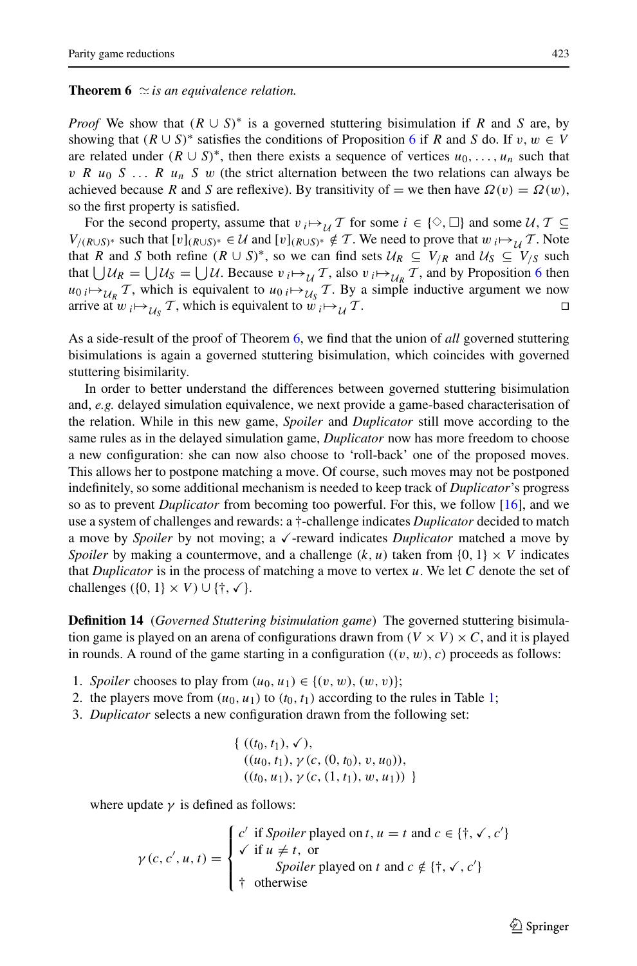#### **Theorem 6** ∼ *is an equivalence relation.*

*Proof* We show that  $(R \cup S)^*$  is a governed stuttering bisimulation if *R* and *S* are, by showing that  $(R \cup S)^*$  satisfies the conditions of Proposition [6](#page-21-0) if *R* and *S* do. If  $v, w \in V$ are related under  $(R \cup S)^*$ , then there exists a sequence of vertices  $u_0, \ldots, u_n$  such that v *R*  $u_0$  *S* ... *R*  $u_n$  *S* w (the strict alternation between the two relations can always be achieved because *R* and *S* are reflexive). By transitivity of = we then have  $\Omega(v) = \Omega(w)$ , so the first property is satisfied.

For the second property, assume that  $v_i \mapsto \mathcal{U}$  *T* for some  $i \in \{ \diamond, \square \}$  and some  $\mathcal{U}, \mathcal{T} \subseteq \mathcal{U}$  and the second is the second in  $\mathcal{T}$ . *V*/(*R*∪*S*)<sup>∗</sup> such that  $[v]$ (*R*∪*S*)<sup>∗</sup> ∈ *U* and  $[v]$ (*R*∪*S*)<sup>∗</sup> ∈ *T*. We need to prove that w  $i \mapsto \nu I$ . Note that *R* and *S* both refine  $(R \cup S)^*$ , so we can find sets  $U_R \subseteq V_{/R}$  and  $U_S \subseteq V_{/S}$  such that  $\bigcup \mathcal{U}_R = \bigcup \mathcal{U}_S = \bigcup \mathcal{U}$ . Because  $v_i \mapsto \mathcal{U}^T$ , also  $v_i \mapsto \mathcal{U}_R^T$ , and by Proposition [6](#page-21-0) then  $u_0 \rightarrow u_R$  *T*, which is equivalent to  $u_0 \rightarrow u_S$  *T*. By a simple inductive argument we now arrive at  $w_i \mapsto \mathcal{U}_s$  *T*, which is equivalent to  $w_i \mapsto \mathcal{U}_t$  *T*.

As a side-result of the proof of Theorem [6,](#page-21-1) we find that the union of *all* governed stuttering bisimulations is again a governed stuttering bisimulation, which coincides with governed stuttering bisimilarity.

In order to better understand the differences between governed stuttering bisimulation and, *e.g.* delayed simulation equivalence, we next provide a game-based characterisation of the relation. While in this new game, *Spoiler* and *Duplicator* still move according to the same rules as in the delayed simulation game, *Duplicator* now has more freedom to choose a new configuration: she can now also choose to 'roll-back' one of the proposed moves. This allows her to postpone matching a move. Of course, such moves may not be postponed indefinitely, so some additional mechanism is needed to keep track of *Duplicator*'s progress so as to prevent *Duplicator* from becoming too powerful. For this, we follow [\[16](#page-41-13)], and we use a system of challenges and rewards: a †-challenge indicates *Duplicator* decided to match a move by *Spoiler* by not moving; a  $\checkmark$ -reward indicates *Duplicator* matched a move by *Spoiler* by making a countermove, and a challenge  $(k, u)$  taken from  $\{0, 1\} \times V$  indicates that *Duplicator* is in the process of matching a move to vertex *u*. We let *C* denote the set of challenges  $({0, 1} \times V) \cup {\dagger}$ ,  $\checkmark$ .

**Definition 14** (*Governed Stuttering bisimulation game*) The governed stuttering bisimulation game is played on an arena of configurations drawn from  $(V \times V) \times C$ , and it is played in rounds. A round of the game starting in a configuration  $((v, w), c)$  proceeds as follows:

- 1. *Spoiler* chooses to play from  $(u_0, u_1) \in \{(v, w), (w, v)\};$
- 2. the players move from  $(u_0, u_1)$  to  $(t_0, t_1)$  according to the rules in Table [1;](#page-10-0)
- 3. *Duplicator* selects a new configuration drawn from the following set:

$$
\{ ((t_0, t_1), \checkmark),((u_0, t_1), \gamma (c, (0, t_0), v, u_0)),((t_0, u_1), \gamma (c, (1, t_1), w, u_1)) \}
$$

where update  $\gamma$  is defined as follows:

$$
\gamma(c, c', u, t) = \begin{cases} c' & \text{if Spoiler played on } t, u = t \text{ and } c \in \{\dagger, \sqrt{}, c'\} \\ \sqrt{t} & \text{if } u \neq t, \text{ or } \\ \text{spoiler played on } t \text{ and } c \notin \{\dagger, \sqrt{}, c'\} \\ \dagger & \text{otherwise} \end{cases}
$$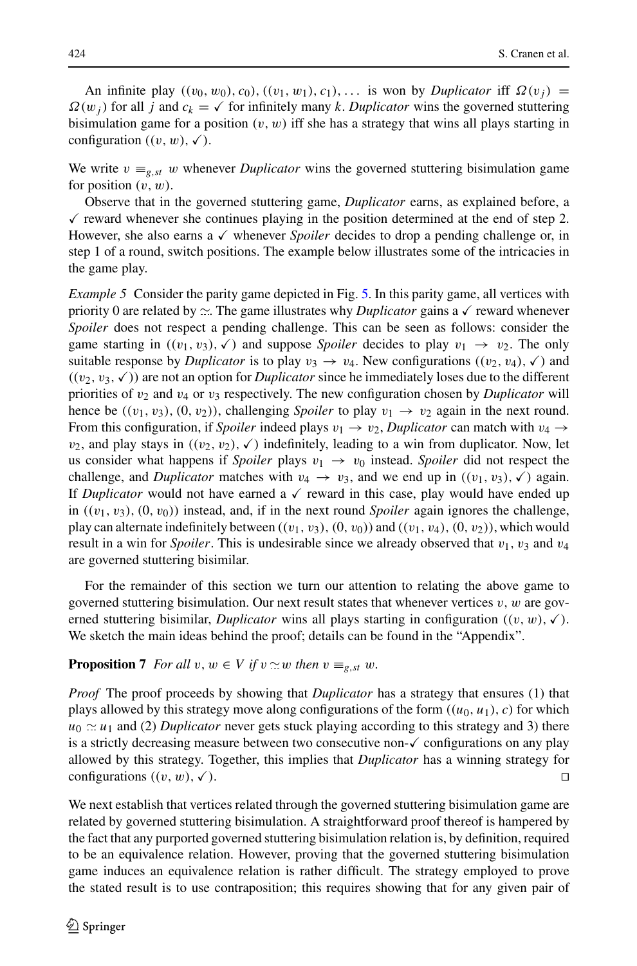An infinite play  $((v_0, w_0), c_0), ((v_1, w_1), c_1), \ldots$  is won by *Duplicator* iff  $\Omega(v_i)$  =  $\Omega(w_i)$  for all *j* and  $c_k = \sqrt{\text{ for infinitely many } k}$ . *Duplicator* wins the governed stuttering bisimulation game for a position  $(v, w)$  iff she has a strategy that wins all plays starting in configuration  $((v, w), \checkmark)$ .

We write  $v \equiv_{e, st} w$  whenever *Duplicator* wins the governed stuttering bisimulation game for position  $(v, w)$ .

Observe that in the governed stuttering game, *Duplicator* earns, as explained before, a  $\checkmark$  reward whenever she continues playing in the position determined at the end of step 2. However, she also earns a  $\checkmark$  whenever *Spoiler* decides to drop a pending challenge or, in step 1 of a round, switch positions. The example below illustrates some of the intricacies in the game play.

*Example 5* Consider the parity game depicted in Fig. [5.](#page-19-0) In this parity game, all vertices with priority 0 are related by ∼. The game illustrates why *Duplicator* gains a reward whenever *Spoiler* does not respect a pending challenge. This can be seen as follows: consider the game starting in  $((v_1, v_3), \checkmark)$  and suppose *Spoiler* decides to play  $v_1 \to v_2$ . The only suitable response by *Duplicator* is to play  $v_3 \to v_4$ . New configurations  $((v_2, v_4), \checkmark)$  and  $((v_2, v_3, \checkmark))$  are not an option for *Duplicator* since he immediately loses due to the different priorities of  $v_2$  and  $v_4$  or  $v_3$  respectively. The new configuration chosen by *Duplicator* will hence be  $((v_1, v_3), (0, v_2))$ , challenging *Spoiler* to play  $v_1 \rightarrow v_2$  again in the next round. From this configuration, if *Spoiler* indeed plays  $v_1 \rightarrow v_2$ , *Duplicator* can match with  $v_4 \rightarrow$  $v_2$ , and play stays in  $((v_2, v_2), \checkmark)$  indefinitely, leading to a win from duplicator. Now, let us consider what happens if *Spoiler* plays  $v_1 \rightarrow v_0$  instead. *Spoiler* did not respect the challenge, and *Duplicator* matches with  $v_4 \rightarrow v_3$ , and we end up in  $((v_1, v_3), \checkmark)$  again. If *Duplicator* would not have earned a  $\checkmark$  reward in this case, play would have ended up in  $((v_1, v_3), (0, v_0))$  instead, and, if in the next round *Spoiler* again ignores the challenge, play can alternate indefinitely between  $((v_1, v_3), (0, v_0))$  and  $((v_1, v_4), (0, v_2))$ , which would result in a win for *Spoiler*. This is undesirable since we already observed that  $v_1$ ,  $v_3$  and  $v_4$ are governed stuttering bisimilar.

For the remainder of this section we turn our attention to relating the above game to governed stuttering bisimulation. Our next result states that whenever vertices  $v, w$  are governed stuttering bisimilar, *Duplicator* wins all plays starting in configuration  $((v, w), \checkmark)$ . We sketch the main ideas behind the proof; details can be found in the "Appendix".

#### <span id="page-23-0"></span>**Proposition 7** *For all*  $v, w \in V$  *if*  $v \approx w$  *then*  $v \equiv_{g,st} w$ *.*

*Proof* The proof proceeds by showing that *Duplicator* has a strategy that ensures (1) that plays allowed by this strategy move along configurations of the form  $((u_0, u_1), c)$  for which *u*<sub>0</sub> ∼ *u*<sub>1</sub> and (2) *Duplicator* never gets stuck playing according to this strategy and 3) there is a strictly decreasing measure between two consecutive non- $\checkmark$  configurations on any play allowed by this strategy. Together, this implies that *Duplicator* has a winning strategy for configurations  $((v, w), \checkmark)$ .

We next establish that vertices related through the governed stuttering bisimulation game are related by governed stuttering bisimulation. A straightforward proof thereof is hampered by the fact that any purported governed stuttering bisimulation relation is, by definition, required to be an equivalence relation. However, proving that the governed stuttering bisimulation game induces an equivalence relation is rather difficult. The strategy employed to prove the stated result is to use contraposition; this requires showing that for any given pair of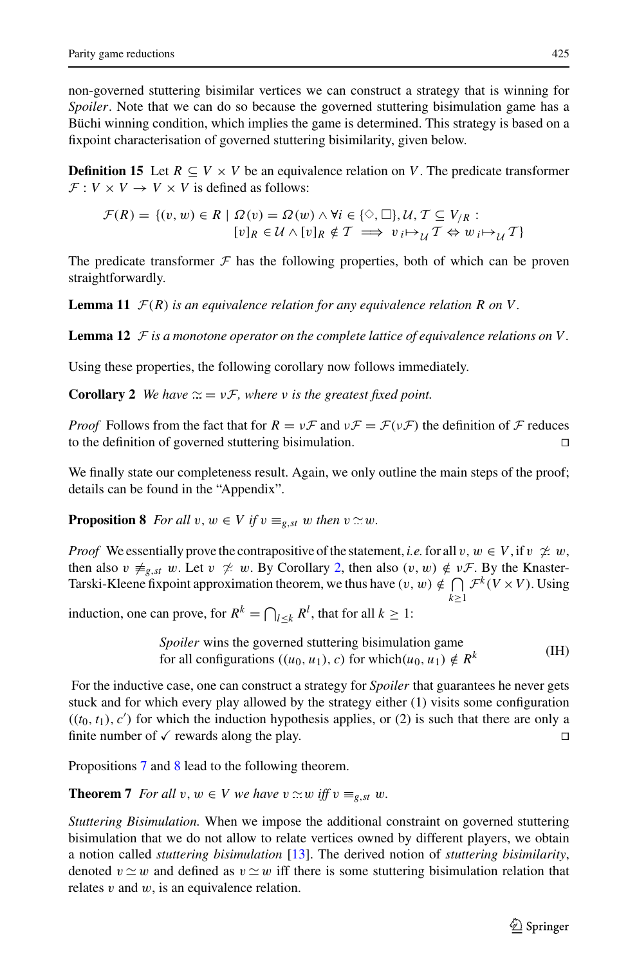non-governed stuttering bisimilar vertices we can construct a strategy that is winning for *Spoiler*. Note that we can do so because the governed stuttering bisimulation game has a Büchi winning condition, which implies the game is determined. This strategy is based on a fixpoint characterisation of governed stuttering bisimilarity, given below.

**Definition 15** Let  $R \subseteq V \times V$  be an equivalence relation on *V*. The predicate transformer  $\mathcal{F}: V \times V \rightarrow V \times V$  is defined as follows:

<span id="page-24-1"></span>
$$
\mathcal{F}(R) = \{(v, w) \in R \mid \Omega(v) = \Omega(w) \land \forall i \in \{\Diamond, \Box\}, \mathcal{U}, \mathcal{T} \subseteq V_{/R} :
$$

$$
[v]_R \in \mathcal{U} \land [v]_R \notin \mathcal{T} \implies v_i \mapsto \mathcal{U} \mathcal{T} \Leftrightarrow w_i \mapsto \mathcal{U} \mathcal{T} \}
$$

The predicate transformer  $\mathcal F$  has the following properties, both of which can be proven straightforwardly.

**Lemma 11**  $\mathcal{F}(R)$  *is an equivalence relation for any equivalence relation R on V.* 

**Lemma 12** *F is a monotone operator on the complete lattice of equivalence relations on V .*

Using these properties, the following corollary now follows immediately.

**Corollary 2** *We have*  $\approx = v \mathcal{F}$ *, where v is the greatest fixed point.* 

*Proof* Follows from the fact that for  $R = v\mathcal{F}$  and  $v\mathcal{F} = \mathcal{F}(v\mathcal{F})$  the definition of  $\mathcal F$  reduces to the definition of governed stuttering bisimulation. to the definition of governed stuttering bisimulation.

<span id="page-24-0"></span>We finally state our completeness result. Again, we only outline the main steps of the proof; details can be found in the "Appendix".

**Proposition 8** *For all*  $v, w \in V$  *if*  $v \equiv_{g,st} w$  *then*  $v \approx w$ *.* 

*Proof* We essentially prove the contrapositive of the statement, *i.e.* for all  $v, w \in V$ , if  $v \nsim w$ , then also  $v \neq_{g, st} w$ . Let  $v \nsim w$ . By Corollary [2,](#page-24-1) then also  $(v, w) \notin v \mathcal{F}$ . By the Knaster-Tarski-Kleene fixpoint approximation theorem, we thus have  $(v, w) \notin \bigcap_{k \ge 1} \mathcal{F}^k(V \times V)$ . Using

induction, one can prove, for  $R^k = \bigcap_{l \leq k} R^l$ , that for all  $k \geq 1$ :

*Spoiler* wins the governed stuttering bisimulation game for all configurations  $((u_0, u_1), c)$  for which $(u_0, u_1) \notin R^k$  (IH)

For the inductive case, one can construct a strategy for *Spoiler* that guarantees he never gets stuck and for which every play allowed by the strategy either (1) visits some configuration  $((t_0, t_1), c')$  for which the induction hypothesis applies, or (2) is such that there are only a finite number of  $\checkmark$  rewards along the play.  $\Box$ 

Propositions [7](#page-23-0) and [8](#page-24-0) lead to the following theorem.

**Theorem 7** *For all*  $v, w \in V$  *we have*  $v \simeq w$  *iff*  $v \equiv g, st$  w.

*Stuttering Bisimulation.* When we impose the additional constraint on governed stuttering bisimulation that we do not allow to relate vertices owned by different players, we obtain a notion called *stuttering bisimulation* [\[13\]](#page-41-5). The derived notion of *stuttering bisimilarity*, denoted  $v \simeq w$  and defined as  $v \simeq w$  iff there is some stuttering bisimulation relation that relates  $v$  and  $w$ , is an equivalence relation.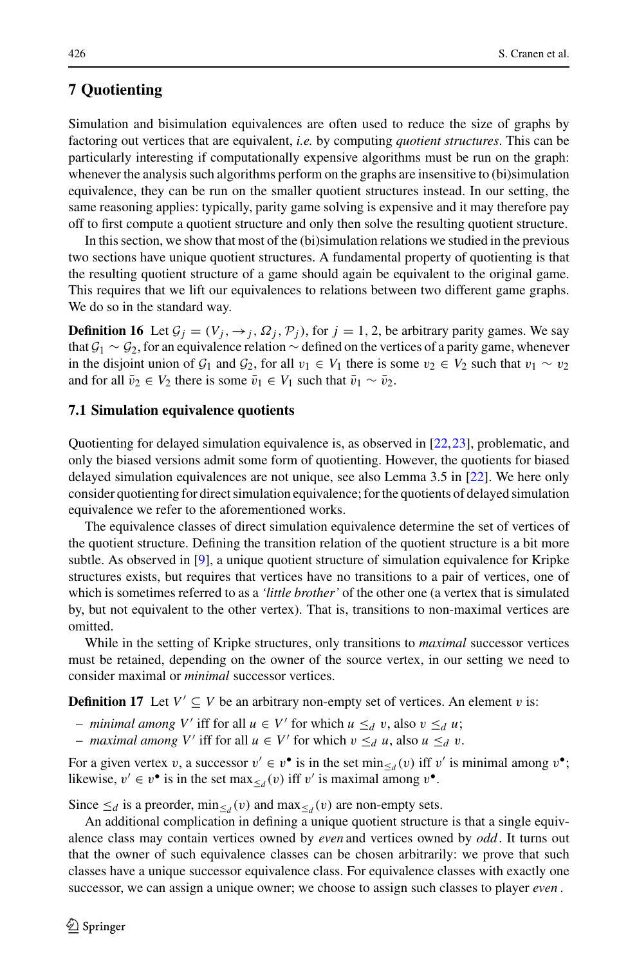# <span id="page-25-0"></span>**7 Quotienting**

Simulation and bisimulation equivalences are often used to reduce the size of graphs by factoring out vertices that are equivalent, *i.e.* by computing *quotient structures*. This can be particularly interesting if computationally expensive algorithms must be run on the graph: whenever the analysis such algorithms perform on the graphs are insensitive to (bi)simulation equivalence, they can be run on the smaller quotient structures instead. In our setting, the same reasoning applies: typically, parity game solving is expensive and it may therefore pay off to first compute a quotient structure and only then solve the resulting quotient structure.

In this section, we show that most of the (bi)simulation relations we studied in the previous two sections have unique quotient structures. A fundamental property of quotienting is that the resulting quotient structure of a game should again be equivalent to the original game. This requires that we lift our equivalences to relations between two different game graphs. We do so in the standard way.

**Definition 16** Let  $\mathcal{G}_j = (V_j, \rightarrow_j, \Omega_j, \mathcal{P}_j)$ , for  $j = 1, 2$ , be arbitrary parity games. We say that *G*<sup>1</sup> ∼ *G*2, for an equivalence relation ∼ defined on the vertices of a parity game, whenever in the disjoint union of  $G_1$  and  $G_2$ , for all  $v_1 \in V_1$  there is some  $v_2 \in V_2$  such that  $v_1 \sim v_2$ and for all  $\bar{v}_2 \in V_2$  there is some  $\bar{v}_1 \in V_1$  such that  $\bar{v}_1 \sim \bar{v}_2$ .

#### **7.1 Simulation equivalence quotients**

Quotienting for delayed simulation equivalence is, as observed in [\[22](#page-42-28)[,23\]](#page-42-16), problematic, and only the biased versions admit some form of quotienting. However, the quotients for biased delayed simulation equivalences are not unique, see also Lemma 3.5 in [\[22](#page-42-28)]. We here only consider quotienting for direct simulation equivalence; for the quotients of delayed simulation equivalence we refer to the aforementioned works.

The equivalence classes of direct simulation equivalence determine the set of vertices of the quotient structure. Defining the transition relation of the quotient structure is a bit more subtle. As observed in [\[9\]](#page-41-17), a unique quotient structure of simulation equivalence for Kripke structures exists, but requires that vertices have no transitions to a pair of vertices, one of which is sometimes referred to as a *'little brother'* of the other one (a vertex that is simulated by, but not equivalent to the other vertex). That is, transitions to non-maximal vertices are omitted.

While in the setting of Kripke structures, only transitions to *maximal* successor vertices must be retained, depending on the owner of the source vertex, in our setting we need to consider maximal or *minimal* successor vertices.

**Definition 17** Let  $V' \subseteq V$  be an arbitrary non-empty set of vertices. An element v is:

- − *minimal among V'* iff for all  $u \in V'$  for which  $u \leq_d v$ , also  $v \leq_d u$ ;
- *− maximal among*  $V'$  iff for all  $u \in V'$  for which  $v \le d u$ , also  $u \le d v$ .

For a given vertex v, a successor  $v' \in v^{\bullet}$  is in the set min<sub> $\lt d$ </sub> (v) iff v' is minimal among  $v^{\bullet}$ ; likewise,  $v' \in v^{\bullet}$  is in the set max<sub> $\lt d$ </sub> (v) iff v' is maximal among v<sup>o</sup>.

Since  $\leq_d$  is a preorder, min<sub> $\leq_d$ </sub> (v) and max<sub> $\leq_d$ </sub> (v) are non-empty sets.

An additional complication in defining a unique quotient structure is that a single equivalence class may contain vertices owned by *even* and vertices owned by *odd*. It turns out that the owner of such equivalence classes can be chosen arbitrarily: we prove that such classes have a unique successor equivalence class. For equivalence classes with exactly one successor, we can assign a unique owner; we choose to assign such classes to player *even* .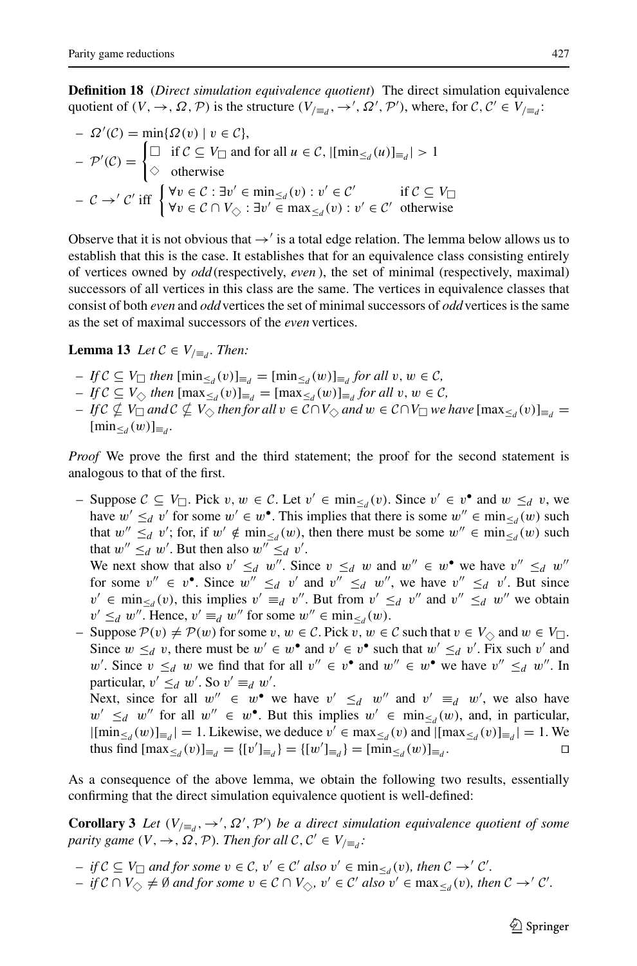**Definition 18** (*Direct simulation equivalence quotient*) The direct simulation equivalence quotient of  $(V, \rightarrow, \Omega, \mathcal{P})$  is the structure  $(V_{/\equiv_d}, \rightarrow', \Omega', \mathcal{P}')$ , where, for  $\mathcal{C}, \mathcal{C}' \in V_{/\equiv_d}$ :

$$
- \Omega'(C) = \min\{\Omega(v) \mid v \in C\},
$$
  
\n
$$
- \mathcal{P}'(C) = \begin{cases} \Box & \text{if } C \subseteq V_{\Box} \text{ and for all } u \in C, ||\text{min}_{\leq d}(u)]_{\equiv d}| > 1 \\ \Diamond & \text{otherwise} \end{cases}
$$
  
\n
$$
- \mathcal{C} \rightarrow' \mathcal{C}' \text{ iff } \begin{cases} \forall v \in \mathcal{C} : \exists v' \in \min_{\leq d}(v) : v' \in \mathcal{C}' & \text{if } C \subseteq V_{\Box} \\ \forall v \in \mathcal{C} \cap V_{\Diamond} : \exists v' \in \max_{\leq d}(v) : v' \in \mathcal{C}' & \text{otherwise} \end{cases}
$$

Observe that it is not obvious that  $\rightarrow'$  is a total edge relation. The lemma below allows us to establish that this is the case. It establishes that for an equivalence class consisting entirely of vertices owned by *odd*(respectively, *even* ), the set of minimal (respectively, maximal) successors of all vertices in this class are the same. The vertices in equivalence classes that consist of both *even* and *odd*vertices the set of minimal successors of *odd*vertices is the same as the set of maximal successors of the *even* vertices.

# **Lemma 13** *Let*  $C \in V_{\ell}$  *Then:*

- *– If*  $C \subseteq V$  *Γ then*  $[\min_{\leq d}(v)]_{\equiv d} = [\min_{\leq d}(w)]_{\equiv d}$  *for all*  $v, w \in C$ *,*
- $-FfC \subseteq V_{\diamondsuit}$  then  $[\max_{\leq d}(v)]_{\equiv d} = [\max_{\leq d}(w)]_{\equiv d}$  *for all*  $v, w \in C$ *,*
- $I(f) \nsubseteq V_{\Box}$  and  $C \nsubseteq V_{\Diamond}$  then for all  $v \in C \cap V_{\Diamond}$  and  $w \in C \cap V_{\Box}$  we have  $[\max_{\leq_d}(v)]_{\equiv_d} =$  $[\min_{\le d}(w)]_{\equiv d}$ .

*Proof* We prove the first and the third statement; the proof for the second statement is analogous to that of the first.

– Suppose  $C \subseteq V$  ∴ Pick  $v, w \in C$ . Let  $v' \in \min_{\leq d}(v)$ . Since  $v' \in v^{\bullet}$  and  $w \leq_d v$ , we have  $w' \leq_d v'$  for some  $w' \in w^{\bullet}$ . This implies that there is some  $w'' \in \min_{\leq_d}(w)$  such that  $w'' \leq_d v'$ ; for, if  $w' \notin \min_{\leq_d}(w)$ , then there must be some  $w'' \in \min_{\leq_d}(w)$  such that  $w'' \leq_d w'$ . But then also  $w'' \leq_d v'$ .

We next show that also  $v' \leq_d w''$ . Since  $v \leq_d w$  and  $w'' \in w^{\bullet}$  we have  $v'' \leq_d w''$ for some  $v'' \in v^{\bullet}$ . Since  $w'' \leq d v'$  and  $v'' \leq d w''$ , we have  $v'' \leq d v'$ . But since  $v' \in \min_{\leq d} (v)$ , this implies  $v' \equiv_d v''$ . But from  $v' \leq_d v''$  and  $v'' \leq_d w''$  we obtain  $v' \leq_d w''$ . Hence,  $v' \equiv_d w''$  for some  $w'' \in \min_{\leq_d} (w)$ .

 $P(v) ≠ P(w)$  for some  $v, w \in C$ . Pick  $v, w \in C$  such that  $v \in V_{\Diamond}$  and  $w \in V_{\Box}$ . Since  $w \leq_d v$ , there must be  $w' \in w^{\bullet}$  and  $v' \in v^{\bullet}$  such that  $w' \leq_d v'$ . Fix such  $v'$  and w'. Since  $v \leq_d w$  we find that for all  $v'' \in v^{\bullet}$  and  $w'' \in w^{\bullet}$  we have  $v'' \leq_d w''$ . In particular,  $v' \leq_d w'$ . So  $v' \equiv_d w'$ .

Next, since for all  $w'' \in w^{\bullet}$  we have  $v' \leq d w''$  and  $v' \equiv d w'$ , we also have  $w' \leq_d w''$  for all  $w'' \in w^{\bullet}$ . But this implies  $w' \in \min_{\leq_d} (w)$ , and, in particular,  $|[\min_{\leq d}(w)]_{\equiv d}| = 1$ . Likewise, we deduce  $v' \in \max_{\leq d}(v)$  and  $|[\max_{\leq d}(v)]_{\equiv d}| = 1$ . We thus find  $[\max_{\leq d}(v)]_{\equiv d} = {\{[v']_{\equiv d}\}} = {\{[w']_{\equiv d}\}} = [\min_{\leq d}(w)]_{\equiv d}$ .

As a consequence of the above lemma, we obtain the following two results, essentially confirming that the direct simulation equivalence quotient is well-defined:

**Corollary 3** *Let*  $(V_{j\equiv d}, \rightarrow', \Omega', \mathcal{P}')$  *be a direct simulation equivalence quotient of some parity game*  $(V, \rightarrow, \Omega, \mathcal{P})$ *. Then for all*  $C, C' \in V_{\mathcal{P}}$ *i*.

- $-$  *if*  $C \subseteq V_{\square}$  *and for some*  $v \in C$ *,*  $v' \in C'$  *also*  $v' \in \min_{\leq d}(v)$ *, then*  $C \to C'$ *.*
- $-$  *if*  $C \cap V_{\diamondsuit} \neq \emptyset$  and for some  $v \in C \cap V_{\diamondsuit}$ ,  $v' \in C'$  also  $v' \in \max_{\leq d}(v)$ , then  $C \to C'.$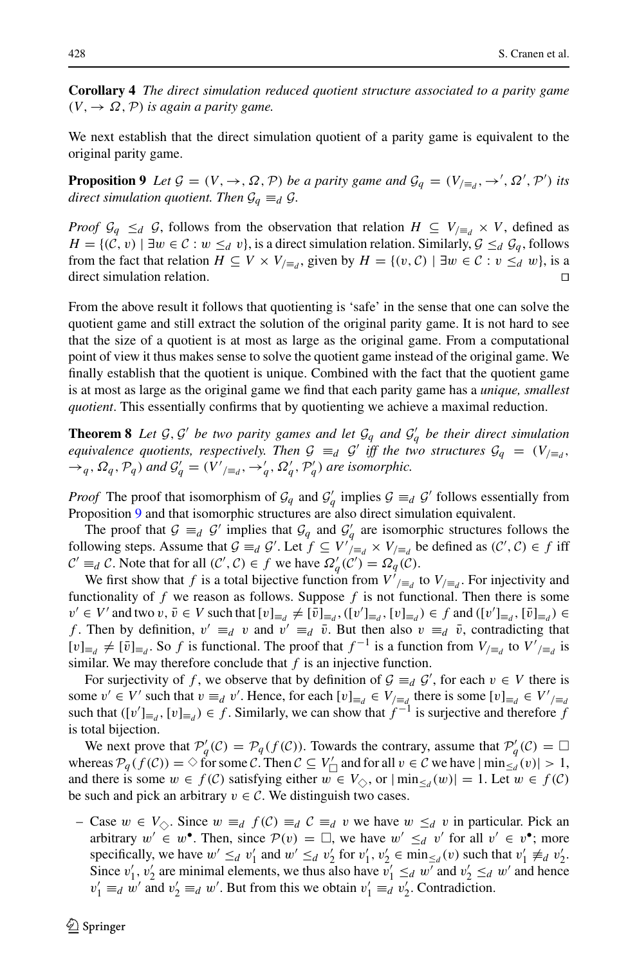**Corollary 4** *The direct simulation reduced quotient structure associated to a parity game*  $(V, \rightarrow \Omega, \mathcal{P})$  *is again a parity game.* 

<span id="page-27-0"></span>We next establish that the direct simulation quotient of a parity game is equivalent to the original parity game.

**Proposition 9** *Let*  $G = (V, \rightarrow, \Omega, \mathcal{P})$  *be a parity game and*  $G_q = (V_{/\equiv_d}, \rightarrow', \Omega', \mathcal{P}')$  *its direct simulation quotient. Then*  $\mathcal{G}_q \equiv_d \mathcal{G}$ *.* 

*Proof*  $\mathcal{G}_q \leq_d \mathcal{G}$ , follows from the observation that relation  $H \subseteq V_{\ell=q} \times V$ , defined as *H* = {(*C*, *v*) | ∃*w* ∈ *C* : *w* ≤*d v*}, is a direct simulation relation. Similarly,  $G$  ≤*d*  $G$ <sup>*q*</sup>, follows from the fact that relation *H* ⊆ *V* × *V*/≡*d*, given by *H* = {(*v*, *C*) | ∃*w* ∈ *C* : *v* ≤*d w*}, is a direct simulation relation direct simulation relation.

From the above result it follows that quotienting is 'safe' in the sense that one can solve the quotient game and still extract the solution of the original parity game. It is not hard to see that the size of a quotient is at most as large as the original game. From a computational point of view it thus makes sense to solve the quotient game instead of the original game. We finally establish that the quotient is unique. Combined with the fact that the quotient game is at most as large as the original game we find that each parity game has a *unique, smallest quotient*. This essentially confirms that by quotienting we achieve a maximal reduction.

**Theorem 8** Let  $G, G'$  be two parity games and let  $G_q$  and  $G'_q$  be their direct simulation *equivalence quotients, respectively. Then*  $G \equiv_d G'$  *iff the two structures*  $G_q = (V_{\ell \equiv_d},$  $\rightarrow$ <sub>q</sub>,  $\Omega$ <sub>q</sub>,  $\mathcal{P}_q$ ) and  $\mathcal{G}'_q = (V'_{\ell=1}, \rightarrow'_q, \Omega'_q, \mathcal{P}'_q)$  are isomorphic.

*Proof* The proof that isomorphism of  $\mathcal{G}_q$  and  $\mathcal{G}'_q$  implies  $\mathcal{G} \equiv_d \mathcal{G}'$  follows essentially from Proposition [9](#page-27-0) and that isomorphic structures are also direct simulation equivalent.

The proof that  $G \equiv_d G'$  implies that  $G_q$  and  $G'_q$  are isomorphic structures follows the following steps. Assume that  $G \equiv_d G'$ . Let  $f \subseteq V'_{\neq d} \times V_{\neq d}$  be defined as  $(C', C) \in f$  iff  $C' \equiv_d C$ . Note that for all  $(C', C) \in f$  we have  $\Omega'_q(C') = \Omega_q(C)$ .

We first show that *f* is a total bijective function from  $V'_{\equiv d}$  to  $V_{\equiv d}$ . For injectivity and functionality of *f* we reason as follows. Suppose *f* is not functional. Then there is some  $v' \in V'$  and two  $v, \bar{v} \in V$  such that  $[v]_{\equiv_d} \neq [\bar{v}]_{\equiv_d}$ ,  $([v']_{\equiv_d}$ ,  $[v]_{\equiv_d} \neq f$  and  $([v']_{\equiv_d}$ ,  $[\bar{v}]_{\equiv_d}) \in$ *f*. Then by definition,  $v' \equiv_d v$  and  $v' \equiv_d \bar{v}$ . But then also  $v \equiv_d \bar{v}$ , contradicting that  $[v]_{\equiv_d}$  ≠  $[\bar{v}]_{\equiv_d}$ . So *f* is functional. The proof that  $f^{-1}$  is a function from  $V_{/=d}$  to  $V'_{/=d}$  is similar. We may therefore conclude that *f* is an injective function.

For surjectivity of *f*, we observe that by definition of  $G \equiv_d G'$ , for each  $v \in V$  there is some  $v' \in V'$  such that  $v \equiv_d v'$ . Hence, for each  $[v]_{\equiv_d} \in V'_{/\equiv_d}$  there is some  $[v]_{\equiv_d} \in V'_{/\equiv_d}$ such that  $([v']_{\equiv_d}, [v]_{\equiv_d}) \in f$ . Similarly, we can show that  $f^{-1}$  is surjective and therefore *f* is total bijection.

We next prove that  $\mathcal{P}'_q(C) = \mathcal{P}_q(f(C))$ . Towards the contrary, assume that  $\mathcal{P}'_q(C) = \Box$ whereas  $\mathcal{P}_q(f(\mathcal{C})) = \Diamond$  for some  $\mathcal{C}$ . Then  $\mathcal{C} \subseteq V' \Box$  and for all  $v \in \mathcal{C}$  we have  $|\min_{\leq d}(v)| > 1$ , and there is some  $w \in f(C)$  satisfying either  $w \in V_{\diamondsuit}$ , or  $|\min_{\leq d}(w)| = 1$ . Let  $w \in f(C)$ be such and pick an arbitrary  $v \in \mathcal{C}$ . We distinguish two cases.

 $\sim$  Case  $w \in V_{\diamondsuit}$ . Since  $w \equiv_d f(C) \equiv_d C \equiv_d v$  we have  $w \leq_d v$  in particular. Pick an arbitrary  $w' \in w^{\bullet}$ . Then, since  $\mathcal{P}(v) = \Box$ , we have  $w' \leq_d v'$  for all  $v' \in v^{\bullet}$ ; more specifically, we have  $w' \leq_d v'_1$  and  $w' \leq_d v'_2$  for  $v'_1, v'_2 \in \min_{\leq_d} (v)$  such that  $v'_1 \not\equiv_d v'_2$ . Since  $v'_1, v'_2$  are minimal elements, we thus also have  $v'_1 \le_d w'$  and  $v'_2 \le_d w'$  and hence  $v'_1 \equiv_d w'$  and  $v'_2 \equiv_d w'$ . But from this we obtain  $v'_1 \equiv_d v'_2$ . Contradiction.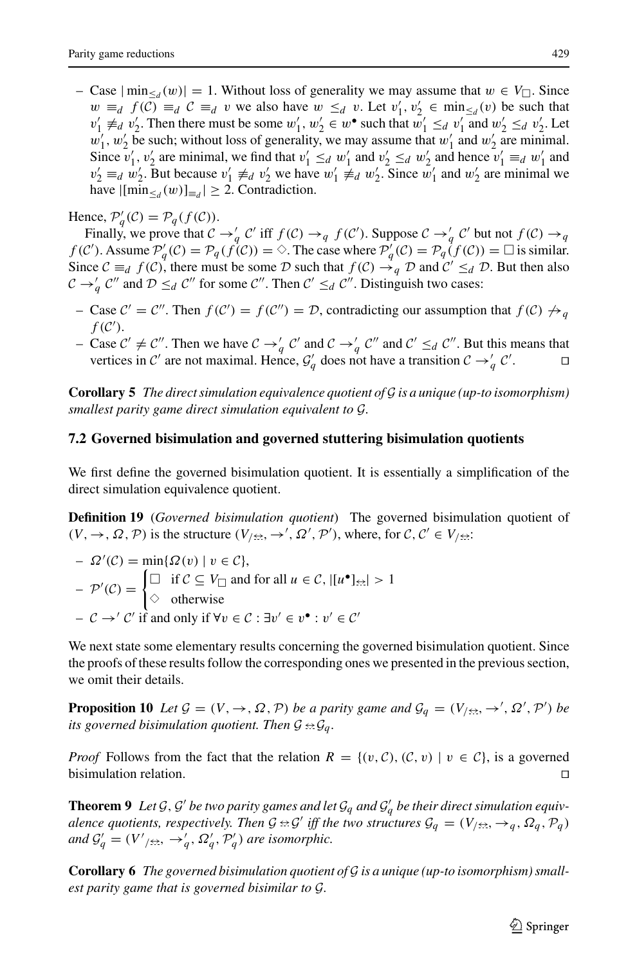– Case  $|\min_{\le d}(w)| = 1$ . Without loss of generality we may assume that  $w \in V_□$ . Since  $w \equiv_d f(C) \equiv_d C \equiv_d v$  we also have  $w \le_d v$ . Let  $v'_1, v'_2 \in \min_{\le_d}(v)$  be such that  $v'_1 \not\equiv_d v'_2$ . Then there must be some  $w'_1, w'_2 \in w^{\bullet}$  such that  $w'_1 \leq_d v'_1$  and  $w'_2 \leq_d v'_2$ . Let  $w'_1$ ,  $w'_2$  be such; without loss of generality, we may assume that  $w'_1$  and  $w'_2$  are minimal. Since  $v'_1$ ,  $v'_2$  are minimal, we find that  $v'_1 \leq_d w'_1$  and  $v'_2 \leq_d w'_2$  and hence  $v'_1 \equiv_d w'_1$  and  $v'_2$  ≡*d*  $w'_2$ . But because  $v'_1 \neq v'_2$  we have  $w'_1 \neq w'_2$ . Since  $w'_1$  and  $w'_2$  are minimal we have  $|[\min_{\leq d}(w)]_{\equiv d} \geq 2$ . Contradiction.

Hence,  $\mathcal{P}'_q(\mathcal{C}) = \mathcal{P}_q(f(\mathcal{C})).$ 

Finally, we prove that  $C \to_q^l C'$  iff  $f(C) \to_q^l f(C')$ . Suppose  $C \to_q^l C'$  but not  $f(C) \to_q^l$  $f(C')$ . Assume  $\mathcal{P}'_q(C) = \mathcal{P}_q(f(C)) = \Diamond$ . The case where  $\mathcal{P}'_q(C) = \mathcal{P}_q(f(C)) = \Box$  is similar. Since  $C \equiv_d f(C)$ , there must be some *D* such that  $f(C) \rightarrow_q^d D$  and  $C' \leq_d^d D$ . But then also  $C \rightarrow'_{q} C''$  and  $D \leq_{d} C''$  for some  $C''$ . Then  $C' \leq_{d} C''$ . Distinguish two cases:

- $-C$  ase  $C' = C''$ . Then  $f(C') = f(C'') = D$ , contradicting our assumption that  $f(C) \nrightarrow q$ *f* (*C* ).
- Case  $C' \neq C''$ . Then we have  $C \rightarrow'_{q} C'$  and  $C \rightarrow'_{q} C''$  and  $C' \leq_{d} C''$ . But this means that vertices in *C'* are not maximal. Hence,  $G'_{q}$  does not have a transition  $C \rightarrow'_{q} C'$  $\Box$

**Corollary 5** *The direct simulation equivalence quotient of G is a unique (up-to isomorphism) smallest parity game direct simulation equivalent to G.*

## **7.2 Governed bisimulation and governed stuttering bisimulation quotients**

We first define the governed bisimulation quotient. It is essentially a simplification of the direct simulation equivalence quotient.

**Definition 19** (*Governed bisimulation quotient*) The governed bisimulation quotient of  $(V, \rightarrow, \Omega, \mathcal{P})$  is the structure  $(V_{/\leftrightarrow}, \rightarrow', \Omega', \mathcal{P}')$ , where, for  $\mathcal{C}, \mathcal{C}' \in V_{/\leftrightarrow}$ .

 $- \Omega'(\mathcal{C}) = \min\{\Omega(v) \mid v \in \mathcal{C}\},\$  $-P'(\mathcal{C})=$  $\int \Box$  if  $C \subseteq V_{\Box}$  and for all  $u \in C$ ,  $\left[\left[u^{\bullet}\right]_{\Leftrightarrow}\right] > 1$  $\diamond$  otherwise  $-$  *C* → *' C*' if and only if ∀v ∈ *C* : ∃v' ∈ v<sup>•</sup> : v' ∈ *C*'

We next state some elementary results concerning the governed bisimulation quotient. Since the proofs of these results follow the corresponding ones we presented in the previous section, we omit their details.

**Proposition 10** *Let*  $G = (V, \rightarrow, \Omega, \mathcal{P})$  *be a parity game and*  $G_q = (V_{/\leftrightarrow}, \rightarrow', \Omega', \mathcal{P}')$  *be its governed bisimulation quotient. Then*  $G \leftrightarrow G_q$ .

*Proof* Follows from the fact that the relation  $R = \{(v, C), (C, v) \mid v \in C\}$ , is a governed bisimulation relation. bisimulation relation.

**Theorem 9** Let G, G' be two parity games and let  $\mathcal{G}_q$  and  $\mathcal{G}'_q$  be their direct simulation equiv*alence quotients, respectively. Then*  $G \trianglelefteq G'$  *iff the two structures*  $G_q = (V_{\neq \rightarrow \rightarrow q}, \Omega_q, \mathcal{P}_q)$ *and*  $\mathcal{G}'_q = (V'_{/\Leftrightarrow}, \rightarrow'_q, \Omega'_q, \mathcal{P}'_q)$  *are isomorphic.* 

**Corollary 6** *The governed bisimulation quotient of G is a unique (up-to isomorphism) smallest parity game that is governed bisimilar to G.*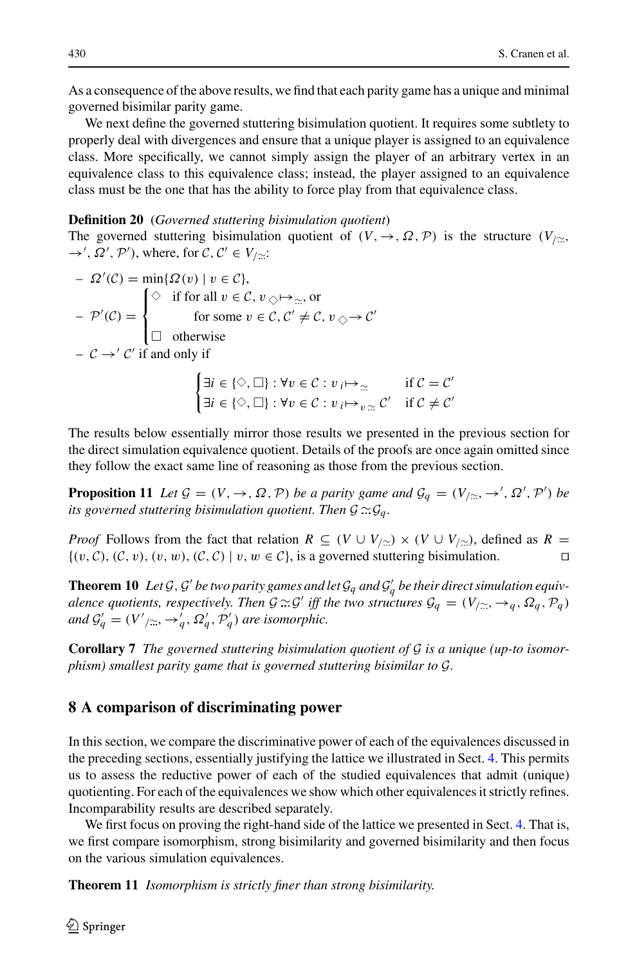As a consequence of the above results, we find that each parity game has a unique and minimal governed bisimilar parity game.

We next define the governed stuttering bisimulation quotient. It requires some subtlety to properly deal with divergences and ensure that a unique player is assigned to an equivalence class. More specifically, we cannot simply assign the player of an arbitrary vertex in an equivalence class to this equivalence class; instead, the player assigned to an equivalence class must be the one that has the ability to force play from that equivalence class.

#### **Definition 20** (*Governed stuttering bisimulation quotient*)

The governed stuttering bisimulation quotient of  $(V, \rightarrow, \Omega, \mathcal{P})$  is the structure  $(V_{/\sim}$ , →', Ω', P'), where, for *C*, *C'* ∈ *V*<sub>/∼</sub>:

$$
-\Omega'(C) = \min\{\Omega(v) \mid v \in C\},
$$
  
\n
$$
-\mathcal{P}'(C) = \begin{cases} \diamondsuit & \text{if for all } v \in C, v \diamondsuit \mapsto \simsim, \text{ or} \\ & \text{for some } v \in C, C' \neq C, v \diamondsuit \to C' \\ \square & \text{otherwise} \end{cases}
$$
  
\n
$$
-\mathcal{C} \to' \mathcal{C}' \text{ if and only if}
$$

$$
\begin{cases} \exists i \in \{\diamondsuit, \square\} : \forall v \in \mathcal{C} : v_i \mapsto_{\sim} & \text{if } \mathcal{C} = \mathcal{C}' \\ \exists i \in \{\diamondsuit, \square\} : \forall v \in \mathcal{C} : v_i \mapsto_{v \sim} \mathcal{C}' & \text{if } \mathcal{C} \neq \mathcal{C}' \end{cases}
$$

The results below essentially mirror those results we presented in the previous section for the direct simulation equivalence quotient. Details of the proofs are once again omitted since they follow the exact same line of reasoning as those from the previous section.

**Proposition 11** *Let*  $G = (V, \rightarrow, \Omega, \mathcal{P})$  *be a parity game and*  $G_q = (V_{/\infty}, \rightarrow', \Omega', \mathcal{P}')$  *be its governed stuttering bisimulation quotient. Then*  $G \simeq G_q$ .

*Proof* Follows from the fact that relation  $R \subseteq (V \cup V_{\text{max}}) \times (V \cup V_{\text{max}})$ , defined as  $R =$  $\{(v, C), (C, v), (v, w), (C, C) | v, w \in C\}$ , is a governed stuttering bisimulation.

 ${\bf Theorem~10} \ \ Let \mathcal{G}, \mathcal{G}'$  be two parity games and let  $\mathcal{G}_q$  and  $\mathcal{G}'_q$  be their direct simulation equiv*alence quotients, respectively. Then*  $G \cong G'$  *iff the two structures*  $G_q = (V_{\alpha}, \rightarrow_q, \Omega_q, \mathcal{P}_q)$ *and*  $G'_{q} = (V'_{/\approx}, \rightarrow'_{q}, \Omega'_{q}, \mathcal{P}'_{q})$  *are isomorphic.* 

**Corollary 7** *The governed stuttering bisimulation quotient of G is a unique (up-to isomorphism) smallest parity game that is governed stuttering bisimilar to G.*

#### <span id="page-29-0"></span>**8 A comparison of discriminating power**

In this section, we compare the discriminative power of each of the equivalences discussed in the preceding sections, essentially justifying the lattice we illustrated in Sect. [4.](#page-7-0) This permits us to assess the reductive power of each of the studied equivalences that admit (unique) quotienting. For each of the equivalences we show which other equivalences it strictly refines. Incomparability results are described separately.

We first focus on proving the right-hand side of the lattice we presented in Sect. [4.](#page-7-0) That is, we first compare isomorphism, strong bisimilarity and governed bisimilarity and then focus on the various simulation equivalences.

**Theorem 11** *Isomorphism is strictly finer than strong bisimilarity.*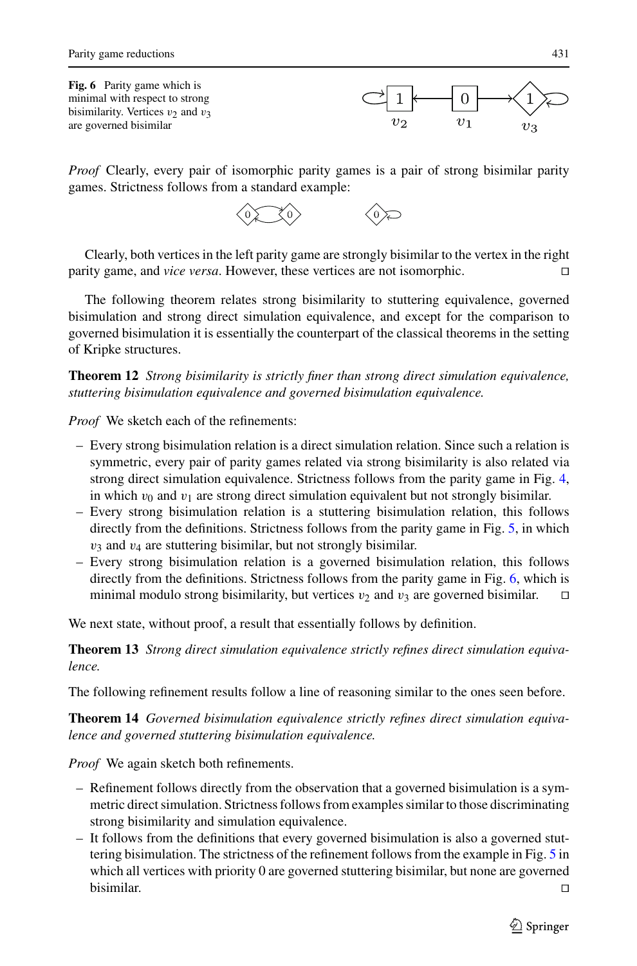<span id="page-30-0"></span>**Fig. 6** Parity game which is minimal with respect to strong bisimilarity. Vertices  $v_2$  and  $v_3$ are governed bisimilar



*Proof* Clearly, every pair of isomorphic parity games is a pair of strong bisimilar parity games. Strictness follows from a standard example:



Clearly, both vertices in the left parity game are strongly bisimilar to the vertex in the right parity game, and *vice versa*. However, these vertices are not isomorphic.

The following theorem relates strong bisimilarity to stuttering equivalence, governed bisimulation and strong direct simulation equivalence, and except for the comparison to governed bisimulation it is essentially the counterpart of the classical theorems in the setting of Kripke structures.

**Theorem 12** *Strong bisimilarity is strictly finer than strong direct simulation equivalence, stuttering bisimulation equivalence and governed bisimulation equivalence.*

*Proof* We sketch each of the refinements:

- Every strong bisimulation relation is a direct simulation relation. Since such a relation is symmetric, every pair of parity games related via strong bisimilarity is also related via strong direct simulation equivalence. Strictness follows from the parity game in Fig. [4,](#page-17-0) in which  $v_0$  and  $v_1$  are strong direct simulation equivalent but not strongly bisimilar.
- Every strong bisimulation relation is a stuttering bisimulation relation, this follows directly from the definitions. Strictness follows from the parity game in Fig. [5,](#page-19-0) in which  $v_3$  and  $v_4$  are stuttering bisimilar, but not strongly bisimilar.
- Every strong bisimulation relation is a governed bisimulation relation, this follows directly from the definitions. Strictness follows from the parity game in Fig. [6,](#page-30-0) which is minimal modulo strong bisimilarity, but vertices  $v_2$  and  $v_3$  are governed bisimilar.  $\square$

We next state, without proof, a result that essentially follows by definition.

**Theorem 13** *Strong direct simulation equivalence strictly refines direct simulation equivalence.*

The following refinement results follow a line of reasoning similar to the ones seen before.

**Theorem 14** *Governed bisimulation equivalence strictly refines direct simulation equivalence and governed stuttering bisimulation equivalence.*

*Proof* We again sketch both refinements.

- Refinement follows directly from the observation that a governed bisimulation is a symmetric direct simulation. Strictness follows from examples similar to those discriminating strong bisimilarity and simulation equivalence.
- It follows from the definitions that every governed bisimulation is also a governed stuttering bisimulation. The strictness of the refinement follows from the example in Fig. [5](#page-19-0) in which all vertices with priority 0 are governed stuttering bisimilar, but none are governed bisimilar.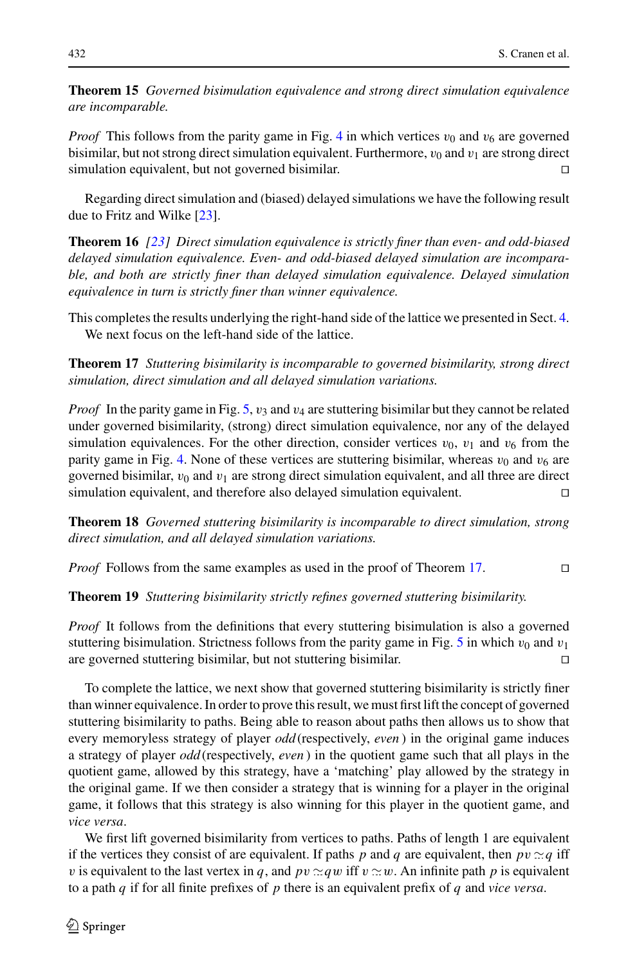**Theorem 15** *Governed bisimulation equivalence and strong direct simulation equivalence are incomparable.*

*Proof* This follows from the parity game in Fig. [4](#page-17-0) in which vertices  $v_0$  and  $v_6$  are governed bisimilar, but not strong direct simulation equivalent. Furthermore,  $v_0$  and  $v_1$  are strong direct simulation equivalent, but not governed bisimilar.

Regarding direct simulation and (biased) delayed simulations we have the following result due to Fritz and Wilke [\[23\]](#page-42-16).

**Theorem 16** *[\[23\]](#page-42-16) Direct simulation equivalence is strictly finer than even- and odd-biased delayed simulation equivalence. Even- and odd-biased delayed simulation are incomparable, and both are strictly finer than delayed simulation equivalence. Delayed simulation equivalence in turn is strictly finer than winner equivalence.*

<span id="page-31-0"></span>This completes the results underlying the right-hand side of the lattice we presented in Sect. [4.](#page-7-0) We next focus on the left-hand side of the lattice.

**Theorem 17** *Stuttering bisimilarity is incomparable to governed bisimilarity, strong direct simulation, direct simulation and all delayed simulation variations.*

*Proof* In the parity game in Fig. [5,](#page-19-0)  $v_3$  and  $v_4$  are stuttering bisimilar but they cannot be related under governed bisimilarity, (strong) direct simulation equivalence, nor any of the delayed simulation equivalences. For the other direction, consider vertices  $v_0$ ,  $v_1$  and  $v_6$  from the parity game in Fig. [4.](#page-17-0) None of these vertices are stuttering bisimilar, whereas  $v_0$  and  $v_6$  are governed bisimilar,  $v_0$  and  $v_1$  are strong direct simulation equivalent, and all three are direct simulation equivalent, and therefore also delayed simulation equivalent.

**Theorem 18** *Governed stuttering bisimilarity is incomparable to direct simulation, strong direct simulation, and all delayed simulation variations.*

*Proof* Follows from the same examples as used in the proof of Theorem [17.](#page-31-0)

**Theorem 19** *Stuttering bisimilarity strictly refines governed stuttering bisimilarity.*

*Proof* It follows from the definitions that every stuttering bisimulation is also a governed stuttering bisimulation. Strictness follows from the parity game in Fig. [5](#page-19-0) in which  $v_0$  and  $v_1$ are governed stuttering bisimilar, but not stuttering bisimilar.

To complete the lattice, we next show that governed stuttering bisimilarity is strictly finer than winner equivalence. In order to prove this result, we must first lift the concept of governed stuttering bisimilarity to paths. Being able to reason about paths then allows us to show that every memoryless strategy of player *odd*(respectively, *even* ) in the original game induces a strategy of player *odd*(respectively, *even* ) in the quotient game such that all plays in the quotient game, allowed by this strategy, have a 'matching' play allowed by the strategy in the original game. If we then consider a strategy that is winning for a player in the original game, it follows that this strategy is also winning for this player in the quotient game, and *vice versa*.

<span id="page-31-1"></span>We first lift governed bisimilarity from vertices to paths. Paths of length 1 are equivalent if the vertices they consist of are equivalent. If paths *p* and *q* are equivalent, then  $pv \approx q$  iff v is equivalent to the last vertex in *q*, and  $pv \approx qw$  iff  $v \approx w$ . An infinite path *p* is equivalent to a path *q* if for all finite prefixes of *p* there is an equivalent prefix of *q* and *vice versa*.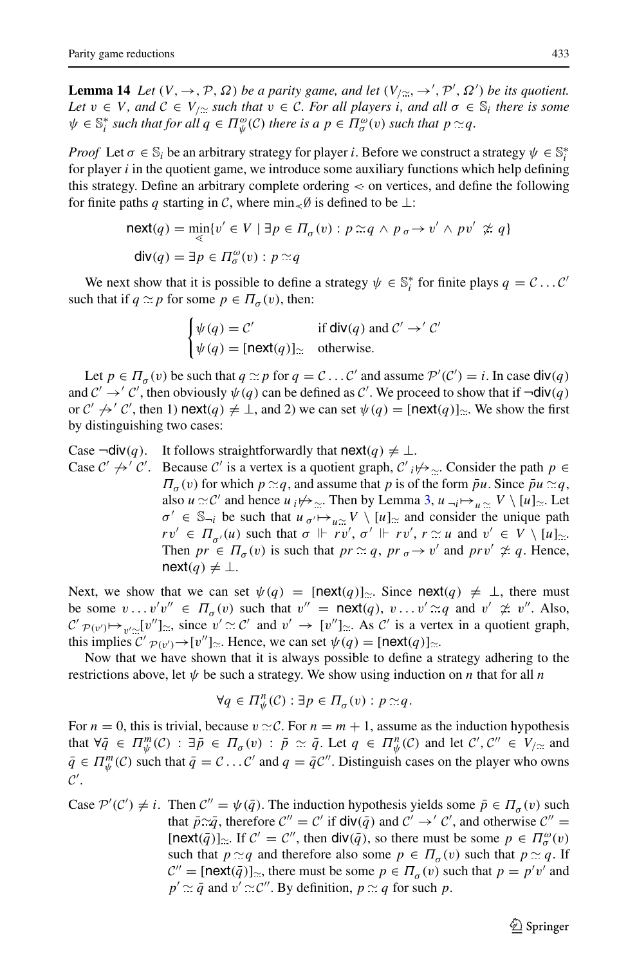**Lemma 14** *Let*  $(V, \rightarrow, P, \Omega)$  *be a parity game, and let*  $(V_{/\simeq}, \rightarrow', P', \Omega')$  *be its quotient. Let*  $v ∈ V$ , and  $C ∈ V_{\alpha}$  *such that*  $v ∈ C$ *. For all players i, and all*  $\sigma ∈ S_i$  *there is some*  $\psi \in \mathbb{S}^*_i$  such that for all  $q \in \Pi_{\psi}^{\omega}(\mathcal{C})$  there is a  $p \in \Pi_{\sigma}^{\omega}(v)$  such that  $p \approx q$ .

*Proof* Let  $\sigma \in \mathbb{S}_i$  be an arbitrary strategy for player *i*. Before we construct a strategy  $\psi \in \mathbb{S}_i^*$ for player *i* in the quotient game, we introduce some auxiliary functions which help defining this strategy. Define an arbitrary complete ordering  $\leq$  on vertices, and define the following for finite paths *q* starting in *C*, where min  $\& \emptyset$  is defined to be ⊥:

$$
\begin{aligned} \text{next}(q) &= \min_{\ll} \{ v' \in V \mid \exists p \in \Pi_{\sigma}(v) : p \simeq q \land p_{\sigma} \to v' \land pv' \not\cong q \} \\ \text{div}(q) &= \exists p \in \Pi_{\sigma}^{\omega}(v) : p \simeq q \end{aligned}
$$

We next show that it is possible to define a strategy  $\psi \in \mathbb{S}_i^*$  for finite plays  $q = \mathcal{C} \dots \mathcal{C}'$ such that if *q*  $\approx$  *p* for some  $p \in \Pi_{\sigma}(v)$ , then:

$$
\begin{cases} \psi(q) = C' & \text{if } \text{div}(q) \text{ and } C' \to C' \\ \psi(q) = [\text{next}(q)]_{\approx} & \text{otherwise.} \end{cases}
$$

Let  $p \in \Pi_{\sigma}(v)$  be such that  $q \simeq p$  for  $q = \mathcal{C} \dots \mathcal{C}'$  and assume  $\mathcal{P}'(\mathcal{C}') = i$ . In case div(*q*) and  $C' \rightarrow' C'$ , then obviously  $\psi(q)$  can be defined as  $C'$ . We proceed to show that if  $\neg div(q)$ or  $\mathcal{C}' \nrightarrow{\mathcal{C}}'$ , then 1) next(*q*)  $\neq \bot$ , and 2) we can set  $\psi(q) = [\text{next}(q)]_{\approx}$ . We show the first by distinguishing two cases:

Case 
$$
\neg
$$
div(q). It follows straightforwardly that  $next(q) \neq \bot$ . Case  $\mathcal{C}' \nrightarrow' \mathcal{C}'$ . Because  $\mathcal{C}'$  is a vertex is a quotient graph,  $\mathcal{C}'_i \nrightarrow_{\infty}$ . Consider the path  $p \in \Pi_{\sigma}(v)$  for which  $p \approx q$ , and assume that  $p$  is of the form  $\bar{p}u$ . Since  $\bar{p}u \approx q$ , also  $u \approx \mathcal{C}'$  and hence  $u_i \nrightarrow_{\infty}$ . Then by Lemma 3,  $u \rightarrow i \rightarrow u \approx V \setminus [u] \approx$ . Let  $\sigma' \in \mathbb{S}_{\neg i}$  be such that  $u_{\sigma'} \mapsto_{u \approx V} \setminus [u] \approx$  and consider the unique path  $rv' \in \Pi_{\sigma'}(u)$  such that  $\sigma \Vdash rv', \sigma' \Vdash rv', r \approx u$  and  $v' \in V \setminus [u] \approx$ . Then  $pr \in \Pi_{\sigma}(v)$  is such that  $pr \approx q$ ,  $pr \circ \rightarrow v'$  and  $prv' \nrightarrow q$ . Hence,  $next(q) \neq \bot$ .

Next, we show that we can set  $\psi(q) = [\text{next}(q)]_{\approx}$ . Since next $(q) \neq \bot$ , there must be some  $v \dots v'v'' \in \Pi_{\sigma}(v)$  such that  $v'' = \text{next}(q), v \dots v' \approx q$  and  $v' \not\approx v''$ . Also,  $\mathcal{C}' \mathcal{P}(v') \mapsto v' \mathcal{P}(v'') \mathcal{P}(v'') \mathcal{P}(v' \text{ and } v' \to [v''] \mathcal{P}(v' \text{ is a vertex in a quotient graph})$ this implies  $\mathcal{C}'_{\mathcal{P}(v')} \rightarrow [v'']_{\sim}$ . Hence, we can set  $\psi(q) = [\text{next}(q)]_{\sim}$ .

Now that we have shown that it is always possible to define a strategy adhering to the restrictions above, let  $\psi$  be such a strategy. We show using induction on *n* that for all *n* 

$$
\forall q \in \Pi_{\psi}^{n}(\mathcal{C}) : \exists p \in \Pi_{\sigma}(v) : p \approx q.
$$

For  $n = 0$ , this is trivial, because  $v \approx \mathcal{C}$ . For  $n = m + 1$ , assume as the induction hypothesis that  $\forall \bar{q} \in \Pi^m_\psi(\mathcal{C}) : \exists \bar{p} \in \Pi_\sigma(v) : \bar{p} \sim \bar{q}$ . Let  $q \in \Pi^n_\psi(\mathcal{C})$  and let  $\mathcal{C}', \mathcal{C}'' \in V_{/\sim}$  and  $\bar{q} \in \Pi_{\psi}^{m}(\mathcal{C})$  such that  $\bar{q} = \mathcal{C} \dots \mathcal{C}'$  and  $q = \bar{q}\mathcal{C}''$ . Distinguish cases on the player who owns *C* .

Case  $\mathcal{P}'(\mathcal{C}') \neq i$ . Then  $\mathcal{C}'' = \psi(\bar{q})$ . The induction hypothesis yields some  $\bar{p} \in \Pi_{\sigma}(v)$  such that  $\bar{p} \approx \bar{q}$ , therefore  $C'' = C'$  if  $div(\bar{q})$  and  $C' \rightarrow' C'$ , and otherwise  $C'' = C$ [next( $\bar{q}$ )]∼. If  $C' = C''$ , then div( $\bar{q}$ ), so there must be some  $p \in \Pi^{\omega}_{\sigma}(v)$ such that *p* ∼*q* and therefore also some  $p \in \Pi_{\sigma}(v)$  such that  $p \approx q$ . If  $\mathcal{C}'' = [\text{next}(\bar{q})]_{\sim},$  there must be some  $p \in \Pi_{\sigma}(v)$  such that  $p = p'v'$  and  $p' \simeq \bar{q}$  and  $v' \simeq \mathcal{C}''$ . By definition,  $p \simeq q$  for such p.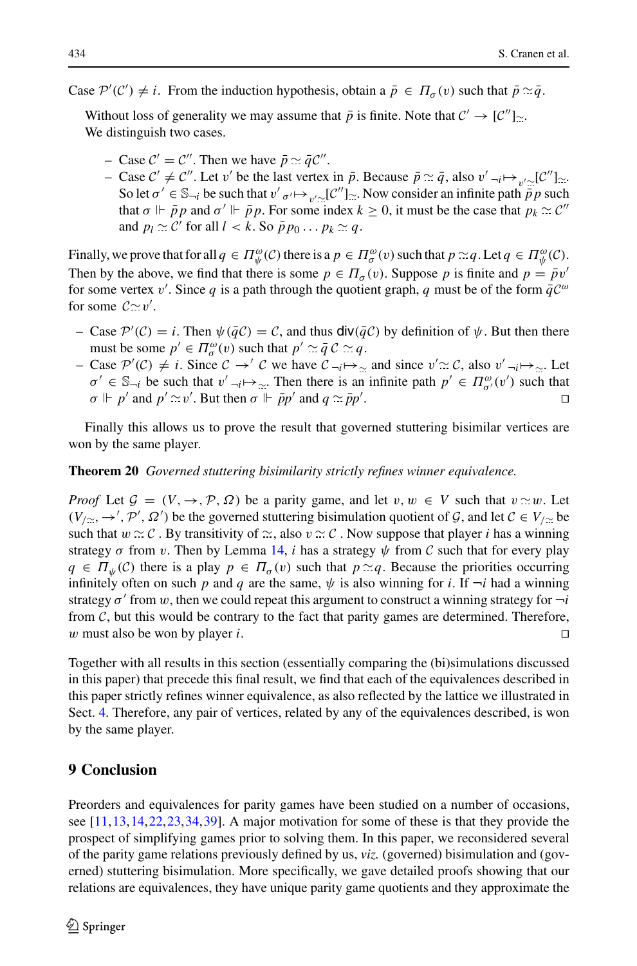Case  $\mathcal{P}'(\mathcal{C}') \neq i$ . From the induction hypothesis, obtain a  $\bar{p} \in \Pi_{\sigma}(v)$  such that  $\bar{p} \approx \bar{q}$ .

Without loss of generality we may assume that  $\bar{p}$  is finite. Note that  $C' \rightarrow [C'']_{\sim}$ . We distinguish two cases.

- Case  $C' = C''$ . Then we have  $\bar{p} \approx \bar{q}C''$ .
- $\overline{C} = \text{Case } C' \neq C''$ . Let v' be the last vertex in  $\overline{p}$ . Because  $\overline{p} \approx \overline{q}$ , also v' $\neg i \rightarrow \neg i \rightarrow \neg j \sim [C''] \approx C''$ . So let  $\sigma' \in \mathbb{S}_{\neg i}$  be such that  $v' \sigma' \mapsto v' \sim [\mathcal{C}'']_{\neg \sim}$ . Now consider an infinite path  $\overline{p}p$  such that  $\sigma \Vdash \bar{p}p$  and  $\sigma' \Vdash \bar{p}p$ . For some index  $k \geq 0$ , it must be the case that  $p_k \simeq C''$ and  $p_l \simeq C'$  for all  $l < k$ . So  $\bar{p}p_0 \ldots p_k \simeq q$ .

Finally, we prove that for all  $q \in \Pi_{\psi}^{\omega}(\mathcal{C})$  there is a  $p \in \Pi_{\sigma}^{\omega}(v)$  such that  $p \approx q$ . Let  $q \in \Pi_{\psi}^{\omega}(\mathcal{C})$ . Then by the above, we find that there is some  $p \in \Pi_{\sigma}(v)$ . Suppose p is finite and  $p = \bar{p}v'$ for some vertex v'. Since *q* is a path through the quotient graph, *q* must be of the form  $\bar{q}C^{\omega}$ for some  $C \simeq v'$ .

- $-$  Case  $\mathcal{P}'(\mathcal{C}) = i$ . Then  $\psi(\bar{q}\mathcal{C}) = \mathcal{C}$ , and thus  $\text{div}(\bar{q}\mathcal{C})$  by definition of  $\psi$ . But then there must be some  $p' \in \Pi_{\sigma}^{\omega}(v)$  such that  $p' \approx \bar{q} \mathcal{C} \approx q$ .
- $-$  Case  $\mathcal{P}'(\mathcal{C}) \neq i$ . Since  $\mathcal{C} \rightarrow' \mathcal{C}$  we have  $\mathcal{C} \rightarrow \rightarrow \sim \infty$  and since  $v' \sim \mathcal{C}$ , also  $v' \rightarrow \rightarrow \sim \infty$ . Let  $\sigma' \in \mathbb{S}_{\neg i}$  be such that  $v' \neg i \mapsto \sim$ . Then there is an infinite path  $p' \in \Pi^{\omega}_{\sigma'}(v')$  such that  $\sigma \Vdash p'$  and  $p' \simeq v'$ . But then  $\sigma \Vdash \bar{p}p'$  and  $q \simeq \bar{p}p'$ . **Experimental and the second state**

Finally this allows us to prove the result that governed stuttering bisimilar vertices are won by the same player.

#### **Theorem 20** *Governed stuttering bisimilarity strictly refines winner equivalence.*

*Proof* Let  $\mathcal{G} = (V, \rightarrow, \mathcal{P}, \Omega)$  be a parity game, and let v,  $w \in V$  such that  $v \approx w$ . Let  $(V_{/\simeq}, \rightarrow', P', \Omega')$  be the governed stuttering bisimulation quotient of *G*, and let  $C \in V_{/\simeq}$  be such that  $w \approx C$ . By transitivity of  $\approx$ , also  $v \approx C$ . Now suppose that player *i* has a winning strategy  $\sigma$  from v. Then by Lemma [14,](#page-31-1) *i* has a strategy  $\psi$  from C such that for every play  $q \in \Pi_{\psi}(\mathcal{C})$  there is a play  $p \in \Pi_{\alpha}(v)$  such that  $p \approx q$ . Because the priorities occurring infinitely often on such *p* and *q* are the same,  $\psi$  is also winning for *i*. If  $\neg$ *i* had a winning strategy  $\sigma'$  from w, then we could repeat this argument to construct a winning strategy for  $\neg i$ from  $C$ , but this would be contrary to the fact that parity games are determined. Therefore, w must also be won by player *i*.

Together with all results in this section (essentially comparing the (bi)simulations discussed in this paper) that precede this final result, we find that each of the equivalences described in this paper strictly refines winner equivalence, as also reflected by the lattice we illustrated in Sect. [4.](#page-7-0) Therefore, any pair of vertices, related by any of the equivalences described, is won by the same player.

# <span id="page-33-0"></span>**9 Conclusion**

Preorders and equivalences for parity games have been studied on a number of occasions, see [\[11,](#page-41-15)[13](#page-41-5)[,14,](#page-41-6)[22](#page-42-28)[,23](#page-42-16)[,34](#page-42-15),[39](#page-42-14)]. A major motivation for some of these is that they provide the prospect of simplifying games prior to solving them. In this paper, we reconsidered several of the parity game relations previously defined by us, *viz.* (governed) bisimulation and (governed) stuttering bisimulation. More specifically, we gave detailed proofs showing that our relations are equivalences, they have unique parity game quotients and they approximate the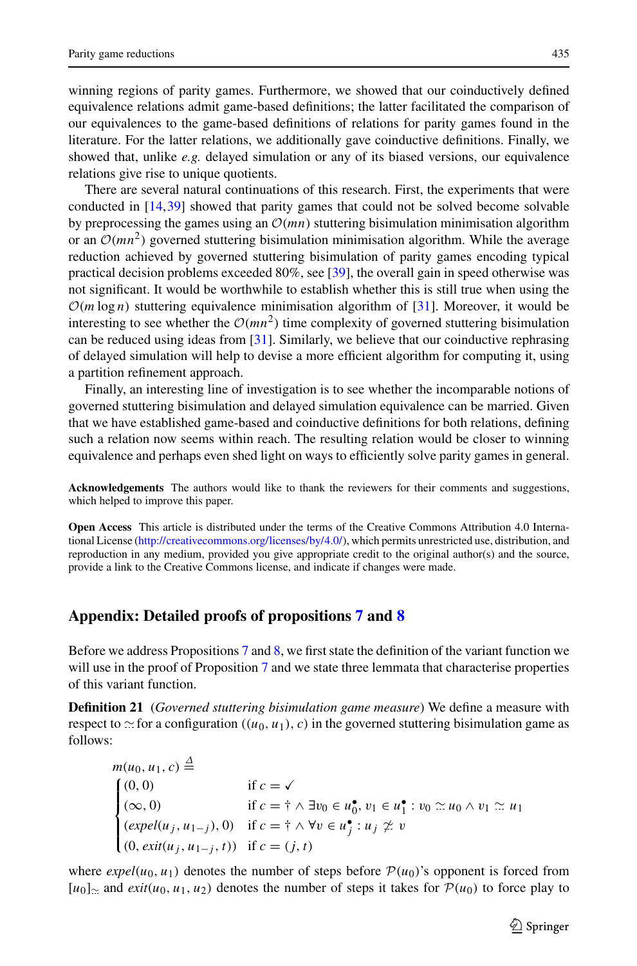winning regions of parity games. Furthermore, we showed that our coinductively defined equivalence relations admit game-based definitions; the latter facilitated the comparison of our equivalences to the game-based definitions of relations for parity games found in the literature. For the latter relations, we additionally gave coinductive definitions. Finally, we showed that, unlike *e.g.* delayed simulation or any of its biased versions, our equivalence relations give rise to unique quotients.

There are several natural continuations of this research. First, the experiments that were conducted in [\[14](#page-41-6)[,39\]](#page-42-14) showed that parity games that could not be solved become solvable by preprocessing the games using an  $O(mn)$  stuttering bisimulation minimisation algorithm or an  $O(mn^2)$  governed stuttering bisimulation minimisation algorithm. While the average reduction achieved by governed stuttering bisimulation of parity games encoding typical practical decision problems exceeded 80%, see [\[39\]](#page-42-14), the overall gain in speed otherwise was not significant. It would be worthwhile to establish whether this is still true when using the  $O(m \log n)$  stuttering equivalence minimisation algorithm of [\[31](#page-42-13)]. Moreover, it would be interesting to see whether the  $\mathcal{O}(mn^2)$  time complexity of governed stuttering bisimulation can be reduced using ideas from [\[31\]](#page-42-13). Similarly, we believe that our coinductive rephrasing of delayed simulation will help to devise a more efficient algorithm for computing it, using a partition refinement approach.

Finally, an interesting line of investigation is to see whether the incomparable notions of governed stuttering bisimulation and delayed simulation equivalence can be married. Given that we have established game-based and coinductive definitions for both relations, defining such a relation now seems within reach. The resulting relation would be closer to winning equivalence and perhaps even shed light on ways to efficiently solve parity games in general.

**Acknowledgements** The authors would like to thank the reviewers for their comments and suggestions, which helped to improve this paper.

**Open Access** This article is distributed under the terms of the Creative Commons Attribution 4.0 International License [\(http://creativecommons.org/licenses/by/4.0/\)](http://creativecommons.org/licenses/by/4.0/), which permits unrestricted use, distribution, and reproduction in any medium, provided you give appropriate credit to the original author(s) and the source, provide a link to the Creative Commons license, and indicate if changes were made.

# **Appendix: Detailed proofs of propositions [7](#page-23-0) and [8](#page-24-0)**

Before we address Propositions [7](#page-23-0) and [8,](#page-24-0) we first state the definition of the variant function we will use in the proof of Proposition [7](#page-23-0) and we state three lemmata that characterise properties of this variant function.

**Definition 21** (*Governed stuttering bisimulation game measure*) We define a measure with respect to ∼for a configuration ( $(u_0, u_1)$ , *c*) in the governed stuttering bisimulation game as follows:

 $m(u_0, u_1, c) \stackrel{\scriptscriptstyle C}{=}$ =  $\mathbf{r}$  $\int$  $\overline{\mathsf{I}}$ (0, 0) if  $c = \sqrt{ }$ (∞, 0) if  $c = \dagger \wedge \exists v_0 \in u_0^{\bullet}, v_1 \in u_1^{\bullet} : v_0 \approx u_0 \wedge v_1 \approx u_1$  $(expel(u_j, u_{1-j}), 0)$  if  $c = \dagger \wedge \forall v \in u_j^{\bullet} : u_j \not\cong v$  $(0, \text{exit}(u_j, u_{1-j}, t))$  if  $c = (j, t)$ 

where  $expel(u_0, u_1)$  denotes the number of steps before  $P(u_0)$ 's opponent is forced from [*u*0]∼ and *exit*(*u*0, *u*1, *u*2) denotes the number of steps it takes for *P*(*u*0) to force play to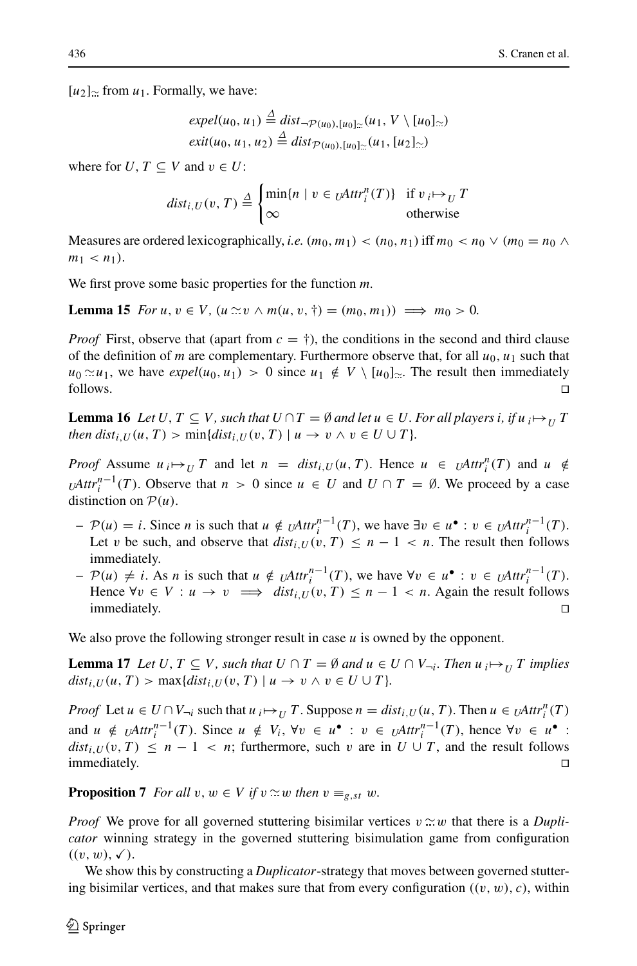[*u*2]∼ from *u*1. Formally, we have:

$$
expel(u_0, u_1) \stackrel{\Delta}{=} dist_{-\mathcal{P}(u_0), [u_0]_{\infty}^{\infty}}(u_1, V \setminus [u_0]_{\infty})
$$
  
 
$$
exit(u_0, u_1, u_2) \stackrel{\Delta}{=} dist_{\mathcal{P}(u_0), [u_0]_{\infty}^{\infty}}(u_1, [u_2]_{\infty}^{\infty})
$$

where for *U*,  $T \subseteq V$  and  $v \in U$ :

<span id="page-35-0"></span>
$$
dist_{i,U}(v, T) \stackrel{\Delta}{=} \begin{cases} \min\{n \mid v \in \mathit{vAttr}_i^n(T)\} & \text{if } v_i \mapsto_U T \\ \infty & \text{otherwise} \end{cases}
$$

Measures are ordered lexicographically, *i.e.*  $(m_0, m_1) < (n_0, n_1)$  iff  $m_0 < n_0 \vee (m_0 = n_0 \wedge$  $m_1 < n_1$ ).

We first prove some basic properties for the function *m*.

**Lemma 15** *For u*,  $v \in V$ ,  $(u \simeq v \wedge m(u, v, \dagger) = (m_0, m_1) \implies m_0 > 0$ .

*Proof* First, observe that (apart from  $c = \dagger$ ), the conditions in the second and third clause of the definition of *m* are complementary. Furthermore observe that, for all  $u_0$ ,  $u_1$  such that *u*<sub>0</sub> ∼*u*<sub>1</sub>, we have *expel*(*u*<sub>0</sub>, *u*<sub>1</sub>) > 0 since *u*<sub>1</sub> ∉ *V* \ [*u*<sub>0</sub>]∼. The result then immediately follows.  $\Box$  follows.

<span id="page-35-1"></span>**Lemma 16** *Let U*,  $T \subseteq V$ , such that  $U \cap T = \emptyset$  and let  $u \in U$ . For all players i, if  $u_i \mapsto_H T$ *then dist<sub>i</sub>*,*U*(*u*, *T*) > min{*dist<sub>i</sub>*,*U*(*v*, *T*) | *u* → *v* ∧ *v* ∈ *U* ∪ *T* }.

*Proof* Assume  $u_i \mapsto_U T$  and let  $n = dist_{i,U}(u, T)$ . Hence  $u \in U^{\text{Attr}_i^n}(T)$  and  $u \notin$ *UAttr*<sup>n-1</sup>(*T*). Observe that  $n > 0$  since  $u \in U$  and  $U \cap T = \emptyset$ . We proceed by a case distinction on  $P(u)$ .

- $-P(u) = i$ . Since *n* is such that  $u \notin \mathit{UAttr}_i^{n-1}(T)$ , we have  $\exists v \in u^{\bullet} : v \in \mathit{UAttr}_i^{n-1}(T)$ . Let v be such, and observe that  $dist_{i,U}(v, T) \leq n - 1 < n$ . The result then follows immediately.
- <span id="page-35-2"></span> $-P(u) \neq i$ . As *n* is such that  $u \notin \mathcal{U}^{Attr_i^{n-1}}(T)$ , we have  $\forall v \in u^{\bullet} : v \in \mathcal{U}^{Attr_i^{n-1}}(T)$ . Hence  $\forall v \in V : u \rightarrow v \implies dist_{i,U}(v, T) \leq n - 1 < n$ . Again the result follows immediately. □ immediately.

We also prove the following stronger result in case *u* is owned by the opponent.

**Lemma 17** Let  $U, T \subseteq V$ , such that  $U \cap T = \emptyset$  and  $u \in U \cap V_{\neg i}$ . Then  $u_i \mapsto U_i$  *T* implies  $dist_{i, U}(u, T) > \max\{dist_{i, U}(v, T) \mid u \to v \land v \in U \cup T\}.$ 

*Proof* Let  $u \in U \cap V_{\neg i}$  such that  $u_i \mapsto_U T$ . Suppose  $n = dist_{i,U}(u, T)$ . Then  $u \in U^{\text{Attr}_i^n}(T)$ and  $u \notin \mathit{UAttr}_i^{n-1}(T)$ . Since  $u \notin V_i$ ,  $\forall v \in u^{\bullet}: v \in \mathit{UAttr}_i^{n-1}(T)$ , hence  $\forall v \in u^{\bullet}:$ *dist<sub>i</sub>*,*U*(*v*, *T*) ≤ *n* − 1 < *n*; furthermore, such *v* are in *U* ∪ *T*, and the result follows immediately.  $\Box$ immediately.

**Proposition 7** *For all*  $v, w \in V$  *if*  $v \simeq w$  *then*  $v \equiv_{g,st} w$ *.* 

*Proof* We prove for all governed stuttering bisimilar vertices v ∼w that there is a *Duplicator* winning strategy in the governed stuttering bisimulation game from configuration  $((v, w), \checkmark).$ 

We show this by constructing a *Duplicator*-strategy that moves between governed stuttering bisimilar vertices, and that makes sure that from every configuration  $((v, w), c)$ , within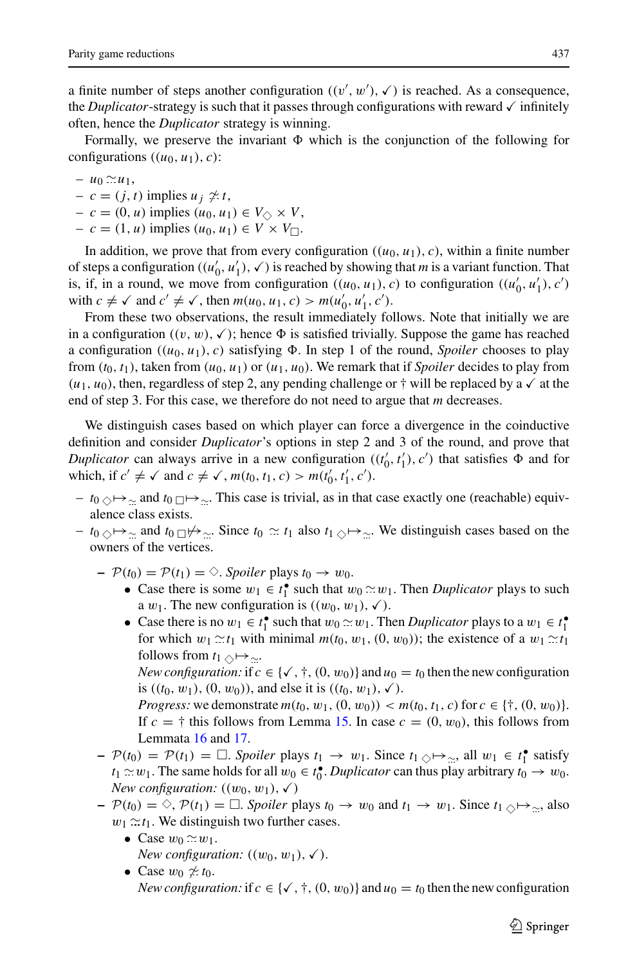a finite number of steps another configuration  $((v', w'), \checkmark)$  is reached. As a consequence, the *Duplicator*-strategy is such that it passes through configurations with reward  $\checkmark$  infinitely often, hence the *Duplicator* strategy is winning.

Formally, we preserve the invariant  $\Phi$  which is the conjunction of the following for configurations  $((u_0, u_1), c)$ :

- *u*<sup>0</sup> ∼*u*1,
- −  $c = (j, t)$  implies  $u_j \not\approx t$ ,
- $-c = (0, u)$  implies  $(u_0, u_1) \in V_{\diamondsuit} \times V$ ,
- −  $c = (1, u)$  implies  $(u_0, u_1) \in V \times V$ <sub>□</sub>.

In addition, we prove that from every configuration  $((u_0, u_1), c)$ , within a finite number of steps a configuration  $((u'_0, u'_1), \checkmark)$  is reached by showing that *m* is a variant function. That is, if, in a round, we move from configuration  $((u_0, u_1), c)$  to configuration  $((u'_0, u'_1), c')$ with  $c \neq \checkmark$  and  $c' \neq \checkmark$ , then  $m(u_0, u_1, c) > m(u'_0, u'_1, c')$ .

From these two observations, the result immediately follows. Note that initially we are in a configuration  $((v, w), \checkmark)$ ; hence  $\Phi$  is satisfied trivially. Suppose the game has reached a configuration  $((u_0, u_1), c)$  satisfying  $\Phi$ . In step 1 of the round, *Spoiler* chooses to play from  $(t_0, t_1)$ , taken from  $(u_0, u_1)$  or  $(u_1, u_0)$ . We remark that if *Spoiler* decides to play from  $(u_1, u_0)$ , then, regardless of step 2, any pending challenge or  $\dagger$  will be replaced by a  $\checkmark$  at the end of step 3. For this case, we therefore do not need to argue that *m* decreases.

We distinguish cases based on which player can force a divergence in the coinductive definition and consider *Duplicator*'s options in step 2 and 3 of the round, and prove that *Duplicator* can always arrive in a new configuration  $((t'_0, t'_1), c')$  that satisfies  $\Phi$  and for which, if  $c' \neq \checkmark$  and  $c \neq \checkmark$ ,  $m(t_0, t_1, c) > m(t'_0, t'_1, c')$ .

- $t_0 \otimes \rightarrow \sim$  and  $t_0 \Box \rightarrow \sim \sim$ . This case is trivial, as in that case exactly one (reachable) equivalence class exists.
- $-$  *t*<sub>0</sub>  $\Diamond \mapsto \Diamond$  and *t*<sub>0</sub>  $\Box \nleftrightarrow \Diamond$ . Since *t*<sub>0</sub>  $\cong$  *t*<sub>1</sub> also *t*<sub>1</sub>  $\Diamond \mapsto \Diamond$ . We distinguish cases based on the owners of the vertices.
	- **−**  $P(t_0) = P(t_1) = \diamond$ . *Spoiler* plays  $t_0 \to w_0$ .
		- Case there is some  $w_1 \in t_1^{\bullet}$  such that  $w_0 \approx w_1$ . Then *Duplicator* plays to such a  $w_1$ . The new configuration is  $((w_0, w_1), \checkmark)$ .
		- Case there is no  $w_1 \in t_1^{\bullet}$  such that  $w_0 \approx w_1$ . Then *Duplicator* plays to a  $w_1 \in t_1^{\bullet}$ for which  $w_1 \approx t_1$  with minimal  $m(t_0, w_1, (0, w_0))$ ; the existence of a  $w_1 \approx t_1$ follows from  $t_1 \diamondsuit \mapsto \sim$ .

*New configuration:* if  $c \in \{\checkmark, \checkmark, (0, w_0)\}\$  and  $u_0 = t_0$  then the new configuration is  $((t_0, w_1), (0, w_0))$ , and else it is  $((t_0, w_1), \checkmark)$ .

*Progress:* we demonstrate  $m(t_0, w_1, (0, w_0)) < m(t_0, t_1, c)$  for  $c \in \{\dagger, (0, w_0)\}.$ If  $c = \dagger$  this follows from Lemma [15.](#page-35-0) In case  $c = (0, w_0)$ , this follows from Lemmata [16](#page-35-1) and [17.](#page-35-2)

- **–**  $P(t_0) = P(t_1) = \Box$ . *Spoiler* plays  $t_1 \rightarrow w_1$ . Since  $t_1 \Diamond \mapsto \Diamond$ , all  $w_1 \in t_1^{\bullet}$  satisfy *t*<sub>1</sub>  $\approx$  *w*<sub>1</sub>. The same holds for all  $w_0 \in t_0^{\bullet}$ . *Duplicator* can thus play arbitrary *t*<sub>0</sub> → *w*<sub>0</sub>. *New configuration:*  $((w_0, w_1), \checkmark)$
- $\mathcal{P}(t_0) = \diamondsuit$ **,**  $\mathcal{P}(t_1) = \square$ **.** *Spoiler* **plays**  $t_0 \to w_0$  **and**  $t_1 \to w_1$ **. Since**  $t_1 \diamondsuit \mapsto \sim$ **, also** *w*<sub>1</sub> ∼*t*<sub>1</sub>. We distinguish two further cases.
	- Case  $w_0 \approx w_1$ .
		- *New configuration:*  $((w_0, w_1), \checkmark)$ .
	- Case  $w_0 \not\approx t_0$ . *New configuration:* if  $c \in \{ \sqrt{, \dagger, (0, w_0)} \}$  and  $u_0 = t_0$  then the new configuration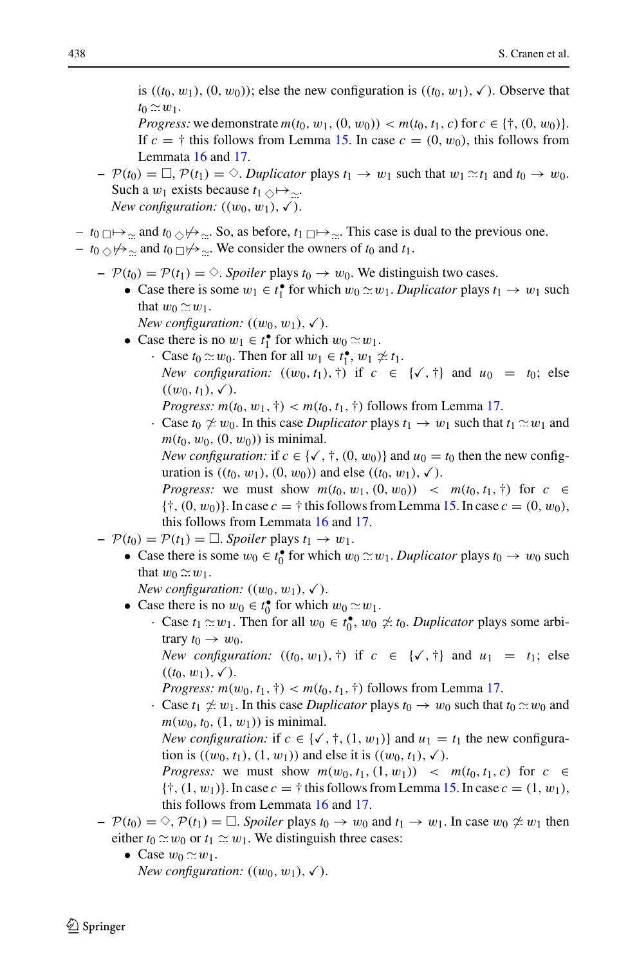is  $((t_0, w_1), (0, w_0))$ ; else the new configuration is  $((t_0, w_1), \checkmark)$ . Observe that  $t_0 \approx w_1$ .

*Progress:* we demonstrate  $m(t_0, w_1, (0, w_0)) < m(t_0, t_1, c)$  for  $c \in \{\dagger, (0, w_0)\}.$ If  $c = \dagger$  this follows from Lemma [15.](#page-35-0) In case  $c = (0, w_0)$ , this follows from Lemmata [16](#page-35-1) and [17.](#page-35-2)

 $\mathcal{P}(t_0) = \Box$ ,  $\mathcal{P}(t_1) = \Diamond$ . *Duplicator* plays  $t_1 \rightarrow w_1$  such that  $w_1 \cong t_1$  and  $t_0 \rightarrow w_0$ . Such a  $w_1$  exists because  $t_1 \diamondsuit \rightarrow \sim$ . *New configuration:*  $((w_0, w_1), \checkmark)$ .

 $- t_0 \Box \rightarrow \sim \text{ and } t_0 \diamondsuit \nrightarrow \sim \text{. So, as before, } t_1 \Box \rightarrow \sim \text{. This case is dual to the previous one.}$ 

 $-$  *t*<sub>0</sub>  $\diamond$   $\not\leftrightarrow$   $\sim$  and *t*<sub>0</sub>  $\Box$   $\not\leftrightarrow$   $\sim$  We consider the owners of *t*<sub>0</sub> and *t*<sub>1</sub>.

- 
$$
P(t_0) = P(t_1) = \diamond
$$
. *Spoiler* plays  $t_0 \to w_0$ . We distinguish two cases.

• Case there is some  $w_1 \in t_1^{\bullet}$  for which  $w_0 \approx w_1$ . *Duplicator* plays  $t_1 \rightarrow w_1$  such that  $w_0 \approx w_1$ .

*New configuration:*  $((w_0, w_1), \checkmark)$ .

- Case there is no  $w_1 \in t_1^{\bullet}$  for which  $w_0 \approx w_1$ .
	- $\cdot$  Case  $t_0 \approx w_0$ . Then for all  $w_1 \in t_1^{\bullet}$ ,  $w_1 \not\approx t_1$ . *New configuration:*  $((w_0, t_1), \dagger)$  if  $c \in \{\checkmark, \checkmark\}$  and  $u_0 = t_0$ ; else  $((w_0, t_1), \checkmark).$

*Progress:*  $m(t_0, w_1, \dagger) < m(t_0, t_1, \dagger)$  follows from Lemma [17.](#page-35-2)

 $\cdot$  Case *t*<sub>0</sub>  $\ncong$  *w*<sub>0</sub>. In this case *Duplicator* plays *t*<sub>1</sub>  $\rightarrow$  *w*<sub>1</sub> such that *t*<sub>1</sub>  $\sim$  *w*<sub>1</sub> and  $m(t_0, w_0, (0, w_0))$  is minimal.

*New configuration:* if  $c \in \{ \sqrt{0}, \gamma, (0, w_0) \}$  and  $u_0 = t_0$  then the new configuration is  $((t_0, w_1), (0, w_0))$  and else  $((t_0, w_1), \checkmark)$ .

*Progress:* we must show  $m(t_0, w_1, (0, w_0)) < m(t_0, t_1, \dagger)$  for  $c \in$  ${\dagger}$ ,  $(0, w_0)$ . In case  $c = \dagger$  this follows from Lemma [15.](#page-35-0) In case  $c = (0, w_0)$ , this follows from Lemmata [16](#page-35-1) and [17.](#page-35-2)

- $\mathcal{P}(t_0) = \mathcal{P}(t_1) = \Box$ . *Spoiler* plays  $t_1 \rightarrow w_1$ .
	- Case there is some  $w_0 \in t_0^{\bullet}$  for which  $w_0 \sim w_1$ . *Duplicator* plays  $t_0 \to w_0$  such that  $w_0 \approx w_1$ .

*New configuration:*  $((w_0, w_1), \checkmark)$ .

- Case there is no  $w_0 \in t_0^{\bullet}$  for which  $w_0 \approx w_1$ .
	- $\cdot$  Case  $t_1$   $\approx w_1$ . Then for all  $w_0 \in t_0^{\bullet}$ ,  $w_0 \ncong t_0$ . *Duplicator* plays some arbitrary  $t_0 \rightarrow w_0$ .

*New configuration:*  $((t_0, w_1), \dagger)$  if  $c \in \{\checkmark, \checkmark\}$  and  $u_1 = t_1$ ; else  $((t_0, w_1), \sqrt{)}.$ 

*Progress:*  $m(w_0, t_1, \dagger) < m(t_0, t_1, \dagger)$  follows from Lemma [17.](#page-35-2)

 $\cdot$  Case *t*<sub>1</sub>  $\neq w_1$ . In this case *Duplicator* plays *t*<sub>0</sub>  $\rightarrow w_0$  such that *t*<sub>0</sub>  $\sim w_0$  and  $m(w_0, t_0, (1, w_1))$  is minimal.

*New configuration:* if  $c \in \{ \checkmark, \checkmark, (1, w_1) \}$  and  $u_1 = t_1$  the new configuration is  $((w_0, t_1), (1, w_1))$  and else it is  $((w_0, t_1), \checkmark)$ .

*Progress:* we must show  $m(w_0, t_1, (1, w_1)) < m(t_0, t_1, c)$  for  $c \in$  ${\dagger}$ ,  $(1, w_1)$ . In case  $c = \dagger$  this follows from Lemma [15.](#page-35-0) In case  $c = (1, w_1)$ , this follows from Lemmata [16](#page-35-1) and [17.](#page-35-2)

- $\mathcal{P}(t_0) = \Diamond, \mathcal{P}(t_1) = \Box.$  *Spoiler* plays  $t_0 \to w_0$  and  $t_1 \to w_1$ . In case  $w_0 \not\cong w_1$  then either  $t_0 \approx w_0$  or  $t_1 \approx w_1$ . We distinguish three cases:
	- Case  $w_0 \sim w_1$ . *New configuration:*  $((w_0, w_1), \checkmark)$ .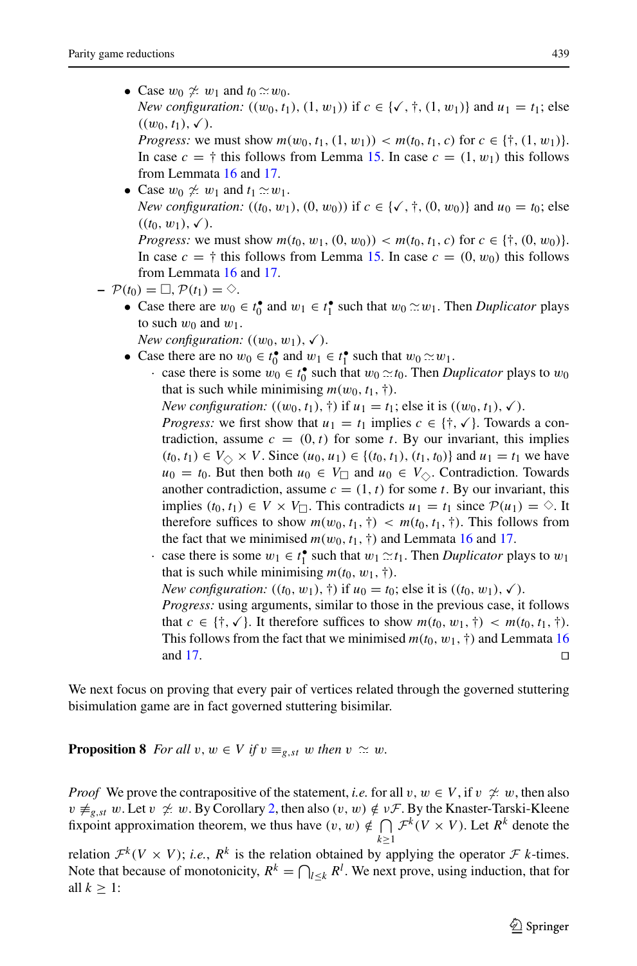• Case  $w_0 \not\cong w_1$  and  $t_0 \cong w_0$ .

*New configuration:*  $((w_0, t_1), (1, w_1))$  if  $c \in \{ \checkmark, \checkmark, (1, w_1) \}$  and  $u_1 = t_1$ ; else  $((w_0, t_1), \checkmark).$ 

*Progress:* we must show  $m(w_0, t_1, (1, w_1)) < m(t_0, t_1, c)$  for  $c \in \{\dagger, (1, w_1)\}.$ In case  $c = \dagger$  this follows from Lemma [15.](#page-35-0) In case  $c = (1, w_1)$  this follows from Lemmata [16](#page-35-1) and [17.](#page-35-2)

• Case  $w_0 \not\cong w_1$  and  $t_1 \cong w_1$ . *New configuration:*  $((t_0, w_1), (0, w_0))$  if  $c \in \{ \checkmark, \checkmark, (0, w_0) \}$  and  $u_0 = t_0$ ; else  $((t_0, w_1), \sqrt{)}.$ *Progress:* we must show  $m(t_0, w_1, (0, w_0)) < m(t_0, t_1, c)$  for  $c \in \{\dagger, (0, w_0)\}.$ 

In case  $c = \dagger$  this follows from Lemma [15.](#page-35-0) In case  $c = (0, w_0)$  this follows from Lemmata [16](#page-35-1) and [17.](#page-35-2)

- $\mathcal{P}(t_0) = \Box, \mathcal{P}(t_1) = \Diamond.$ 
	- Case there are  $w_0 \in t_0^{\bullet}$  and  $w_1 \in t_1^{\bullet}$  such that  $w_0 \simeq w_1$ . Then *Duplicator* plays to such  $w_0$  and  $w_1$ .

*New configuration:*  $((w_0, w_1), \checkmark)$ .

- Case there are no  $w_0 \in t_0^{\bullet}$  and  $w_1 \in t_1^{\bullet}$  such that  $w_0 \sim w_1$ .
	- $\cdot$  case there is some  $w_0 \in t_0^{\bullet}$  such that  $w_0 \approx t_0$ . Then *Duplicator* plays to  $w_0$ that is such while minimising  $m(w_0, t_1, \dagger)$ .

*New configuration:*  $((w_0, t_1), \dagger)$  if  $u_1 = t_1$ ; else it is  $((w_0, t_1), \checkmark)$ .

*Progress:* we first show that  $u_1 = t_1$  implies  $c \in \{\dagger, \sqrt{\}$ . Towards a contradiction, assume  $c = (0, t)$  for some *t*. By our invariant, this implies  $(t_0, t_1)$  ∈  $V$   $\Diamond$  ×  $V$ . Since  $(u_0, u_1)$  ∈ { $(t_0, t_1)$ ,  $(t_1, t_0)$ } and  $u_1 = t_1$  we have  $u_0 = t_0$ . But then both  $u_0 \in V_{\square}$  and  $u_0 \in V_{\diamondsuit}$ . Contradiction. Towards another contradiction, assume  $c = (1, t)$  for some *t*. By our invariant, this implies (*t*<sub>0</sub>, *t*<sub>1</sub>) ∈ *V* × *V* $\Box$ . This contradicts *u*<sub>1</sub> = *t*<sub>1</sub> since  $P(u_1) = \Diamond$ . It therefore suffices to show  $m(w_0, t_1, \dagger) < m(t_0, t_1, \dagger)$ . This follows from the fact that we minimised  $m(w_0, t_1, \dot{\tau})$  and Lemmata [16](#page-35-1) and [17.](#page-35-2)

 $\cdot$  case there is some  $w_1 \in t_1^{\bullet}$  such that  $w_1 \approx t_1$ . Then *Duplicator* plays to  $w_1$ that is such while minimising  $m(t_0, w_1, \dagger)$ .

*New configuration:*  $((t_0, w_1), \dagger)$  if  $u_0 = t_0$ ; else it is  $((t_0, w_1), \checkmark)$ .

*Progress:* using arguments, similar to those in the previous case, it follows that  $c \in \{\dagger, \sqrt{\}$ . It therefore suffices to show  $m(t_0, w_1, \dagger) < m(t_0, t_1, \dagger)$ . This follows from the fact that we minimised  $m(t_0, w_1, \dagger)$  and Lemmata [16](#page-35-1) and [17.](#page-35-2)  $\Box$ 

We next focus on proving that every pair of vertices related through the governed stuttering bisimulation game are in fact governed stuttering bisimilar.

**Proposition 8** *For all*  $v, w \in V$  *if*  $v \equiv_{g,st} w$  *then*  $v \approx w$ *.* 

*Proof* We prove the contrapositive of the statement, *i.e.* for all  $v, w \in V$ , if  $v \ncong w$ , then also  $v \neq_{g,st} w$ . Let  $v \nsim w$ . By Corollary [2,](#page-24-1) then also  $(v, w) \notin v\mathcal{F}$ . By the Knaster-Tarski-Kleene fixpoint approximation theorem, we thus have  $(v, w) \notin \bigcap \mathcal{F}^k(V \times V)$ . Let  $R^k$  denote the

relation  $\mathcal{F}^k(V \times V)$ ; *i.e.*,  $R^k$  is the relation obtained by applying the operator  $\mathcal{F}$  *k*-times. Note that because of monotonicity,  $R^k = \bigcap_{l \leq k} R^l$ . We next prove, using induction, that for all  $k \geq 1$ :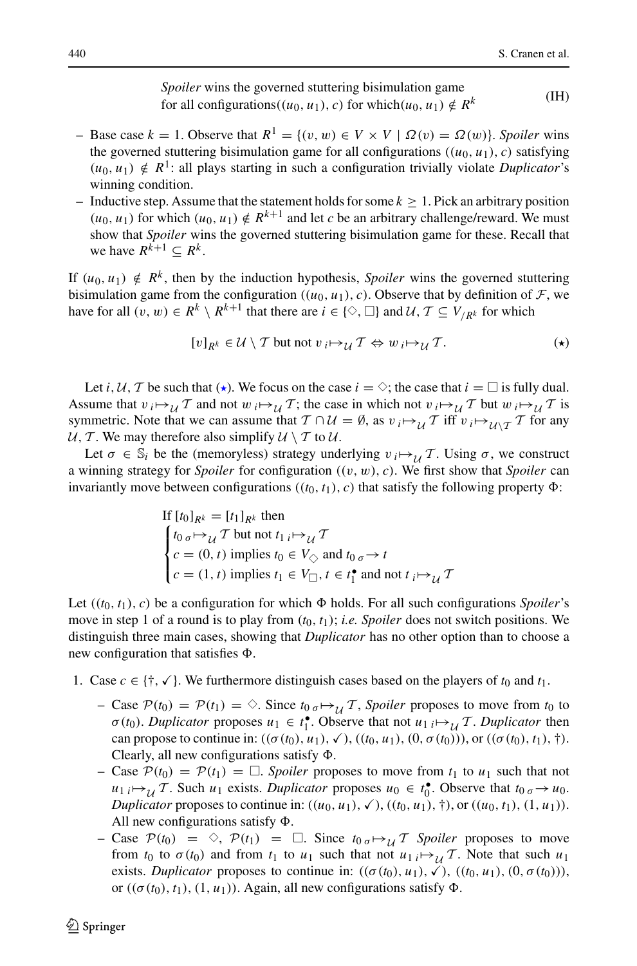*Spoiler* wins the governed stuttering bisimulation game for all configurations( $(u_0, u_1)$ , *c*) for which( $u_0, u_1$ )  $\notin R^k$  (IH)

- Base case  $k = 1$ . Observe that  $R^1 = \{(v, w) \in V \times V \mid \Omega(v) = \Omega(w)\}\)$ . *Spoiler* wins the governed stuttering bisimulation game for all configurations  $((u_0, u_1), c)$  satisfying  $(u_0, u_1) \notin R^1$ : all plays starting in such a configuration trivially violate *Duplicator*'s winning condition.
- Inductive step. Assume that the statement holds for some  $k \geq 1$ . Pick an arbitrary position  $(u_0, u_1)$  for which  $(u_0, u_1) \notin R^{k+1}$  and let *c* be an arbitrary challenge/reward. We must show that *Spoiler* wins the governed stuttering bisimulation game for these. Recall that we have  $R^{k+1} \subset R^k$ .

If  $(u_0, u_1) \notin R^k$ , then by the induction hypothesis, *Spoiler* wins the governed stuttering bisimulation game from the configuration  $((u_0, u_1), c)$ . Observe that by definition of  $\mathcal{F}$ , we have for all  $(v, w) \in R^k \setminus R^{k+1}$  that there are  $i \in \{\Diamond, \Box\}$  and  $\mathcal{U}, \mathcal{T} \subseteq V_{/R^k}$  for which

<span id="page-39-0"></span>
$$
[v]_{R^k} \in \mathcal{U} \setminus \mathcal{T} \text{ but not } v_i \mapsto \mathcal{U} \mathcal{T} \Leftrightarrow w_i \mapsto \mathcal{U} \mathcal{T}.
$$

Let *i*, *U*, *T* be such that ( $\star$ ). We focus on the case *i* =  $\Diamond$ ; the case that *i* =  $\Box$  is fully dual. Assume that  $v_i \mapsto \mathcal{U}$  *T* and not  $w_i \mapsto \mathcal{U}$  *T*; the case in which not  $v_i \mapsto \mathcal{U}$  *T* but  $w_i \mapsto \mathcal{U}$  *T* is symmetric. Note that we can assume that  $T \cap U = \emptyset$ , as  $v_i \mapsto U/T$  iff  $v_i \mapsto U/T$  for any  $U, T$ . We may therefore also simplify  $U \setminus T$  to  $U$ .

Let  $\sigma \in \mathbb{S}_i$  be the (memoryless) strategy underlying  $v_i \mapsto \mathcal{U}$  *T*. Using  $\sigma$ , we construct a winning strategy for *Spoiler* for configuration  $((v, w), c)$ . We first show that *Spoiler* can invariantly move between configurations  $((t_0, t_1), c)$  that satisfy the following property  $\Phi$ :

If 
$$
[t_0]_{R^k} = [t_1]_{R^k}
$$
 then  
\n
$$
\begin{cases}\nt_0 \circ \mapsto_{\mathcal{U}} T \text{ but not } t_1 \ni \mapsto_{\mathcal{U}} T \\
c = (0, t) \text{ implies } t_0 \in V_{\diamondsuit} \text{ and } t_0 \circ \mapsto t \\
c = (1, t) \text{ implies } t_1 \in V_{\square}, t \in t_1^{\bullet} \text{ and not } t_i \mapsto_{\mathcal{U}} T\n\end{cases}
$$

Let  $((t_0, t_1), c)$  be a configuration for which  $\Phi$  holds. For all such configurations *Spoiler's* move in step 1 of a round is to play from (*t*0, *t*1); *i.e. Spoiler* does not switch positions. We distinguish three main cases, showing that *Duplicator* has no other option than to choose a new configuration that satisfies  $\Phi$ .

- 1. Case  $c \in \{\dagger, \sqrt{\}$ . We furthermore distinguish cases based on the players of  $t_0$  and  $t_1$ .
	- Case  $P(t_0) = P(t_1) = \Diamond$ . Since  $t_0 \circ \rightarrow \mathcal{U}$  *T*, *Spoiler* proposes to move from  $t_0$  to  $\sigma(t_0)$ . *Duplicator* proposes  $u_1 \in t_1^{\bullet}$ . Observe that not  $u_1 \mapsto u \mathcal{T}$ . *Duplicator* then can propose to continue in:  $((\sigma(t_0), u_1), \checkmark), ((t_0, u_1), (0, \sigma(t_0))),$  or  $((\sigma(t_0), t_1), \checkmark).$ Clearly, all new configurations satisfy  $\Phi$ .
	- $P(t_0) = P(t_1) = \Box$ . *Spoiler* proposes to move from  $t_1$  to  $u_1$  such that not  $u_1 \mapsto \mathcal{U}$  *T*. Such  $u_1$  exists. *Duplicator* proposes  $u_0 \in t_0^{\bullet}$ . Observe that  $t_0 \circ \to u_0$ . *Duplicator* proposes to continue in:  $((u_0, u_1), \checkmark), ((t_0, u_1), \checkmark),$  or  $((u_0, t_1), (1, u_1)).$ All new configurations satisfy  $\Phi$ .
	- Case  $P(t_0) = \Diamond$ ,  $P(t_1) = \Box$ . Since  $t_0 \circ \rightarrow u \mathcal{T}$  Spoiler proposes to move from  $t_0$  to  $\sigma(t_0)$  and from  $t_1$  to  $u_1$  such that not  $u_1 \mapsto \mathcal{U}$ . Note that such  $u_1$ exists. *Duplicator* proposes to continue in:  $((\sigma(t_0), u_1), \checkmark), ((t_0, u_1), (0, \sigma(t_0))),$ or  $((\sigma(t_0), t_1), (1, u_1))$ . Again, all new configurations satisfy  $\Phi$ .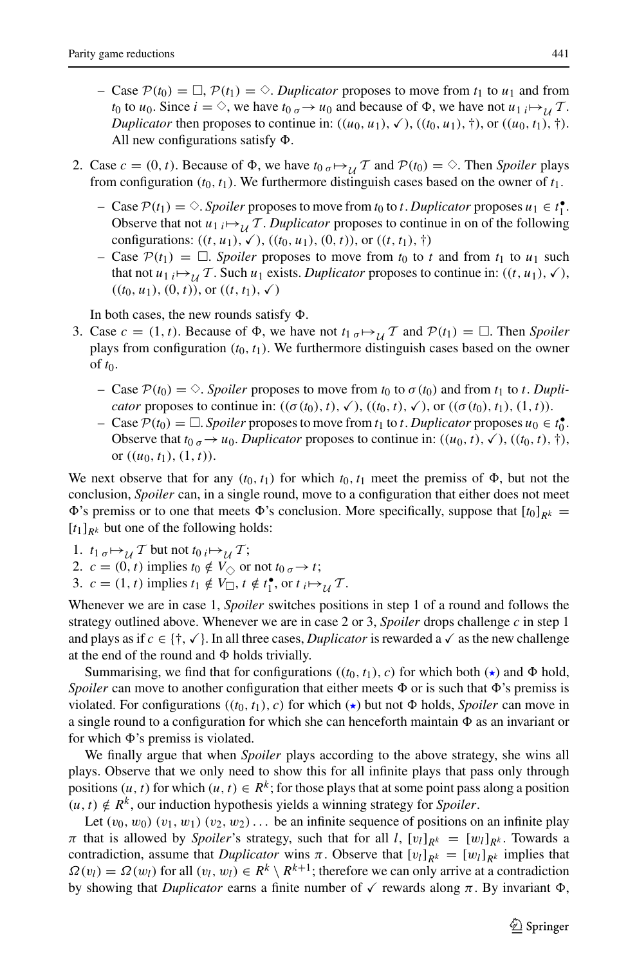- Case  $P(t_0) = \Box$ ,  $P(t_1) = \Diamond$ . *Duplicator* proposes to move from  $t_1$  to  $u_1$  and from *t*<sub>0</sub> to *u*<sub>0</sub>. Since  $i = \diamondsuit$ , we have  $t_0 \circ \to u_0$  and because of  $\Phi$ , we have not  $u_1 \circ \to u_1$ .<br>Duration than generate a continue in  $f(u_1, u_1) = f(u_1, u_2)$ . *Duplicator* then proposes to continue in:  $((u_0, u_1), \checkmark), ((t_0, u_1), \checkmark),$  or  $((u_0, t_1), \checkmark).$ All new configurations satisfy  $\Phi$ .
- 2. Case  $c = (0, t)$ . Because of  $\Phi$ , we have  $t_0 \circ \rightarrow u$  *T* and  $P(t_0) = \Diamond$ . Then *Spoiler* plays from configuration  $(t_0, t_1)$ . We furthermore distinguish cases based on the owner of  $t_1$ .
	- $-$  Case  $P(t_1) = \Diamond$ . *Spoiler* proposes to move from *t*<sub>0</sub> to *t*. *Duplicator* proposes *u*<sub>1</sub> ∈ *t*<sup>•</sup><sub>1</sub>. Observe that not  $u_1 \mapsto \mathcal{U}$  *T*. *Duplicator* proposes to continue in on of the following configurations:  $((t, u_1), \checkmark), ((t_0, u_1), (0, t)),$  or  $((t, t_1), \dagger)$
	- $-$  Case  $P(t_1) = \Box$ . *Spoiler* proposes to move from  $t_0$  to *t* and from  $t_1$  to  $u_1$  such that not  $u_1 \mapsto \mathcal{U}$  *T*. Such  $u_1$  exists. *Duplicator* proposes to continue in:  $((t, u_1), \checkmark)$ ,  $((t_0, u_1), (0, t))$ , or  $((t, t_1), \checkmark)$

In both cases, the new rounds satisfy  $\Phi$ .

- 3. Case  $c = (1, t)$ . Because of  $\Phi$ , we have not  $t_1 \circ \rightarrow u$  *T* and  $P(t_1) = \Box$ . Then *Spoiler* plays from configuration  $(t_0, t_1)$ . We furthermore distinguish cases based on the owner of *t*0.
	- $\sim$  Case  $P(t_0) = \diamond$ . *Spoiler* proposes to move from  $t_0$  to  $\sigma(t_0)$  and from  $t_1$  to *t*. *Duplicator* proposes to continue in:  $((\sigma(t_0), t), \checkmark), ((t_0, t), \checkmark),$  or  $((\sigma(t_0), t_1), (1, t)).$
	- $-$  Case  $P(t_0) = \Box$ . *Spoiler* proposes to move from *t*<sub>1</sub> to *t*. *Duplicator* proposes *u*<sub>0</sub> ∈ *t*<sub>0</sub><sup>•</sup>. Observe that  $t_0 \rightarrow u_0$ . *Duplicator* proposes to continue in:  $((u_0, t), \checkmark), ((t_0, t), \check{\tau}),$ or  $((u_0, t_1), (1, t)).$

We next observe that for any  $(t_0, t_1)$  for which  $t_0, t_1$  meet the premiss of  $\Phi$ , but not the conclusion, *Spoiler* can, in a single round, move to a configuration that either does not meet  $\Phi$ 's premiss or to one that meets  $\Phi$ 's conclusion. More specifically, suppose that  $[t_0]_{R^k}$  =  $[t_1]_{R^k}$  but one of the following holds:

- 1.  $t_1 \underset{\sigma \mapsto \mathcal{U}}{\uplus} \mathcal{T}$  but not  $t_0 \underset{i \mapsto \mathcal{U}}{\uplus} \mathcal{T}$ ;
- 2.  $c = (0, t)$  implies  $t_0 \notin V_{\diamondsuit}$  or not  $t_0 \in I$ ;
- 3.  $c = (1, t)$  implies  $t_1 \notin V_{\square}, t \notin t_1^{\bullet}, \text{ or } t_i \mapsto \mathcal{U} \mathcal{T}$ .

Whenever we are in case 1, *Spoiler* switches positions in step 1 of a round and follows the strategy outlined above. Whenever we are in case 2 or 3, *Spoiler* drops challenge *c* in step 1 and plays as if  $c \in \{\dagger, \sqrt\}$ . In all three cases, *Duplicator* is rewarded a  $\sqrt{\ }$  as the new challenge at the end of the round and  $\Phi$  holds trivially.

Summarising, we find that for configurations  $((t_0, t_1), c)$  for which both  $(\star)$  and  $\Phi$  hold, *Spoiler* can move to another configuration that either meets  $\Phi$  or is such that  $\Phi$ 's premiss is violated. For configurations  $((t_0, t_1), c)$  for which  $(\star)$  but not  $\Phi$  holds, *Spoiler* can move in a single round to a configuration for which she can henceforth maintain  $\Phi$  as an invariant or for which  $\Phi$ 's premiss is violated.

We finally argue that when *Spoiler* plays according to the above strategy, she wins all plays. Observe that we only need to show this for all infinite plays that pass only through positions  $(u, t)$  for which  $(u, t) \in R^k$ ; for those plays that at some point pass along a position  $(u, t) \notin R^k$ , our induction hypothesis yields a winning strategy for *Spoiler*.

Let  $(v_0, w_0)$   $(v_1, w_1)$   $(v_2, w_2)$ ... be an infinite sequence of positions on an infinite play  $\pi$  that is allowed by *Spoiler*'s strategy, such that for all *l*,  $[v_l]_{R^k} = [w_l]_{R^k}$ . Towards a contradiction, assume that *Duplicator* wins  $\pi$ . Observe that  $[v_l]_{R^k} = [w_l]_{R^k}$  implies that  $\Omega(v_l) = \Omega(w_l)$  for all  $(v_l, w_l) \in R^k \setminus R^{k+1}$ ; therefore we can only arrive at a contradiction by showing that *Duplicator* earns a finite number of  $\checkmark$  rewards along π. By invariant  $\Phi$ ,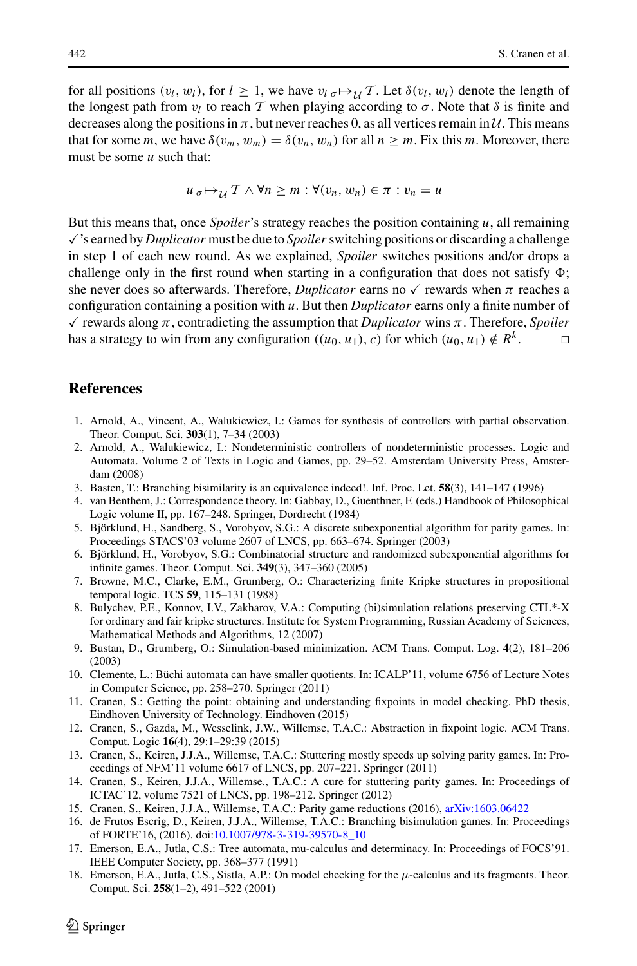for all positions  $(v_l, w_l)$ , for  $l \geq 1$ , we have  $v_l \rightharpoondown_l \mathcal{T}$ . Let  $\delta(v_l, w_l)$  denote the length of the longest path from  $v_l$  to reach  $\mathcal T$  when playing according to  $\sigma$ . Note that  $\delta$  is finite and decreases along the positions in  $\pi$ , but never reaches 0, as all vertices remain in  $\mathcal{U}$ . This means that for some *m*, we have  $\delta(v_m, w_m) = \delta(v_n, w_n)$  for all  $n \ge m$ . Fix this *m*. Moreover, there must be some *u* such that:

$$
u_{\sigma} \mapsto_{\mathcal{U}} \mathcal{T} \wedge \forall n \geq m : \forall (v_n, w_n) \in \pi : v_n = u
$$

But this means that, once *Spoiler*'s strategy reaches the position containing *u*, all remaining 's earned by *Duplicator* must be due to *Spoiler* switching positions or discarding a challenge in step 1 of each new round. As we explained, *Spoiler* switches positions and/or drops a challenge only in the first round when starting in a configuration that does not satisfy  $\Phi$ ; she never does so afterwards. Therefore, *Duplicator* earns no  $\checkmark$  rewards when  $\pi$  reaches a configuration containing a position with *u*. But then *Duplicator* earns only a finite number of rewards along π, contradicting the assumption that *Duplicator* wins π. Therefore, *Spoiler* has a strategy to win from any configuration  $((u_0, u_1), c)$  for which  $(u_0, u_1) \notin R^k$ .

# **References**

- <span id="page-41-1"></span>1. Arnold, A., Vincent, A., Walukiewicz, I.: Games for synthesis of controllers with partial observation. Theor. Comput. Sci. **303**(1), 7–34 (2003)
- <span id="page-41-2"></span>2. Arnold, A., Walukiewicz, I.: Nondeterministic controllers of nondeterministic processes. Logic and Automata. Volume 2 of Texts in Logic and Games, pp. 29–52. Amsterdam University Press, Amsterdam (2008)
- <span id="page-41-7"></span>3. Basten, T.: Branching bisimilarity is an equivalence indeed!. Inf. Proc. Let. **58**(3), 141–147 (1996)
- <span id="page-41-10"></span>4. van Benthem, J.: Correspondence theory. In: Gabbay, D., Guenthner, F. (eds.) Handbook of Philosophical Logic volume II, pp. 167–248. Springer, Dordrecht (1984)
- <span id="page-41-3"></span>5. Björklund, H., Sandberg, S., Vorobyov, S.G.: A discrete subexponential algorithm for parity games. In: Proceedings STACS'03 volume 2607 of LNCS, pp. 663–674. Springer (2003)
- <span id="page-41-4"></span>6. Björklund, H., Vorobyov, S.G.: Combinatorial structure and randomized subexponential algorithms for infinite games. Theor. Comput. Sci. **349**(3), 347–360 (2005)
- <span id="page-41-16"></span>7. Browne, M.C., Clarke, E.M., Grumberg, O.: Characterizing finite Kripke structures in propositional temporal logic. TCS **59**, 115–131 (1988)
- <span id="page-41-8"></span>8. Bulychev, P.E., Konnov, I.V., Zakharov, V.A.: Computing (bi)simulation relations preserving CTL\*-X for ordinary and fair kripke structures. Institute for System Programming, Russian Academy of Sciences, Mathematical Methods and Algorithms, 12 (2007)
- <span id="page-41-17"></span>9. Bustan, D., Grumberg, O.: Simulation-based minimization. ACM Trans. Comput. Log. **4**(2), 181–206 (2003)
- <span id="page-41-12"></span>10. Clemente, L.: Büchi automata can have smaller quotients. In: ICALP'11, volume 6756 of Lecture Notes in Computer Science, pp. 258–270. Springer (2011)
- <span id="page-41-15"></span>11. Cranen, S.: Getting the point: obtaining and understanding fixpoints in model checking. PhD thesis, Eindhoven University of Technology. Eindhoven (2015)
- <span id="page-41-11"></span>12. Cranen, S., Gazda, M., Wesselink, J.W., Willemse, T.A.C.: Abstraction in fixpoint logic. ACM Trans. Comput. Logic **16**(4), 29:1–29:39 (2015)
- <span id="page-41-5"></span>13. Cranen, S., Keiren, J.J.A., Willemse, T.A.C.: Stuttering mostly speeds up solving parity games. In: Proceedings of NFM'11 volume 6617 of LNCS, pp. 207–221. Springer (2011)
- <span id="page-41-6"></span>14. Cranen, S., Keiren, J.J.A., Willemse., T.A.C.: A cure for stuttering parity games. In: Proceedings of ICTAC'12, volume 7521 of LNCS, pp. 198–212. Springer (2012)
- <span id="page-41-9"></span>15. Cranen, S., Keiren, J.J.A., Willemse, T.A.C.: Parity game reductions (2016), [arXiv:1603.06422](http://arxiv.org/abs/1603.06422)
- <span id="page-41-13"></span>16. de Frutos Escrig, D., Keiren, J.J.A., Willemse, T.A.C.: Branching bisimulation games. In: Proceedings of FORTE'16, (2016). doi[:10.1007/978-3-319-39570-8\\_10](http://dx.doi.org/10.1007/978-3-319-39570-8_10)
- <span id="page-41-14"></span>17. Emerson, E.A., Jutla, C.S.: Tree automata, mu-calculus and determinacy. In: Proceedings of FOCS'91. IEEE Computer Society, pp. 368–377 (1991)
- <span id="page-41-0"></span>18. Emerson, E.A., Jutla, C.S., Sistla, A.P.: On model checking for the  $\mu$ -calculus and its fragments. Theor. Comput. Sci. **258**(1–2), 491–522 (2001)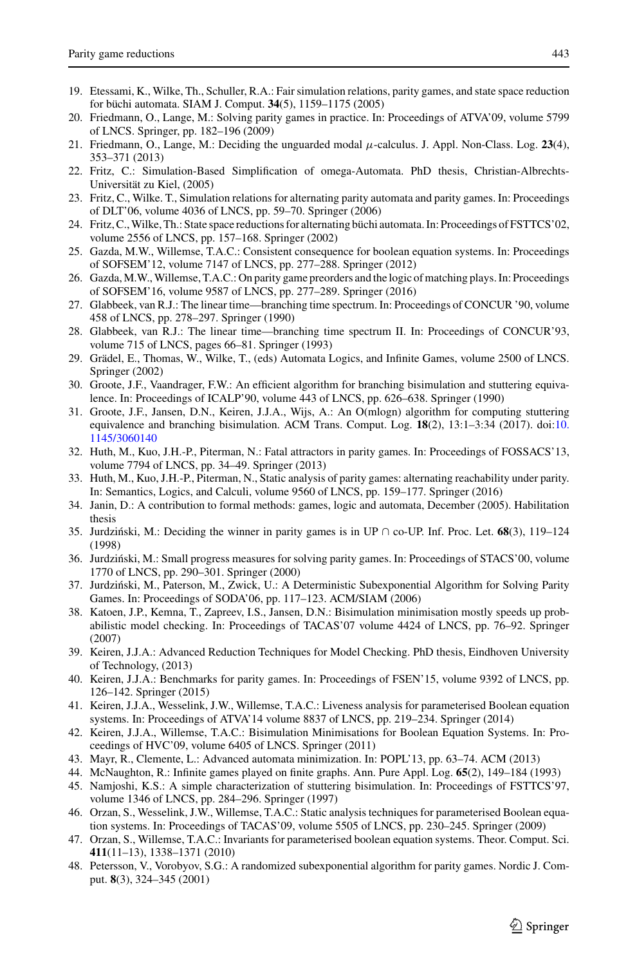- <span id="page-42-22"></span>19. Etessami, K., Wilke, Th., Schuller, R.A.: Fair simulation relations, parity games, and state space reduction for büchi automata. SIAM J. Comput. **34**(5), 1159–1175 (2005)
- <span id="page-42-6"></span>20. Friedmann, O., Lange, M.: Solving parity games in practice. In: Proceedings of ATVA'09, volume 5799 of LNCS. Springer, pp. 182–196 (2009)
- <span id="page-42-0"></span>21. Friedmann, O., Lange, M.: Deciding the unguarded modal μ-calculus. J. Appl. Non-Class. Log. **23**(4), 353–371 (2013)
- <span id="page-42-28"></span>22. Fritz, C.: Simulation-Based Simplification of omega-Automata. PhD thesis, Christian-Albrechts-Universität zu Kiel, (2005)
- <span id="page-42-16"></span>23. Fritz, C., Wilke. T., Simulation relations for alternating parity automata and parity games. In: Proceedings of DLT'06, volume 4036 of LNCS, pp. 59–70. Springer (2006)
- <span id="page-42-27"></span>24. Fritz, C.,Wilke, Th.: State space reductions for alternating büchi automata. In: Proceedings of FSTTCS'02, volume 2556 of LNCS, pp. 157–168. Springer (2002)
- <span id="page-42-18"></span>25. Gazda, M.W., Willemse, T.A.C.: Consistent consequence for boolean equation systems. In: Proceedings of SOFSEM'12, volume 7147 of LNCS, pp. 277–288. Springer (2012)
- <span id="page-42-29"></span>26. Gazda,M.W.,Willemse, T.A.C.: On parity game preorders and the logic of matching plays. In: Proceedings of SOFSEM'16, volume 9587 of LNCS, pp. 277–289. Springer (2016)
- <span id="page-42-24"></span>27. Glabbeek, van R.J.: The linear time—branching time spectrum. In: Proceedings of CONCUR '90, volume 458 of LNCS, pp. 278–297. Springer (1990)
- <span id="page-42-25"></span>28. Glabbeek, van R.J.: The linear time—branching time spectrum II. In: Proceedings of CONCUR'93, volume 715 of LNCS, pages 66–81. Springer (1993)
- <span id="page-42-26"></span>29. Grädel, E., Thomas, W., Wilke, T., (eds) Automata Logics, and Infinite Games, volume 2500 of LNCS. Springer (2002)
- <span id="page-42-12"></span>30. Groote, J.F., Vaandrager, F.W.: An efficient algorithm for branching bisimulation and stuttering equivalence. In: Proceedings of ICALP'90, volume 443 of LNCS, pp. 626–638. Springer (1990)
- <span id="page-42-13"></span>31. Groote, J.F., Jansen, D.N., Keiren, J.J.A., Wijs, A.: An O(mlogn) algorithm for computing stuttering equivalence and branching bisimulation. ACM Trans. Comput. Log. **18**(2), 13:1–3:34 (2017). doi[:10.](http://dx.doi.org/10.1145/3060140) [1145/3060140](http://dx.doi.org/10.1145/3060140)
- <span id="page-42-7"></span>32. Huth, M., Kuo, J.H.-P., Piterman, N.: Fatal attractors in parity games. In: Proceedings of FOSSACS'13, volume 7794 of LNCS, pp. 34–49. Springer (2013)
- <span id="page-42-8"></span>33. Huth, M., Kuo, J.H.-P., Piterman, N., Static analysis of parity games: alternating reachability under parity. In: Semantics, Logics, and Calculi, volume 9560 of LNCS, pp. 159–177. Springer (2016)
- <span id="page-42-15"></span>34. Janin, D.: A contribution to formal methods: games, logic and automata, December (2005). Habilitation thesis
- <span id="page-42-1"></span>35. Jurdziński, M.: Deciding the winner in parity games is in UP  $\cap$  co-UP. Inf. Proc. Let.  $68(3)$ , 119–124 (1998)
- <span id="page-42-2"></span>36. Jurdziński, M.: Small progress measures for solving parity games. In: Proceedings of STACS'00, volume 1770 of LNCS, pp. 290–301. Springer (2000)
- <span id="page-42-3"></span>37. Jurdziński, M., Paterson, M., Zwick, U.: A Deterministic Subexponential Algorithm for Solving Parity Games. In: Proceedings of SODA'06, pp. 117–123. ACM/SIAM (2006)
- <span id="page-42-9"></span>38. Katoen, J.P., Kemna, T., Zapreev, I.S., Jansen, D.N.: Bisimulation minimisation mostly speeds up probabilistic model checking. In: Proceedings of TACAS'07 volume 4424 of LNCS, pp. 76–92. Springer (2007)
- <span id="page-42-14"></span>39. Keiren, J.J.A.: Advanced Reduction Techniques for Model Checking. PhD thesis, Eindhoven University of Technology, (2013)
- <span id="page-42-11"></span>40. Keiren, J.J.A.: Benchmarks for parity games. In: Proceedings of FSEN'15, volume 9392 of LNCS, pp. 126–142. Springer (2015)
- <span id="page-42-19"></span>41. Keiren, J.J.A., Wesselink, J.W., Willemse, T.A.C.: Liveness analysis for parameterised Boolean equation systems. In: Proceedings of ATVA'14 volume 8837 of LNCS, pp. 219–234. Springer (2014)
- <span id="page-42-10"></span>42. Keiren, J.J.A., Willemse, T.A.C.: Bisimulation Minimisations for Boolean Equation Systems. In: Proceedings of HVC'09, volume 6405 of LNCS. Springer (2011)
- <span id="page-42-23"></span>43. Mayr, R., Clemente, L.: Advanced automata minimization. In: POPL'13, pp. 63–74. ACM (2013)
- <span id="page-42-4"></span>44. McNaughton, R.: Infinite games played on finite graphs. Ann. Pure Appl. Log. **65**(2), 149–184 (1993)
- <span id="page-42-17"></span>45. Namjoshi, K.S.: A simple characterization of stuttering bisimulation. In: Proceedings of FSTTCS'97, volume 1346 of LNCS, pp. 284–296. Springer (1997)
- <span id="page-42-20"></span>46. Orzan, S., Wesselink, J.W., Willemse, T.A.C.: Static analysis techniques for parameterised Boolean equation systems. In: Proceedings of TACAS'09, volume 5505 of LNCS, pp. 230–245. Springer (2009)
- <span id="page-42-21"></span>47. Orzan, S., Willemse, T.A.C.: Invariants for parameterised boolean equation systems. Theor. Comput. Sci. **411**(11–13), 1338–1371 (2010)
- <span id="page-42-5"></span>48. Petersson, V., Vorobyov, S.G.: A randomized subexponential algorithm for parity games. Nordic J. Comput. **8**(3), 324–345 (2001)